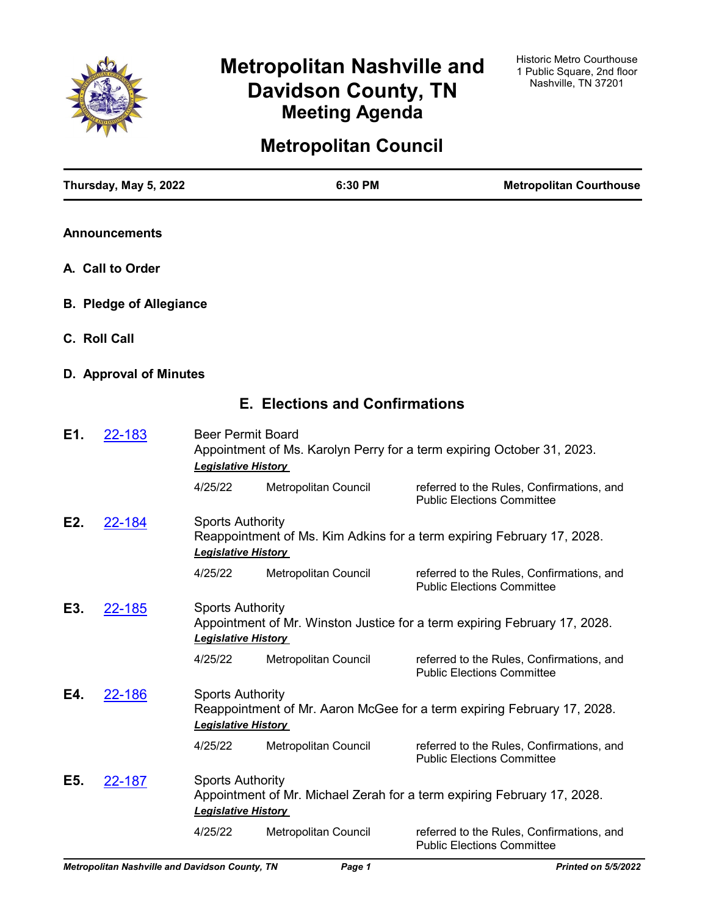

# **Metropolitan Nashville and Davidson County, TN Meeting Agenda**

# **Metropolitan Council**

|     | Thursday, May 5, 2022          |                                                                                                                                 | 6:30 PM                               | <b>Metropolitan Courthouse</b>                                                 |
|-----|--------------------------------|---------------------------------------------------------------------------------------------------------------------------------|---------------------------------------|--------------------------------------------------------------------------------|
|     | <b>Announcements</b>           |                                                                                                                                 |                                       |                                                                                |
|     | A. Call to Order               |                                                                                                                                 |                                       |                                                                                |
|     | <b>B. Pledge of Allegiance</b> |                                                                                                                                 |                                       |                                                                                |
|     | C. Roll Call                   |                                                                                                                                 |                                       |                                                                                |
|     | D. Approval of Minutes         |                                                                                                                                 |                                       |                                                                                |
|     |                                |                                                                                                                                 | <b>E. Elections and Confirmations</b> |                                                                                |
| E1. | 22-183                         | <b>Beer Permit Board</b><br><b>Legislative History</b>                                                                          |                                       | Appointment of Ms. Karolyn Perry for a term expiring October 31, 2023.         |
|     |                                | 4/25/22                                                                                                                         | Metropolitan Council                  | referred to the Rules, Confirmations, and<br><b>Public Elections Committee</b> |
| E2. | 22-184                         | <b>Sports Authority</b><br>Reappointment of Ms. Kim Adkins for a term expiring February 17, 2028.<br><b>Legislative History</b> |                                       |                                                                                |
|     |                                | 4/25/22                                                                                                                         | Metropolitan Council                  | referred to the Rules, Confirmations, and<br><b>Public Elections Committee</b> |
| E3. | 22-185                         | <b>Sports Authority</b><br><b>Legislative History</b>                                                                           |                                       | Appointment of Mr. Winston Justice for a term expiring February 17, 2028.      |
|     |                                | 4/25/22                                                                                                                         | Metropolitan Council                  | referred to the Rules, Confirmations, and<br><b>Public Elections Committee</b> |
| E4. | 22-186                         | <b>Sports Authority</b><br><b>Legislative History</b>                                                                           |                                       | Reappointment of Mr. Aaron McGee for a term expiring February 17, 2028.        |
|     |                                | 4/25/22                                                                                                                         | Metropolitan Council                  | referred to the Rules, Confirmations, and<br><b>Public Elections Committee</b> |
| E5. | <u>22-187</u>                  | <b>Sports Authority</b><br><b>Legislative History</b>                                                                           |                                       | Appointment of Mr. Michael Zerah for a term expiring February 17, 2028.        |
|     |                                | 4/25/22                                                                                                                         | Metropolitan Council                  | referred to the Rules, Confirmations, and<br><b>Public Elections Committee</b> |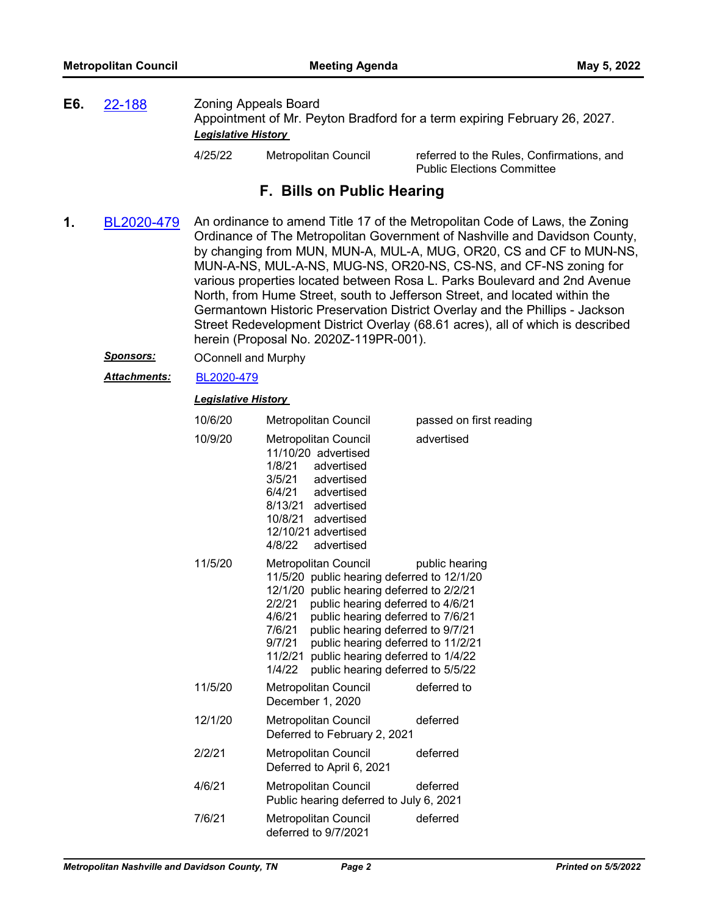**E6.** [22-188](http://nashville.legistar.com/gateway.aspx?m=l&id=/matter.aspx?key=14432) Zoning Appeals Board Appointment of Mr. Peyton Bradford for a term expiring February 26, 2027. *Legislative History* 

4/25/22 Metropolitan Council referred to the Rules, Confirmations, and Public Elections Committee

# **F. Bills on Public Hearing**

- **1.** [BL2020-479](http://nashville.legistar.com/gateway.aspx?m=l&id=/matter.aspx?key=1372) An ordinance to amend Title 17 of the Metropolitan Code of Laws, the Zoning Ordinance of The Metropolitan Government of Nashville and Davidson County, by changing from MUN, MUN-A, MUL-A, MUG, OR20, CS and CF to MUN-NS, MUN-A-NS, MUL-A-NS, MUG-NS, OR20-NS, CS-NS, and CF-NS zoning for various properties located between Rosa L. Parks Boulevard and 2nd Avenue North, from Hume Street, south to Jefferson Street, and located within the Germantown Historic Preservation District Overlay and the Phillips - Jackson Street Redevelopment District Overlay (68.61 acres), all of which is described herein (Proposal No. 2020Z-119PR-001).
	- **Sponsors: OConnell and Murphy**

*Attachments:* [BL2020-479](http://nashville.legistar.com/gateway.aspx?M=F&ID=b63127af-23a1-490f-b955-317e9f38b6eb.pdf)

| 10/6/20 | <b>Metropolitan Council</b>                                                                                                                                                                                                                                                                                                                                                                                 | passed on first reading |
|---------|-------------------------------------------------------------------------------------------------------------------------------------------------------------------------------------------------------------------------------------------------------------------------------------------------------------------------------------------------------------------------------------------------------------|-------------------------|
| 10/9/20 | <b>Metropolitan Council</b><br>11/10/20 advertised<br>1/8/21<br>advertised<br>advertised<br>3/5/21<br>6/4/21 advertised<br>8/13/21 advertised<br>10/8/21 advertised<br>12/10/21 advertised<br>4/8/22 advertised                                                                                                                                                                                             | advertised              |
| 11/5/20 | Metropolitan Council<br>11/5/20 public hearing deferred to 12/1/20<br>12/1/20 public hearing deferred to 2/2/21<br>public hearing deferred to 4/6/21<br>2/2/21<br>public hearing deferred to 7/6/21<br>4/6/21<br>public hearing deferred to 9/7/21<br>7/6/21<br>public hearing deferred to 11/2/21<br>9/7/21<br>public hearing deferred to 1/4/22<br>11/2/21<br>public hearing deferred to 5/5/22<br>1/4/22 | public hearing          |
| 11/5/20 | Metropolitan Council<br>December 1, 2020                                                                                                                                                                                                                                                                                                                                                                    | deferred to             |
| 12/1/20 | Metropolitan Council<br>Deferred to February 2, 2021                                                                                                                                                                                                                                                                                                                                                        | deferred                |
| 2/2/21  | Metropolitan Council<br>Deferred to April 6, 2021                                                                                                                                                                                                                                                                                                                                                           | deferred                |
| 4/6/21  | Metropolitan Council<br>Public hearing deferred to July 6, 2021                                                                                                                                                                                                                                                                                                                                             | deferred                |
| 7/6/21  | Metropolitan Council<br>deferred to 9/7/2021                                                                                                                                                                                                                                                                                                                                                                | deferred                |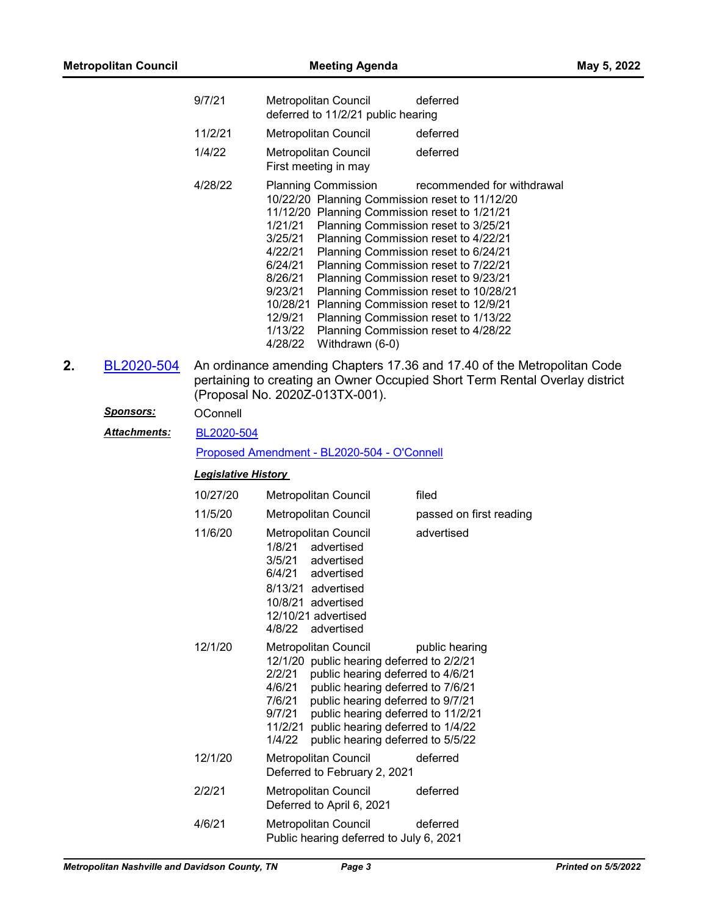|    |                     | 9/7/21                     | Metropolitan Council<br>deferred<br>deferred to 11/2/21 public hearing                                                                                                                                                                                                                                                                                                                                                                                                                                                                                                                                                                                              |
|----|---------------------|----------------------------|---------------------------------------------------------------------------------------------------------------------------------------------------------------------------------------------------------------------------------------------------------------------------------------------------------------------------------------------------------------------------------------------------------------------------------------------------------------------------------------------------------------------------------------------------------------------------------------------------------------------------------------------------------------------|
|    |                     | 11/2/21                    | Metropolitan Council<br>deferred                                                                                                                                                                                                                                                                                                                                                                                                                                                                                                                                                                                                                                    |
|    |                     | 1/4/22                     | deferred<br><b>Metropolitan Council</b><br>First meeting in may                                                                                                                                                                                                                                                                                                                                                                                                                                                                                                                                                                                                     |
|    |                     | 4/28/22                    | <b>Planning Commission</b><br>recommended for withdrawal<br>10/22/20 Planning Commission reset to 11/12/20<br>11/12/20 Planning Commission reset to 1/21/21<br>1/21/21<br>Planning Commission reset to 3/25/21<br>3/25/21<br>Planning Commission reset to 4/22/21<br>4/22/21<br>Planning Commission reset to 6/24/21<br>6/24/21<br>Planning Commission reset to 7/22/21<br>8/26/21<br>Planning Commission reset to 9/23/21<br>9/23/21<br>Planning Commission reset to 10/28/21<br>10/28/21 Planning Commission reset to 12/9/21<br>12/9/21<br>Planning Commission reset to 1/13/22<br>1/13/22<br>Planning Commission reset to 4/28/22<br>4/28/22<br>Withdrawn (6-0) |
| 2. | BL2020-504          |                            | An ordinance amending Chapters 17.36 and 17.40 of the Metropolitan Code<br>pertaining to creating an Owner Occupied Short Term Rental Overlay district<br>(Proposal No. 2020Z-013TX-001).                                                                                                                                                                                                                                                                                                                                                                                                                                                                           |
|    | Sponsors:           | OConnell                   |                                                                                                                                                                                                                                                                                                                                                                                                                                                                                                                                                                                                                                                                     |
|    | <b>Attachments:</b> | BL2020-504                 |                                                                                                                                                                                                                                                                                                                                                                                                                                                                                                                                                                                                                                                                     |
|    |                     |                            | Proposed Amendment - BL2020-504 - O'Connell                                                                                                                                                                                                                                                                                                                                                                                                                                                                                                                                                                                                                         |
|    |                     | <b>Legislative History</b> |                                                                                                                                                                                                                                                                                                                                                                                                                                                                                                                                                                                                                                                                     |
|    |                     | 10/27/20                   | filed<br>Metropolitan Council                                                                                                                                                                                                                                                                                                                                                                                                                                                                                                                                                                                                                                       |
|    |                     | 11/5/20                    | <b>Metropolitan Council</b><br>passed on first reading                                                                                                                                                                                                                                                                                                                                                                                                                                                                                                                                                                                                              |
|    |                     | 11/6/20                    | advertised<br><b>Metropolitan Council</b><br>1/8/21<br>advertised<br>3/5/21<br>advertised<br>6/4/21<br>advertised<br>8/13/21 advertised<br>10/8/21 advertised<br>12/10/21 advertised<br>4/8/22<br>advertised                                                                                                                                                                                                                                                                                                                                                                                                                                                        |
|    |                     | 12/1/20                    | Metropolitan Council<br>public hearing<br>12/1/20 public hearing deferred to 2/2/21<br>2/2/21<br>public hearing deferred to 4/6/21<br>4/6/21<br>public hearing deferred to 7/6/21<br>7/6/21<br>public hearing deferred to 9/7/21<br>9/7/21<br>public hearing deferred to 11/2/21<br>public hearing deferred to 1/4/22<br>11/2/21<br>1/4/22<br>public hearing deferred to 5/5/22                                                                                                                                                                                                                                                                                     |
|    |                     | 12/1/20                    | deferred<br>Metropolitan Council<br>Deferred to February 2, 2021                                                                                                                                                                                                                                                                                                                                                                                                                                                                                                                                                                                                    |
|    |                     | 2/2/21                     | Metropolitan Council<br>deferred<br>Deferred to April 6, 2021                                                                                                                                                                                                                                                                                                                                                                                                                                                                                                                                                                                                       |
|    |                     | 4/6/21                     | Metropolitan Council<br>deferred<br>Public hearing deferred to July 6, 2021                                                                                                                                                                                                                                                                                                                                                                                                                                                                                                                                                                                         |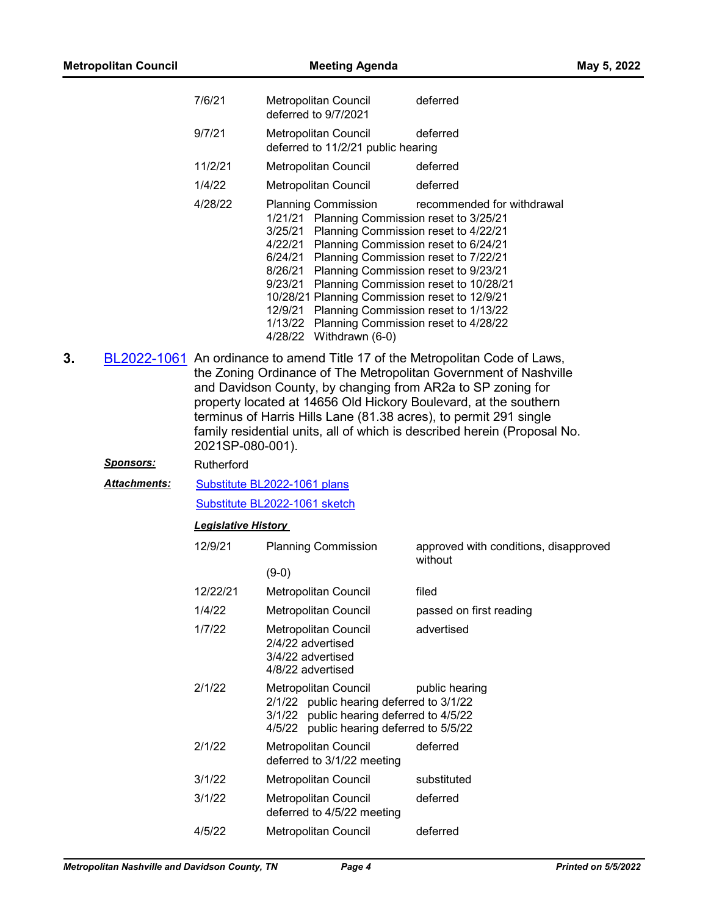|    |                  | 7/6/21                        | Metropolitan Council<br>deferred to 9/7/2021                                                                                                                                                                                                                                                                                                                                                                                                                                                                  | deferred                                         |  |  |
|----|------------------|-------------------------------|---------------------------------------------------------------------------------------------------------------------------------------------------------------------------------------------------------------------------------------------------------------------------------------------------------------------------------------------------------------------------------------------------------------------------------------------------------------------------------------------------------------|--------------------------------------------------|--|--|
|    |                  | 9/7/21                        | Metropolitan Council<br>deferred to 11/2/21 public hearing                                                                                                                                                                                                                                                                                                                                                                                                                                                    | deferred                                         |  |  |
|    |                  | 11/2/21                       | Metropolitan Council                                                                                                                                                                                                                                                                                                                                                                                                                                                                                          | deferred                                         |  |  |
|    |                  | 1/4/22                        | Metropolitan Council                                                                                                                                                                                                                                                                                                                                                                                                                                                                                          | deferred                                         |  |  |
|    |                  | 4/28/22                       | <b>Planning Commission</b><br>1/21/21 Planning Commission reset to 3/25/21<br>3/25/21<br>Planning Commission reset to 4/22/21<br>Planning Commission reset to 6/24/21<br>4/22/21<br>6/24/21 Planning Commission reset to 7/22/21<br>8/26/21 Planning Commission reset to 9/23/21<br>9/23/21 Planning Commission reset to 10/28/21<br>10/28/21 Planning Commission reset to 12/9/21<br>12/9/21 Planning Commission reset to 1/13/22<br>1/13/22 Planning Commission reset to 4/28/22<br>4/28/22 Withdrawn (6-0) | recommended for withdrawal                       |  |  |
| 3. | 2021SP-080-001). |                               | BL2022-1061 An ordinance to amend Title 17 of the Metropolitan Code of Laws,<br>the Zoning Ordinance of The Metropolitan Government of Nashville<br>and Davidson County, by changing from AR2a to SP zoning for<br>property located at 14656 Old Hickory Boulevard, at the southern<br>terminus of Harris Hills Lane (81.38 acres), to permit 291 single<br>family residential units, all of which is described herein (Proposal No.                                                                          |                                                  |  |  |
|    | Sponsors:        | Rutherford                    |                                                                                                                                                                                                                                                                                                                                                                                                                                                                                                               |                                                  |  |  |
|    | Attachments:     | Substitute BL2022-1061 plans  |                                                                                                                                                                                                                                                                                                                                                                                                                                                                                                               |                                                  |  |  |
|    |                  | Substitute BL2022-1061 sketch |                                                                                                                                                                                                                                                                                                                                                                                                                                                                                                               |                                                  |  |  |
|    |                  | <b>Legislative History</b>    |                                                                                                                                                                                                                                                                                                                                                                                                                                                                                                               |                                                  |  |  |
|    |                  | 12/9/21                       | <b>Planning Commission</b>                                                                                                                                                                                                                                                                                                                                                                                                                                                                                    | approved with conditions, disapproved<br>without |  |  |
|    |                  |                               | $(9-0)$                                                                                                                                                                                                                                                                                                                                                                                                                                                                                                       |                                                  |  |  |
|    |                  | 12/22/21                      | Metropolitan Council                                                                                                                                                                                                                                                                                                                                                                                                                                                                                          | filed                                            |  |  |
|    |                  | 1/4/22                        | Metropolitan Council                                                                                                                                                                                                                                                                                                                                                                                                                                                                                          | passed on first reading                          |  |  |
|    |                  | 1/7/22                        | Metropolitan Council<br>2/4/22 advertised<br>3/4/22 advertised<br>4/8/22 advertised                                                                                                                                                                                                                                                                                                                                                                                                                           | advertised                                       |  |  |
|    |                  | 2/1/22                        | Metropolitan Council<br>2/1/22 public hearing deferred to 3/1/22<br>3/1/22 public hearing deferred to 4/5/22<br>4/5/22 public hearing deferred to 5/5/22                                                                                                                                                                                                                                                                                                                                                      | public hearing                                   |  |  |
|    |                  | 2/1/22                        | Metropolitan Council<br>deferred to 3/1/22 meeting                                                                                                                                                                                                                                                                                                                                                                                                                                                            | deferred                                         |  |  |
|    |                  | 3/1/22                        | Metropolitan Council                                                                                                                                                                                                                                                                                                                                                                                                                                                                                          | substituted                                      |  |  |

*Metropolitan Nashville and Davidson County, TN Page 4 Printed on 5/5/2022*

3/1/22 Metropolitan Council deferred deferred to 4/5/22 meeting 4/5/22 Metropolitan Council deferred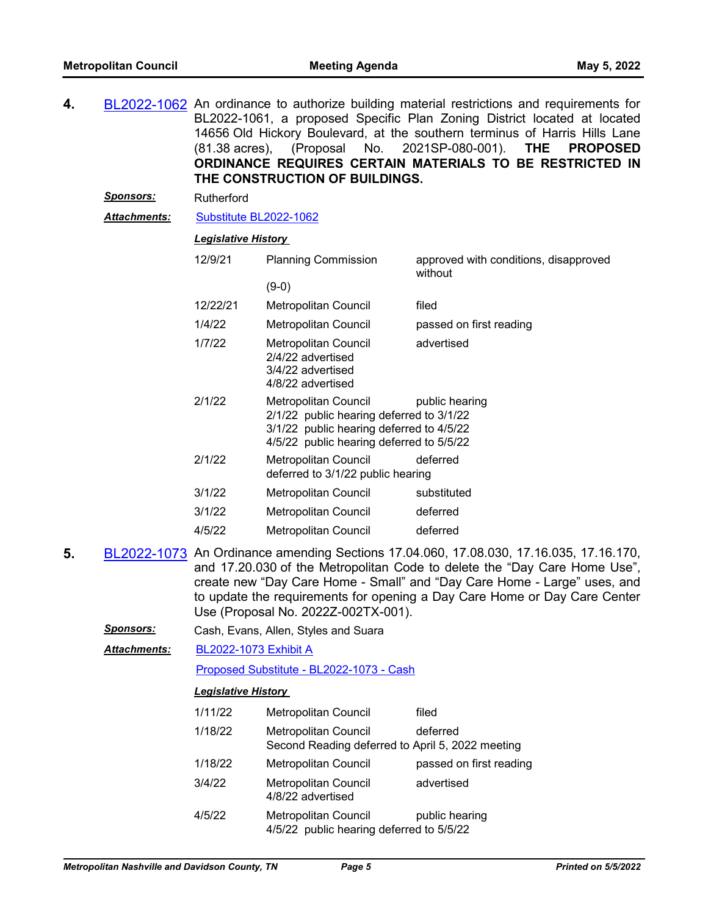- **4.** [BL2022-1062](http://nashville.legistar.com/gateway.aspx?m=l&id=/matter.aspx?key=13969) An ordinance to authorize building material restrictions and requirements for BL2022-1061, a proposed Specific Plan Zoning District located at located 14656 Old Hickory Boulevard, at the southern terminus of Harris Hills Lane (81.38 acres), (Proposal No. 2021SP-080-001). **THE PROPOSED ORDINANCE REQUIRES CERTAIN MATERIALS TO BE RESTRICTED IN THE CONSTRUCTION OF BUILDINGS.**
	- *Sponsors:* Rutherford

*Attachments:* [Substitute BL2022-1062](http://nashville.legistar.com/gateway.aspx?M=F&ID=8023b7f1-1b0a-4c29-8730-f743e6bd6913.docx)

#### *Legislative History*

| 12/9/21  | <b>Planning Commission</b><br>$(9-0)$                                                                                                                    | approved with conditions, disapproved<br>without |
|----------|----------------------------------------------------------------------------------------------------------------------------------------------------------|--------------------------------------------------|
| 12/22/21 | Metropolitan Council                                                                                                                                     | filed                                            |
| 1/4/22   | Metropolitan Council                                                                                                                                     | passed on first reading                          |
| 1/7/22   | Metropolitan Council<br>2/4/22 advertised<br>3/4/22 advertised<br>4/8/22 advertised                                                                      | advertised                                       |
| 2/1/22   | Metropolitan Council<br>2/1/22 public hearing deferred to 3/1/22<br>3/1/22 public hearing deferred to 4/5/22<br>4/5/22 public hearing deferred to 5/5/22 | public hearing                                   |
| 2/1/22   | Metropolitan Council<br>deferred to 3/1/22 public hearing                                                                                                | deferred                                         |
| 3/1/22   | Metropolitan Council                                                                                                                                     | substituted                                      |
| 3/1/22   | Metropolitan Council                                                                                                                                     | deferred                                         |
| 4/5/22   | <b>Metropolitan Council</b>                                                                                                                              | deferred                                         |

- **5.** [BL2022-1073](http://nashville.legistar.com/gateway.aspx?m=l&id=/matter.aspx?key=14044) An Ordinance amending Sections 17.04.060, 17.08.030, 17.16.035, 17.16.170, and 17.20.030 of the Metropolitan Code to delete the "Day Care Home Use", create new "Day Care Home - Small" and "Day Care Home - Large" uses, and to update the requirements for opening a Day Care Home or Day Care Center Use (Proposal No. 2022Z-002TX-001).
	- *Sponsors:* Cash, Evans, Allen, Styles and Suara

[BL2022-1073 Exhibit A](http://nashville.legistar.com/gateway.aspx?M=F&ID=4a35e93c-0751-4a48-9859-4854d279e6ca.docx) [Proposed Substitute - BL2022-1073 - Cash](http://nashville.legistar.com/gateway.aspx?M=F&ID=5182e2c5-63ea-40f6-b6af-295901bfc28c.docx) *Attachments:*

| 1/11/22 | Metropolitan Council                                                            | filed                   |
|---------|---------------------------------------------------------------------------------|-------------------------|
| 1/18/22 | <b>Metropolitan Council</b><br>Second Reading deferred to April 5, 2022 meeting | deferred                |
| 1/18/22 | <b>Metropolitan Council</b>                                                     | passed on first reading |
| 3/4/22  | <b>Metropolitan Council</b><br>4/8/22 advertised                                | advertised              |
| 4/5/22  | <b>Metropolitan Council</b><br>4/5/22 public hearing deferred to 5/5/22         | public hearing          |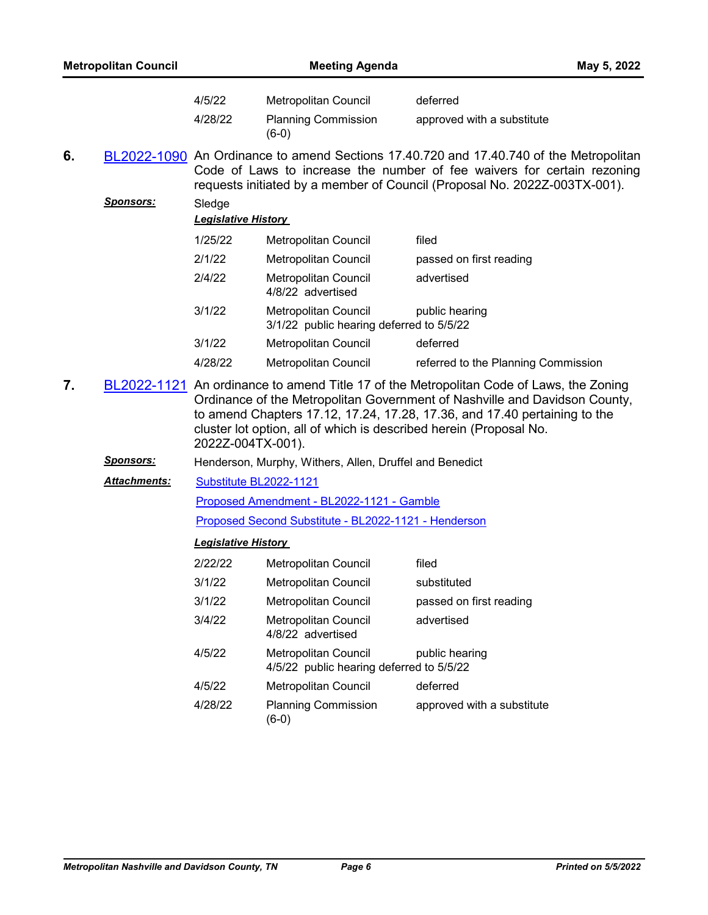|    | <b>Metropolitan Council</b> |                                                                                                                                                                                                                                                                                                                                               | <b>Meeting Agenda</b>                                            |                                                                                                                                                                                                                                                | May 5, 2022 |
|----|-----------------------------|-----------------------------------------------------------------------------------------------------------------------------------------------------------------------------------------------------------------------------------------------------------------------------------------------------------------------------------------------|------------------------------------------------------------------|------------------------------------------------------------------------------------------------------------------------------------------------------------------------------------------------------------------------------------------------|-------------|
|    |                             | 4/5/22                                                                                                                                                                                                                                                                                                                                        | Metropolitan Council                                             | deferred                                                                                                                                                                                                                                       |             |
|    |                             | 4/28/22                                                                                                                                                                                                                                                                                                                                       | <b>Planning Commission</b><br>$(6-0)$                            | approved with a substitute                                                                                                                                                                                                                     |             |
| 6. |                             |                                                                                                                                                                                                                                                                                                                                               |                                                                  | BL2022-1090 An Ordinance to amend Sections 17.40.720 and 17.40.740 of the Metropolitan<br>Code of Laws to increase the number of fee waivers for certain rezoning<br>requests initiated by a member of Council (Proposal No. 2022Z-003TX-001). |             |
|    | <u>Sponsors:</u>            | Sledge<br><b>Legislative History</b>                                                                                                                                                                                                                                                                                                          |                                                                  |                                                                                                                                                                                                                                                |             |
|    |                             | 1/25/22                                                                                                                                                                                                                                                                                                                                       | Metropolitan Council                                             | filed                                                                                                                                                                                                                                          |             |
|    |                             | 2/1/22                                                                                                                                                                                                                                                                                                                                        | Metropolitan Council                                             | passed on first reading                                                                                                                                                                                                                        |             |
|    |                             | 2/4/22                                                                                                                                                                                                                                                                                                                                        | <b>Metropolitan Council</b><br>4/8/22 advertised                 | advertised                                                                                                                                                                                                                                     |             |
|    |                             | 3/1/22                                                                                                                                                                                                                                                                                                                                        | Metropolitan Council<br>3/1/22 public hearing deferred to 5/5/22 | public hearing                                                                                                                                                                                                                                 |             |
|    |                             | 3/1/22                                                                                                                                                                                                                                                                                                                                        | <b>Metropolitan Council</b>                                      | deferred                                                                                                                                                                                                                                       |             |
|    |                             | 4/28/22                                                                                                                                                                                                                                                                                                                                       | Metropolitan Council                                             | referred to the Planning Commission                                                                                                                                                                                                            |             |
| 7. |                             | BL2022-1121 An ordinance to amend Title 17 of the Metropolitan Code of Laws, the Zoning<br>Ordinance of the Metropolitan Government of Nashville and Davidson County,<br>to amend Chapters 17.12, 17.24, 17.28, 17.36, and 17.40 pertaining to the<br>cluster lot option, all of which is described herein (Proposal No.<br>2022Z-004TX-001). |                                                                  |                                                                                                                                                                                                                                                |             |
|    | <u>Sponsors:</u>            |                                                                                                                                                                                                                                                                                                                                               | Henderson, Murphy, Withers, Allen, Druffel and Benedict          |                                                                                                                                                                                                                                                |             |
|    | Attachments:                | Substitute BL2022-1121                                                                                                                                                                                                                                                                                                                        |                                                                  |                                                                                                                                                                                                                                                |             |
|    |                             |                                                                                                                                                                                                                                                                                                                                               | Proposed Amendment - BL2022-1121 - Gamble                        |                                                                                                                                                                                                                                                |             |
|    |                             |                                                                                                                                                                                                                                                                                                                                               | Proposed Second Substitute - BL2022-1121 - Henderson             |                                                                                                                                                                                                                                                |             |
|    |                             | <b>Legislative History</b>                                                                                                                                                                                                                                                                                                                    |                                                                  |                                                                                                                                                                                                                                                |             |
|    |                             | 2/22/22                                                                                                                                                                                                                                                                                                                                       | Metropolitan Council                                             | filed                                                                                                                                                                                                                                          |             |
|    |                             | 3/1/22                                                                                                                                                                                                                                                                                                                                        | Metropolitan Council                                             | substituted                                                                                                                                                                                                                                    |             |
|    |                             | 3/1/22                                                                                                                                                                                                                                                                                                                                        | <b>Metropolitan Council</b>                                      | passed on first reading                                                                                                                                                                                                                        |             |
|    |                             | 3/4/22                                                                                                                                                                                                                                                                                                                                        | Metropolitan Council<br>4/8/22 advertised                        | advertised                                                                                                                                                                                                                                     |             |
|    |                             | 4/5/22                                                                                                                                                                                                                                                                                                                                        | Metropolitan Council<br>4/5/22 public hearing deferred to 5/5/22 | public hearing                                                                                                                                                                                                                                 |             |
|    |                             | 4/5/22                                                                                                                                                                                                                                                                                                                                        | Metropolitan Council                                             | deferred                                                                                                                                                                                                                                       |             |
|    |                             | 4/28/22                                                                                                                                                                                                                                                                                                                                       | <b>Planning Commission</b><br>$(6-0)$                            | approved with a substitute                                                                                                                                                                                                                     |             |
|    |                             |                                                                                                                                                                                                                                                                                                                                               |                                                                  |                                                                                                                                                                                                                                                |             |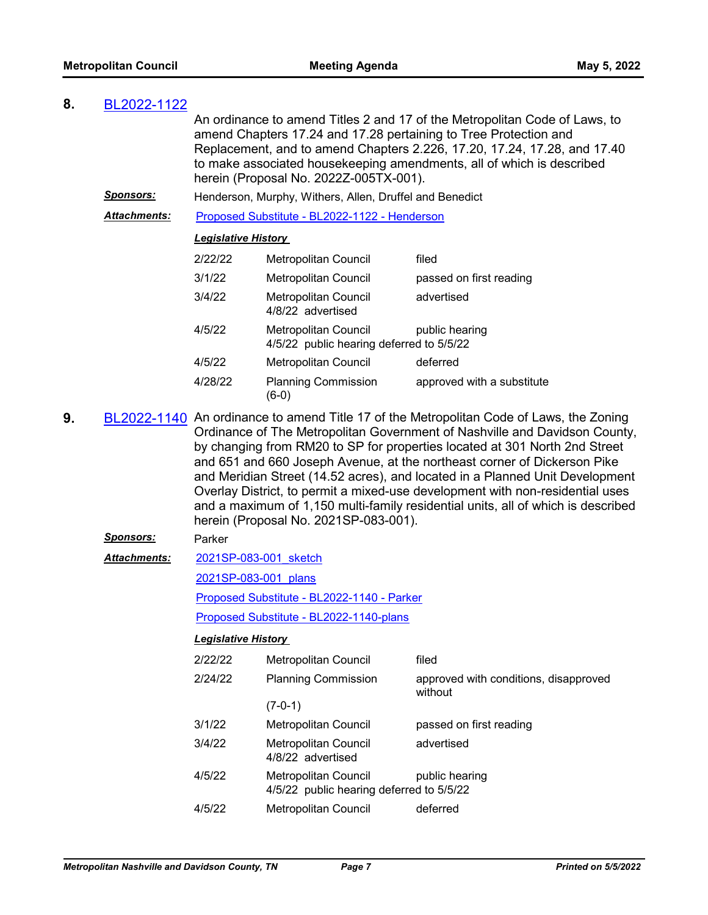| 8. | BL2022-1122         |                                                                                                                                                                                                                                                                                                                                                                                                                                                                                                                                                                                                                               |                                                                                           |                            |  |
|----|---------------------|-------------------------------------------------------------------------------------------------------------------------------------------------------------------------------------------------------------------------------------------------------------------------------------------------------------------------------------------------------------------------------------------------------------------------------------------------------------------------------------------------------------------------------------------------------------------------------------------------------------------------------|-------------------------------------------------------------------------------------------|----------------------------|--|
|    |                     | An ordinance to amend Titles 2 and 17 of the Metropolitan Code of Laws, to<br>amend Chapters 17.24 and 17.28 pertaining to Tree Protection and<br>Replacement, and to amend Chapters 2.226, 17.20, 17.24, 17.28, and 17.40<br>to make associated housekeeping amendments, all of which is described<br>herein (Proposal No. 2022Z-005TX-001).                                                                                                                                                                                                                                                                                 |                                                                                           |                            |  |
|    | <b>Sponsors:</b>    |                                                                                                                                                                                                                                                                                                                                                                                                                                                                                                                                                                                                                               | Henderson, Murphy, Withers, Allen, Druffel and Benedict                                   |                            |  |
|    | <b>Attachments:</b> |                                                                                                                                                                                                                                                                                                                                                                                                                                                                                                                                                                                                                               | Proposed Substitute - BL2022-1122 - Henderson                                             |                            |  |
|    |                     | <b>Legislative History</b>                                                                                                                                                                                                                                                                                                                                                                                                                                                                                                                                                                                                    |                                                                                           |                            |  |
|    |                     | 2/22/22                                                                                                                                                                                                                                                                                                                                                                                                                                                                                                                                                                                                                       | Metropolitan Council                                                                      | filed                      |  |
|    |                     | 3/1/22                                                                                                                                                                                                                                                                                                                                                                                                                                                                                                                                                                                                                        | Metropolitan Council                                                                      | passed on first reading    |  |
|    |                     | 3/4/22                                                                                                                                                                                                                                                                                                                                                                                                                                                                                                                                                                                                                        | Metropolitan Council<br>4/8/22 advertised                                                 | advertised                 |  |
|    |                     | 4/5/22                                                                                                                                                                                                                                                                                                                                                                                                                                                                                                                                                                                                                        | <b>Metropolitan Council</b><br>public hearing<br>4/5/22 public hearing deferred to 5/5/22 |                            |  |
|    |                     | 4/5/22                                                                                                                                                                                                                                                                                                                                                                                                                                                                                                                                                                                                                        | <b>Metropolitan Council</b>                                                               | deferred                   |  |
|    |                     | 4/28/22                                                                                                                                                                                                                                                                                                                                                                                                                                                                                                                                                                                                                       | <b>Planning Commission</b><br>$(6-0)$                                                     | approved with a substitute |  |
| 9. |                     | BL2022-1140 An ordinance to amend Title 17 of the Metropolitan Code of Laws, the Zoning<br>Ordinance of The Metropolitan Government of Nashville and Davidson County,<br>by changing from RM20 to SP for properties located at 301 North 2nd Street<br>and 651 and 660 Joseph Avenue, at the northeast corner of Dickerson Pike<br>and Meridian Street (14.52 acres), and located in a Planned Unit Development<br>Overlay District, to permit a mixed-use development with non-residential uses<br>and a maximum of 1,150 multi-family residential units, all of which is described<br>herein (Proposal No. 2021SP-083-001). |                                                                                           |                            |  |
|    | <b>Sponsors:</b>    | Parker                                                                                                                                                                                                                                                                                                                                                                                                                                                                                                                                                                                                                        |                                                                                           |                            |  |
|    | <b>Attachments:</b> | 2021SP-083-001 sketch                                                                                                                                                                                                                                                                                                                                                                                                                                                                                                                                                                                                         |                                                                                           |                            |  |
|    |                     | 2021SP-083-001 plans                                                                                                                                                                                                                                                                                                                                                                                                                                                                                                                                                                                                          |                                                                                           |                            |  |
|    |                     |                                                                                                                                                                                                                                                                                                                                                                                                                                                                                                                                                                                                                               |                                                                                           |                            |  |

[Proposed Substitute - BL2022-1140 - Parker](http://nashville.legistar.com/gateway.aspx?M=F&ID=1c588d59-286c-4f37-84de-ae6e68f6a5ec.docx)

[Proposed Substitute - BL2022-1140-plans](http://nashville.legistar.com/gateway.aspx?M=F&ID=00a45b06-4f3d-47c5-8652-17f0ff0e22e1.pdf)

| 2/22/22 | Metropolitan Council                                             | filed                                            |
|---------|------------------------------------------------------------------|--------------------------------------------------|
| 2/24/22 | <b>Planning Commission</b>                                       | approved with conditions, disapproved<br>without |
|         | $(7-0-1)$                                                        |                                                  |
| 3/1/22  | Metropolitan Council                                             | passed on first reading                          |
| 3/4/22  | Metropolitan Council<br>4/8/22 advertised                        | advertised                                       |
| 4/5/22  | Metropolitan Council<br>4/5/22 public hearing deferred to 5/5/22 | public hearing                                   |
| 4/5/22  | Metropolitan Council                                             | deferred                                         |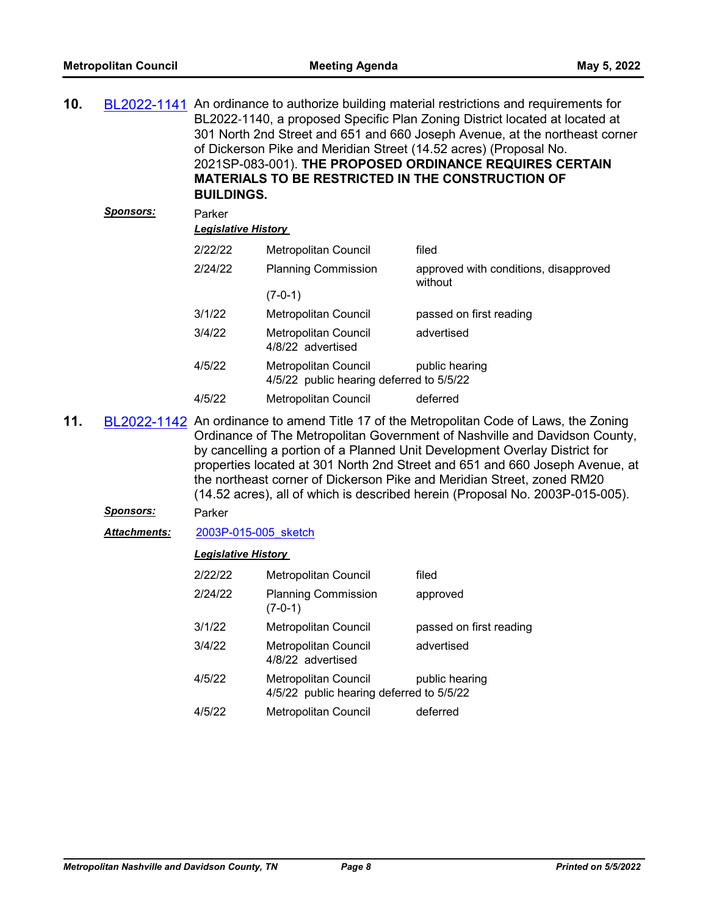| 10. | BL2022-1141      | An ordinance to authorize building material restrictions and requirements for<br>BL2022-1140, a proposed Specific Plan Zoning District located at located at<br>301 North 2nd Street and 651 and 660 Joseph Avenue, at the northeast corner<br>of Dickerson Pike and Meridian Street (14.52 acres) (Proposal No.<br>2021SP-083-001). THE PROPOSED ORDINANCE REQUIRES CERTAIN<br><b>MATERIALS TO BE RESTRICTED IN THE CONSTRUCTION OF</b><br><b>BUILDINGS.</b> |                                                                  |                                                  |
|-----|------------------|---------------------------------------------------------------------------------------------------------------------------------------------------------------------------------------------------------------------------------------------------------------------------------------------------------------------------------------------------------------------------------------------------------------------------------------------------------------|------------------------------------------------------------------|--------------------------------------------------|
|     | <b>Sponsors:</b> | Parker<br><u> Legislative History </u>                                                                                                                                                                                                                                                                                                                                                                                                                        |                                                                  |                                                  |
|     |                  | 2/22/22                                                                                                                                                                                                                                                                                                                                                                                                                                                       | Metropolitan Council                                             | filed                                            |
|     |                  | 2/24/22                                                                                                                                                                                                                                                                                                                                                                                                                                                       | <b>Planning Commission</b><br>$(7-0-1)$                          | approved with conditions, disapproved<br>without |
|     |                  | 3/1/22                                                                                                                                                                                                                                                                                                                                                                                                                                                        | <b>Metropolitan Council</b>                                      | passed on first reading                          |
|     |                  | 3/4/22                                                                                                                                                                                                                                                                                                                                                                                                                                                        | Metropolitan Council<br>4/8/22 advertised                        | advertised                                       |
|     |                  | 4/5/22                                                                                                                                                                                                                                                                                                                                                                                                                                                        | Metropolitan Council<br>4/5/22 public hearing deferred to 5/5/22 | public hearing                                   |
|     |                  | 4/5/22                                                                                                                                                                                                                                                                                                                                                                                                                                                        | Metropolitan Council                                             | deferred                                         |
|     |                  |                                                                                                                                                                                                                                                                                                                                                                                                                                                               |                                                                  |                                                  |

**11.** [BL2022-1142](http://nashville.legistar.com/gateway.aspx?m=l&id=/matter.aspx?key=14185) An ordinance to amend Title 17 of the Metropolitan Code of Laws, the Zoning Ordinance of The Metropolitan Government of Nashville and Davidson County, by cancelling a portion of a Planned Unit Development Overlay District for properties located at 301 North 2nd Street and 651 and 660 Joseph Avenue, at the northeast corner of Dickerson Pike and Meridian Street, zoned RM20 (14.52 acres), all of which is described herein (Proposal No. 2003P-015-005).

#### *Sponsors:* Parker

Attachments: 2003P-015-005 sketch

| 2/22/22 | Metropolitan Council                                             | filed                   |
|---------|------------------------------------------------------------------|-------------------------|
| 2/24/22 | <b>Planning Commission</b><br>$(7-0-1)$                          | approved                |
| 3/1/22  | Metropolitan Council                                             | passed on first reading |
| 3/4/22  | Metropolitan Council<br>4/8/22 advertised                        | advertised              |
| 4/5/22  | Metropolitan Council<br>4/5/22 public hearing deferred to 5/5/22 | public hearing          |
| 4/5/22  | Metropolitan Council                                             | deferred                |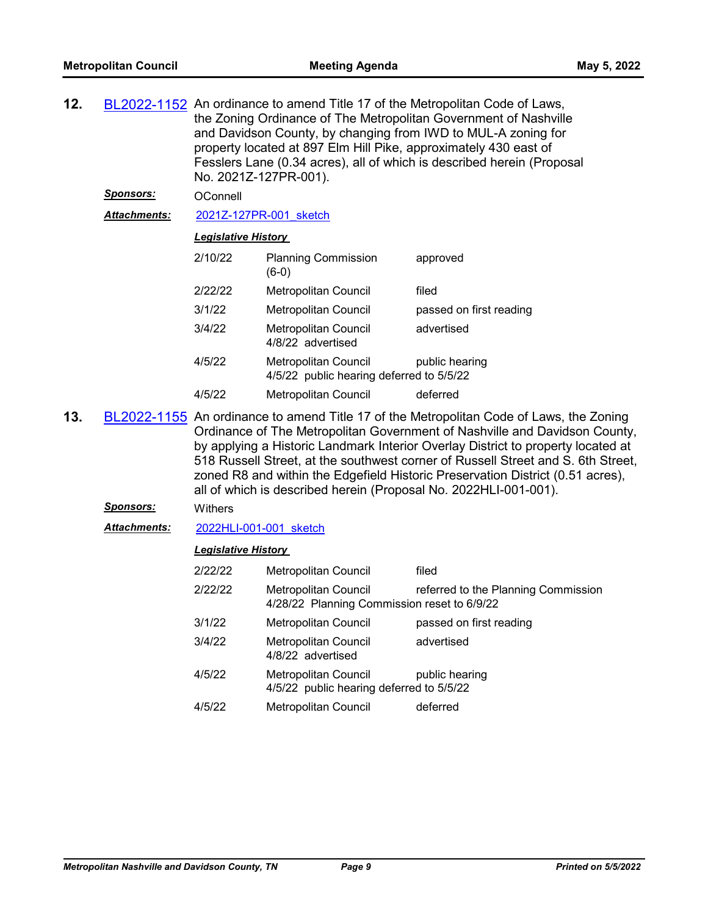| BL2022-1152 An ordinance to amend Title 17 of the Metropolitan Code of Laws,<br>the Zoning Ordinance of The Metropolitan Government of Nashville<br>and Davidson County, by changing from IWD to MUL-A zoning for<br>property located at 897 Elm Hill Pike, approximately 430 east of<br>Fesslers Lane (0.34 acres), all of which is described herein (Proposal<br>No. 2021Z-127PR-001).<br>OConnell |  |  |  |
|------------------------------------------------------------------------------------------------------------------------------------------------------------------------------------------------------------------------------------------------------------------------------------------------------------------------------------------------------------------------------------------------------|--|--|--|
|                                                                                                                                                                                                                                                                                                                                                                                                      |  |  |  |
|                                                                                                                                                                                                                                                                                                                                                                                                      |  |  |  |
|                                                                                                                                                                                                                                                                                                                                                                                                      |  |  |  |
|                                                                                                                                                                                                                                                                                                                                                                                                      |  |  |  |
|                                                                                                                                                                                                                                                                                                                                                                                                      |  |  |  |
|                                                                                                                                                                                                                                                                                                                                                                                                      |  |  |  |
|                                                                                                                                                                                                                                                                                                                                                                                                      |  |  |  |
|                                                                                                                                                                                                                                                                                                                                                                                                      |  |  |  |
| passed on first reading                                                                                                                                                                                                                                                                                                                                                                              |  |  |  |

**13.** [BL2022-1155](http://nashville.legistar.com/gateway.aspx?m=l&id=/matter.aspx?key=14191) An ordinance to amend Title 17 of the Metropolitan Code of Laws, the Zoning Ordinance of The Metropolitan Government of Nashville and Davidson County, by applying a Historic Landmark Interior Overlay District to property located at 518 Russell Street, at the southwest corner of Russell Street and S. 6th Street, zoned R8 and within the Edgefield Historic Preservation District (0.51 acres), all of which is described herein (Proposal No. 2022HLI-001-001).

# *Sponsors:* Withers

*Attachments:* [2022HLI-001-001\\_sketch](http://nashville.legistar.com/gateway.aspx?M=F&ID=f36a97f0-aaec-45ff-8baa-6aad5bb9d7d6.docx)

| 2/22/22 | <b>Metropolitan Council</b>                                         | filed                               |
|---------|---------------------------------------------------------------------|-------------------------------------|
| 2/22/22 | Metropolitan Council<br>4/28/22 Planning Commission reset to 6/9/22 | referred to the Planning Commission |
| 3/1/22  | <b>Metropolitan Council</b>                                         | passed on first reading             |
| 3/4/22  | <b>Metropolitan Council</b><br>4/8/22 advertised                    | advertised                          |
| 4/5/22  | Metropolitan Council<br>4/5/22 public hearing deferred to 5/5/22    | public hearing                      |
| 4/5/22  | <b>Metropolitan Council</b>                                         | deferred                            |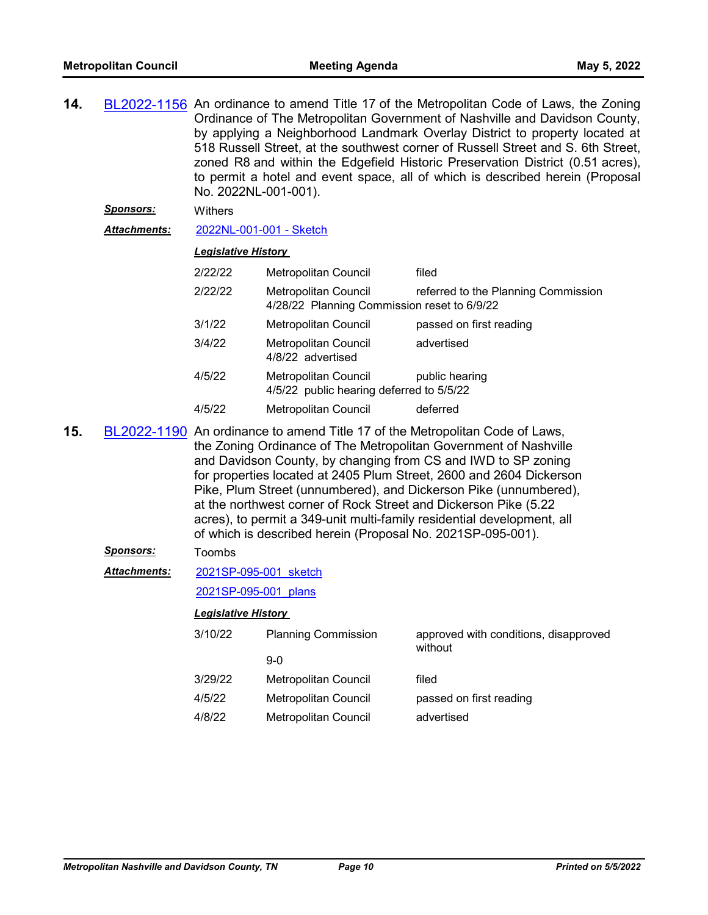| 14.                                                                                                                                                                                                                                                                                                                                                                                                                                                                                                                                                                             | <u>Sponsors:</u>    | BL2022-1156 An ordinance to amend Title 17 of the Metropolitan Code of Laws, the Zoning<br>Ordinance of The Metropolitan Government of Nashville and Davidson County,<br>by applying a Neighborhood Landmark Overlay District to property located at<br>518 Russell Street, at the southwest corner of Russell Street and S. 6th Street,<br>zoned R8 and within the Edgefield Historic Preservation District (0.51 acres),<br>to permit a hotel and event space, all of which is described herein (Proposal<br>No. 2022NL-001-001).<br>Withers |                                                                     |                                                  |  |  |
|---------------------------------------------------------------------------------------------------------------------------------------------------------------------------------------------------------------------------------------------------------------------------------------------------------------------------------------------------------------------------------------------------------------------------------------------------------------------------------------------------------------------------------------------------------------------------------|---------------------|------------------------------------------------------------------------------------------------------------------------------------------------------------------------------------------------------------------------------------------------------------------------------------------------------------------------------------------------------------------------------------------------------------------------------------------------------------------------------------------------------------------------------------------------|---------------------------------------------------------------------|--------------------------------------------------|--|--|
|                                                                                                                                                                                                                                                                                                                                                                                                                                                                                                                                                                                 | <b>Attachments:</b> | 2022NL-001-001 - Sketch                                                                                                                                                                                                                                                                                                                                                                                                                                                                                                                        |                                                                     |                                                  |  |  |
|                                                                                                                                                                                                                                                                                                                                                                                                                                                                                                                                                                                 |                     | <b>Legislative History</b>                                                                                                                                                                                                                                                                                                                                                                                                                                                                                                                     |                                                                     |                                                  |  |  |
|                                                                                                                                                                                                                                                                                                                                                                                                                                                                                                                                                                                 |                     | 2/22/22                                                                                                                                                                                                                                                                                                                                                                                                                                                                                                                                        | Metropolitan Council                                                | filed                                            |  |  |
|                                                                                                                                                                                                                                                                                                                                                                                                                                                                                                                                                                                 |                     | 2/22/22                                                                                                                                                                                                                                                                                                                                                                                                                                                                                                                                        | Metropolitan Council<br>4/28/22 Planning Commission reset to 6/9/22 | referred to the Planning Commission              |  |  |
|                                                                                                                                                                                                                                                                                                                                                                                                                                                                                                                                                                                 |                     | 3/1/22                                                                                                                                                                                                                                                                                                                                                                                                                                                                                                                                         | <b>Metropolitan Council</b>                                         | passed on first reading                          |  |  |
|                                                                                                                                                                                                                                                                                                                                                                                                                                                                                                                                                                                 |                     | 3/4/22                                                                                                                                                                                                                                                                                                                                                                                                                                                                                                                                         | Metropolitan Council<br>4/8/22 advertised                           | advertised                                       |  |  |
|                                                                                                                                                                                                                                                                                                                                                                                                                                                                                                                                                                                 |                     | 4/5/22                                                                                                                                                                                                                                                                                                                                                                                                                                                                                                                                         | Metropolitan Council<br>4/5/22 public hearing deferred to 5/5/22    | public hearing                                   |  |  |
|                                                                                                                                                                                                                                                                                                                                                                                                                                                                                                                                                                                 |                     | 4/5/22                                                                                                                                                                                                                                                                                                                                                                                                                                                                                                                                         | Metropolitan Council                                                | deferred                                         |  |  |
| 15.<br>BL2022-1190 An ordinance to amend Title 17 of the Metropolitan Code of Laws,<br>the Zoning Ordinance of The Metropolitan Government of Nashville<br>and Davidson County, by changing from CS and IWD to SP zoning<br>for properties located at 2405 Plum Street, 2600 and 2604 Dickerson<br>Pike, Plum Street (unnumbered), and Dickerson Pike (unnumbered),<br>at the northwest corner of Rock Street and Dickerson Pike (5.22<br>acres), to permit a 349-unit multi-family residential development, all<br>of which is described herein (Proposal No. 2021SP-095-001). |                     |                                                                                                                                                                                                                                                                                                                                                                                                                                                                                                                                                |                                                                     |                                                  |  |  |
|                                                                                                                                                                                                                                                                                                                                                                                                                                                                                                                                                                                 | <b>Sponsors:</b>    | Toombs                                                                                                                                                                                                                                                                                                                                                                                                                                                                                                                                         |                                                                     |                                                  |  |  |
|                                                                                                                                                                                                                                                                                                                                                                                                                                                                                                                                                                                 | <b>Attachments:</b> | 2021SP-095-001 sketch                                                                                                                                                                                                                                                                                                                                                                                                                                                                                                                          |                                                                     |                                                  |  |  |
|                                                                                                                                                                                                                                                                                                                                                                                                                                                                                                                                                                                 |                     | 2021SP-095-001 plans                                                                                                                                                                                                                                                                                                                                                                                                                                                                                                                           |                                                                     |                                                  |  |  |
|                                                                                                                                                                                                                                                                                                                                                                                                                                                                                                                                                                                 |                     | <b>Legislative History</b>                                                                                                                                                                                                                                                                                                                                                                                                                                                                                                                     |                                                                     |                                                  |  |  |
|                                                                                                                                                                                                                                                                                                                                                                                                                                                                                                                                                                                 |                     | 3/10/22                                                                                                                                                                                                                                                                                                                                                                                                                                                                                                                                        | <b>Planning Commission</b>                                          | approved with conditions, disapproved<br>without |  |  |
|                                                                                                                                                                                                                                                                                                                                                                                                                                                                                                                                                                                 |                     |                                                                                                                                                                                                                                                                                                                                                                                                                                                                                                                                                | $9-0$                                                               |                                                  |  |  |
|                                                                                                                                                                                                                                                                                                                                                                                                                                                                                                                                                                                 |                     | 3/29/22                                                                                                                                                                                                                                                                                                                                                                                                                                                                                                                                        | <b>Metropolitan Council</b>                                         | filed                                            |  |  |
|                                                                                                                                                                                                                                                                                                                                                                                                                                                                                                                                                                                 |                     | 4/5/22                                                                                                                                                                                                                                                                                                                                                                                                                                                                                                                                         | Metropolitan Council                                                | passed on first reading                          |  |  |
|                                                                                                                                                                                                                                                                                                                                                                                                                                                                                                                                                                                 |                     | 4/8/22                                                                                                                                                                                                                                                                                                                                                                                                                                                                                                                                         | Metropolitan Council                                                | advertised                                       |  |  |
|                                                                                                                                                                                                                                                                                                                                                                                                                                                                                                                                                                                 |                     |                                                                                                                                                                                                                                                                                                                                                                                                                                                                                                                                                |                                                                     |                                                  |  |  |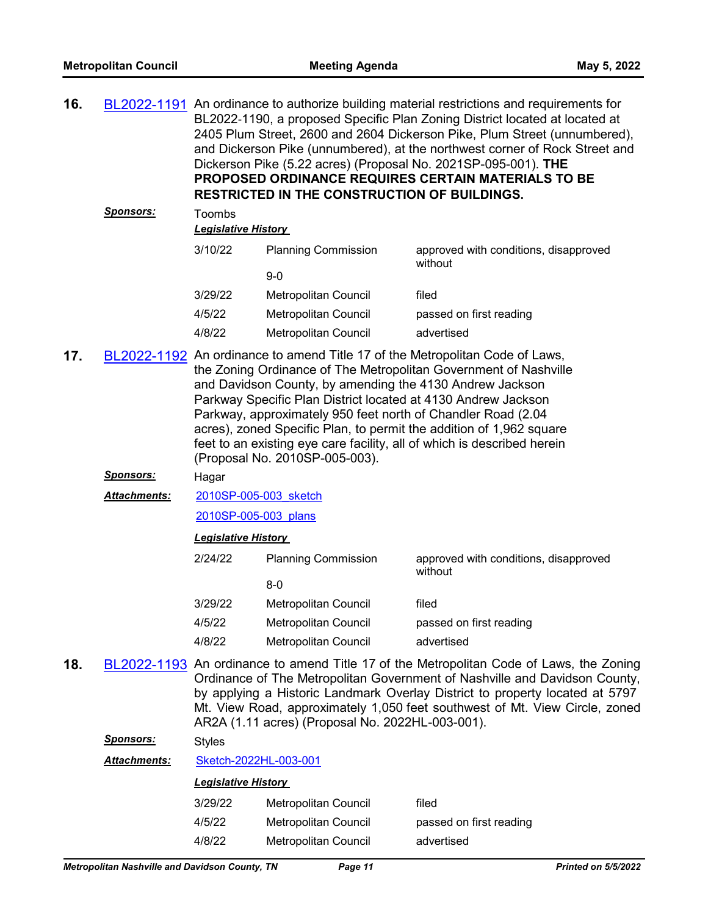| 16. |              | BL2022-1191 An ordinance to authorize building material restrictions and requirements for<br>BL2022-1190, a proposed Specific Plan Zoning District located at located at<br>2405 Plum Street, 2600 and 2604 Dickerson Pike, Plum Street (unnumbered),<br>and Dickerson Pike (unnumbered), at the northwest corner of Rock Street and<br>Dickerson Pike (5.22 acres) (Proposal No. 2021SP-095-001). THE<br>PROPOSED ORDINANCE REQUIRES CERTAIN MATERIALS TO BE<br><b>RESTRICTED IN THE CONSTRUCTION OF BUILDINGS.</b>              |                             |                                                  |  |  |
|-----|--------------|-----------------------------------------------------------------------------------------------------------------------------------------------------------------------------------------------------------------------------------------------------------------------------------------------------------------------------------------------------------------------------------------------------------------------------------------------------------------------------------------------------------------------------------|-----------------------------|--------------------------------------------------|--|--|
|     | Sponsors:    | Toombs<br><b>Legislative History</b>                                                                                                                                                                                                                                                                                                                                                                                                                                                                                              |                             |                                                  |  |  |
|     |              | 3/10/22                                                                                                                                                                                                                                                                                                                                                                                                                                                                                                                           | <b>Planning Commission</b>  | approved with conditions, disapproved<br>without |  |  |
|     |              |                                                                                                                                                                                                                                                                                                                                                                                                                                                                                                                                   | $9 - 0$                     |                                                  |  |  |
|     |              | 3/29/22                                                                                                                                                                                                                                                                                                                                                                                                                                                                                                                           | Metropolitan Council        | filed                                            |  |  |
|     |              | 4/5/22                                                                                                                                                                                                                                                                                                                                                                                                                                                                                                                            | Metropolitan Council        | passed on first reading                          |  |  |
|     |              | 4/8/22                                                                                                                                                                                                                                                                                                                                                                                                                                                                                                                            | Metropolitan Council        | advertised                                       |  |  |
| 17. |              | BL2022-1192 An ordinance to amend Title 17 of the Metropolitan Code of Laws,<br>the Zoning Ordinance of The Metropolitan Government of Nashville<br>and Davidson County, by amending the 4130 Andrew Jackson<br>Parkway Specific Plan District located at 4130 Andrew Jackson<br>Parkway, approximately 950 feet north of Chandler Road (2.04<br>acres), zoned Specific Plan, to permit the addition of 1,962 square<br>feet to an existing eye care facility, all of which is described herein<br>(Proposal No. 2010SP-005-003). |                             |                                                  |  |  |
|     | Sponsors:    | Hagar                                                                                                                                                                                                                                                                                                                                                                                                                                                                                                                             |                             |                                                  |  |  |
|     | Attachments: | 2010SP-005-003 sketch                                                                                                                                                                                                                                                                                                                                                                                                                                                                                                             |                             |                                                  |  |  |
|     |              | 2010SP-005-003 plans                                                                                                                                                                                                                                                                                                                                                                                                                                                                                                              |                             |                                                  |  |  |
|     |              | <b>Legislative History</b>                                                                                                                                                                                                                                                                                                                                                                                                                                                                                                        |                             |                                                  |  |  |
|     |              | 2/24/22                                                                                                                                                                                                                                                                                                                                                                                                                                                                                                                           | <b>Planning Commission</b>  | approved with conditions, disapproved<br>without |  |  |
|     |              |                                                                                                                                                                                                                                                                                                                                                                                                                                                                                                                                   | $8-0$                       |                                                  |  |  |
|     |              | 3/29/22                                                                                                                                                                                                                                                                                                                                                                                                                                                                                                                           | Metropolitan Council        | filed                                            |  |  |
|     |              | 4/5/22                                                                                                                                                                                                                                                                                                                                                                                                                                                                                                                            | <b>Metropolitan Council</b> | passed on first reading                          |  |  |

- 4/8/22 Metropolitan Council advertised
- **18.** [BL2022-1193](http://nashville.legistar.com/gateway.aspx?m=l&id=/matter.aspx?key=14339) An ordinance to amend Title 17 of the Metropolitan Code of Laws, the Zoning Ordinance of The Metropolitan Government of Nashville and Davidson County, by applying a Historic Landmark Overlay District to property located at 5797 Mt. View Road, approximately 1,050 feet southwest of Mt. View Circle, zoned AR2A (1.11 acres) (Proposal No. 2022HL-003-001).

*Sponsors:* Styles

*Attachments:* [Sketch-2022HL-003-001](http://nashville.legistar.com/gateway.aspx?M=F&ID=ddfa4956-5329-41d7-ae35-8bada2063ad9.docx)

|  | <b>Legislative History</b> |  |
|--|----------------------------|--|
|  |                            |  |

| 3/29/22 | Metropolitan Council | filed                   |
|---------|----------------------|-------------------------|
| 4/5/22  | Metropolitan Council | passed on first reading |
| 4/8/22  | Metropolitan Council | advertised              |
|         |                      |                         |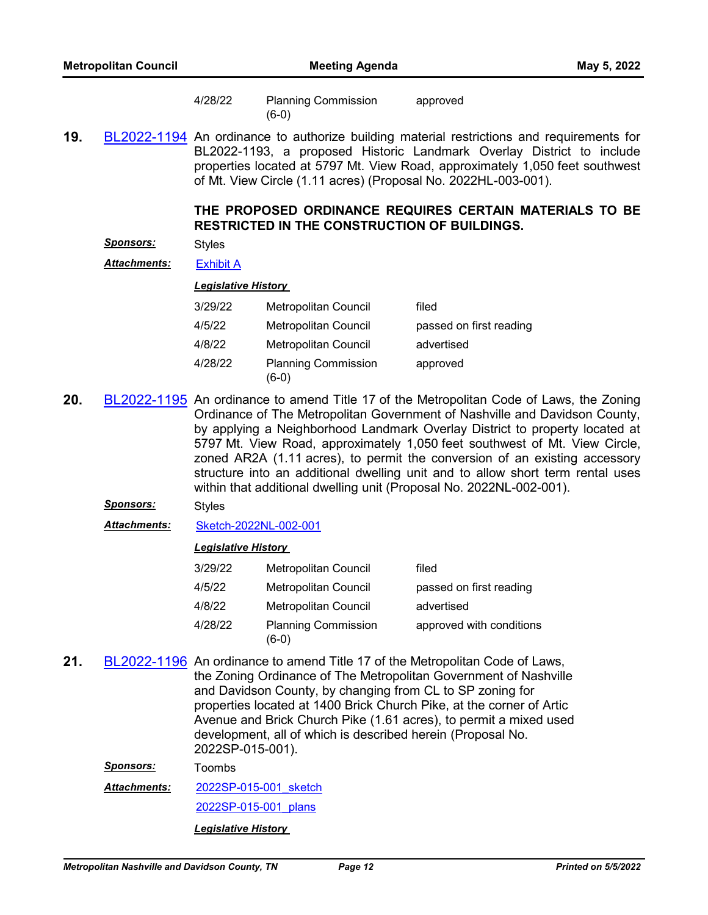|     | <b>Metropolitan Council</b> |                            | <b>Meeting Agenda</b>                                          | May 5, 2022                                                                                                                                                                                                                                                                                                                                                                                                                                                                                                                                                               |
|-----|-----------------------------|----------------------------|----------------------------------------------------------------|---------------------------------------------------------------------------------------------------------------------------------------------------------------------------------------------------------------------------------------------------------------------------------------------------------------------------------------------------------------------------------------------------------------------------------------------------------------------------------------------------------------------------------------------------------------------------|
|     |                             | 4/28/22                    | <b>Planning Commission</b><br>$(6-0)$                          | approved                                                                                                                                                                                                                                                                                                                                                                                                                                                                                                                                                                  |
| 19. |                             |                            | of Mt. View Circle (1.11 acres) (Proposal No. 2022HL-003-001). | BL2022-1194 An ordinance to authorize building material restrictions and requirements for<br>BL2022-1193, a proposed Historic Landmark Overlay District to include<br>properties located at 5797 Mt. View Road, approximately 1,050 feet southwest                                                                                                                                                                                                                                                                                                                        |
|     |                             |                            | <b>RESTRICTED IN THE CONSTRUCTION OF BUILDINGS.</b>            | THE PROPOSED ORDINANCE REQUIRES CERTAIN MATERIALS TO BE                                                                                                                                                                                                                                                                                                                                                                                                                                                                                                                   |
|     | <u>Sponsors:</u>            | <b>Styles</b>              |                                                                |                                                                                                                                                                                                                                                                                                                                                                                                                                                                                                                                                                           |
|     | <b>Attachments:</b>         | <b>Exhibit A</b>           |                                                                |                                                                                                                                                                                                                                                                                                                                                                                                                                                                                                                                                                           |
|     |                             | <b>Legislative History</b> |                                                                |                                                                                                                                                                                                                                                                                                                                                                                                                                                                                                                                                                           |
|     |                             | 3/29/22                    | Metropolitan Council                                           | filed                                                                                                                                                                                                                                                                                                                                                                                                                                                                                                                                                                     |
|     |                             | 4/5/22                     | Metropolitan Council                                           | passed on first reading                                                                                                                                                                                                                                                                                                                                                                                                                                                                                                                                                   |
|     |                             | 4/8/22                     | Metropolitan Council                                           | advertised                                                                                                                                                                                                                                                                                                                                                                                                                                                                                                                                                                |
|     |                             | 4/28/22                    | <b>Planning Commission</b><br>$(6-0)$                          | approved                                                                                                                                                                                                                                                                                                                                                                                                                                                                                                                                                                  |
| 20. |                             |                            |                                                                | BL2022-1195 An ordinance to amend Title 17 of the Metropolitan Code of Laws, the Zoning<br>Ordinance of The Metropolitan Government of Nashville and Davidson County,<br>by applying a Neighborhood Landmark Overlay District to property located at<br>5797 Mt. View Road, approximately 1,050 feet southwest of Mt. View Circle,<br>zoned AR2A (1.11 acres), to permit the conversion of an existing accessory<br>structure into an additional dwelling unit and to allow short term rental uses<br>within that additional dwelling unit (Proposal No. 2022NL-002-001). |
|     | <u>Sponsors:</u>            | <b>Styles</b>              |                                                                |                                                                                                                                                                                                                                                                                                                                                                                                                                                                                                                                                                           |
|     | <b>Attachments:</b>         | Sketch-2022NL-002-001      |                                                                |                                                                                                                                                                                                                                                                                                                                                                                                                                                                                                                                                                           |
|     |                             | <b>Legislative History</b> |                                                                |                                                                                                                                                                                                                                                                                                                                                                                                                                                                                                                                                                           |
|     |                             | 3/29/22                    | Metropolitan Council                                           | filed                                                                                                                                                                                                                                                                                                                                                                                                                                                                                                                                                                     |
|     |                             | 4/5/22                     | Metropolitan Council                                           | passed on first reading                                                                                                                                                                                                                                                                                                                                                                                                                                                                                                                                                   |
|     |                             | 4/8/22                     | Metropolitan Council                                           | advertised                                                                                                                                                                                                                                                                                                                                                                                                                                                                                                                                                                |
|     |                             | 4/28/22                    | <b>Planning Commission</b><br>$(6-0)$                          | approved with conditions                                                                                                                                                                                                                                                                                                                                                                                                                                                                                                                                                  |
| 21. |                             |                            | and Davidson County, by changing from CL to SP zoning for      | BL2022-1196 An ordinance to amend Title 17 of the Metropolitan Code of Laws,<br>the Zoning Ordinance of The Metropolitan Government of Nashville<br>properties located at 1400 Brick Church Pike, at the corner of Artic<br>Avenue and Brick Church Pike (1.61 acres), to permit a mixed used                                                                                                                                                                                                                                                                             |

2022SP-015-001). *Sponsors:* Toombs

[2022SP-015-001\\_sketch](http://nashville.legistar.com/gateway.aspx?M=F&ID=f35b7a9d-1237-486d-8967-7788de6d9cbb.docx) *Attachments:*

[2022SP-015-001\\_plans](http://nashville.legistar.com/gateway.aspx?M=F&ID=f71dc902-90fe-4307-80a5-92ebf069db73.pdf)

*Legislative History* 

development, all of which is described herein (Proposal No.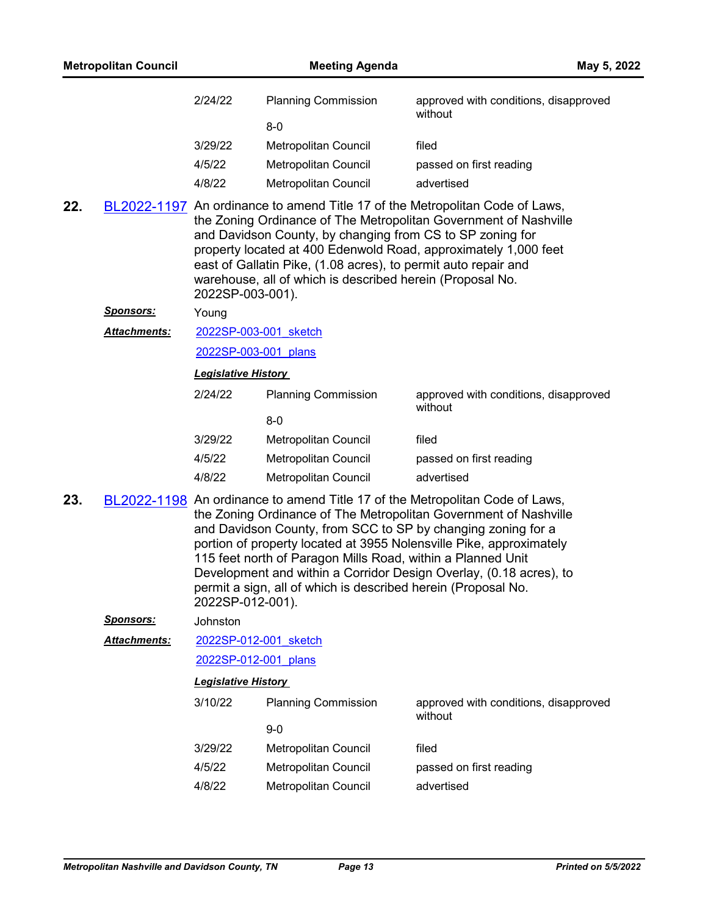| <b>Planning Commission</b> | approved with conditions, disapproved<br>without |  |
|----------------------------|--------------------------------------------------|--|
| 8-0                        |                                                  |  |
| Metropolitan Council       | filed                                            |  |
| Metropolitan Council       | passed on first reading                          |  |
| Metropolitan Council       | advertised                                       |  |
|                            |                                                  |  |

**22.** [BL2022-1197](http://nashville.legistar.com/gateway.aspx?m=l&id=/matter.aspx?key=14308) An ordinance to amend Title 17 of the Metropolitan Code of Laws, the Zoning Ordinance of The Metropolitan Government of Nashville and Davidson County, by changing from CS to SP zoning for property located at 400 Edenwold Road, approximately 1,000 feet east of Gallatin Pike, (1.08 acres), to permit auto repair and warehouse, all of which is described herein (Proposal No. 2022SP-003-001).

*Sponsors:* Young

[2022SP-003-001\\_sketch](http://nashville.legistar.com/gateway.aspx?M=F&ID=306a279d-1132-430b-b8b2-e772abd1263b.docx) *Attachments:*

[2022SP-003-001\\_plans](http://nashville.legistar.com/gateway.aspx?M=F&ID=b8d8cc71-7a54-44b4-92ec-05b2889bb3f4.pdf)

*Legislative History* 

| 2/24/22 | <b>Planning Commission</b> | approved with conditions, disapproved<br>without |
|---------|----------------------------|--------------------------------------------------|
|         | $8-0$                      |                                                  |
| 3/29/22 | Metropolitan Council       | filed                                            |
| 4/5/22  | Metropolitan Council       | passed on first reading                          |
| 4/8/22  | Metropolitan Council       | advertised                                       |

**23.** [BL2022-1198](http://nashville.legistar.com/gateway.aspx?m=l&id=/matter.aspx?key=14310) An ordinance to amend Title 17 of the Metropolitan Code of Laws, the Zoning Ordinance of The Metropolitan Government of Nashville and Davidson County, from SCC to SP by changing zoning for a portion of property located at 3955 Nolensville Pike, approximately 115 feet north of Paragon Mills Road, within a Planned Unit Development and within a Corridor Design Overlay, (0.18 acres), to permit a sign, all of which is described herein (Proposal No. 2022SP-012-001).

*Sponsors:* Johnston

[2022SP-012-001\\_sketch](http://nashville.legistar.com/gateway.aspx?M=F&ID=a871faf2-1f09-49e5-b734-f88ff45a3132.docx) *Attachments:*

[2022SP-012-001\\_plans](http://nashville.legistar.com/gateway.aspx?M=F&ID=088e251d-5d04-48d6-90ea-4a322ffcfe7a.pdf)

| 3/10/22 | <b>Planning Commission</b>  | approved with conditions, disapproved<br>without |
|---------|-----------------------------|--------------------------------------------------|
|         | 9-0                         |                                                  |
| 3/29/22 | Metropolitan Council        | filed                                            |
| 4/5/22  | Metropolitan Council        | passed on first reading                          |
| 4/8/22  | <b>Metropolitan Council</b> | advertised                                       |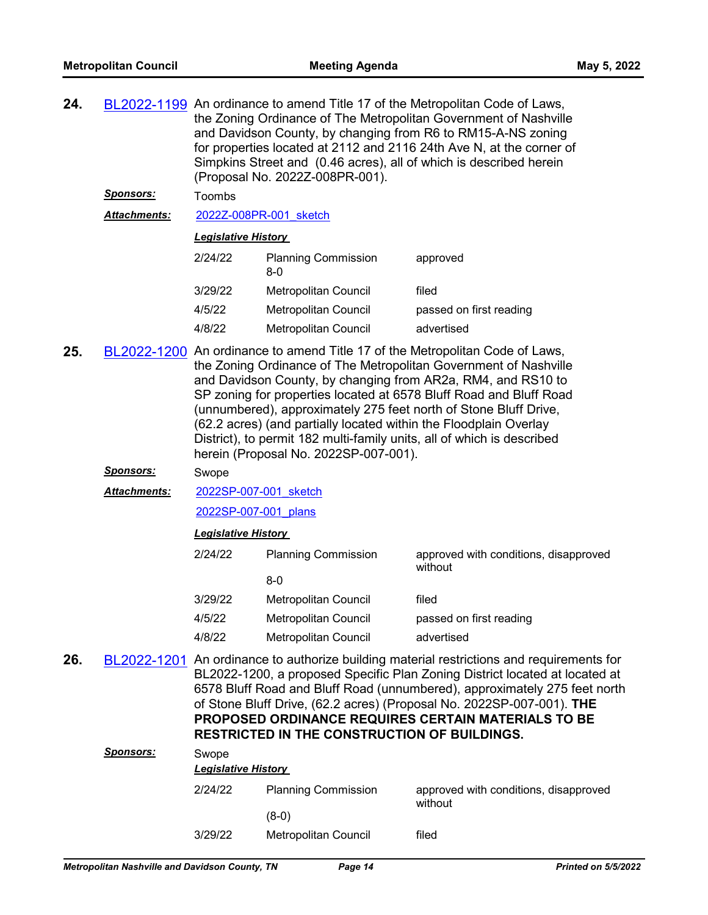| 24. |                     | BL2022-1199 An ordinance to amend Title 17 of the Metropolitan Code of Laws,<br>the Zoning Ordinance of The Metropolitan Government of Nashville<br>and Davidson County, by changing from R6 to RM15-A-NS zoning<br>for properties located at 2112 and 2116 24th Ave N, at the corner of<br>Simpkins Street and (0.46 acres), all of which is described herein<br>(Proposal No. 2022Z-008PR-001).                                                                                                                                                  |                                                     |                                                                                                                                                                                                                                                                                                                                                                                       |  |  |  |
|-----|---------------------|----------------------------------------------------------------------------------------------------------------------------------------------------------------------------------------------------------------------------------------------------------------------------------------------------------------------------------------------------------------------------------------------------------------------------------------------------------------------------------------------------------------------------------------------------|-----------------------------------------------------|---------------------------------------------------------------------------------------------------------------------------------------------------------------------------------------------------------------------------------------------------------------------------------------------------------------------------------------------------------------------------------------|--|--|--|
|     | <b>Sponsors:</b>    | Toombs                                                                                                                                                                                                                                                                                                                                                                                                                                                                                                                                             |                                                     |                                                                                                                                                                                                                                                                                                                                                                                       |  |  |  |
|     | <b>Attachments:</b> |                                                                                                                                                                                                                                                                                                                                                                                                                                                                                                                                                    | 2022Z-008PR-001 sketch                              |                                                                                                                                                                                                                                                                                                                                                                                       |  |  |  |
|     |                     | <b>Legislative History</b>                                                                                                                                                                                                                                                                                                                                                                                                                                                                                                                         |                                                     |                                                                                                                                                                                                                                                                                                                                                                                       |  |  |  |
|     |                     | 2/24/22                                                                                                                                                                                                                                                                                                                                                                                                                                                                                                                                            | <b>Planning Commission</b><br>$8-0$                 | approved                                                                                                                                                                                                                                                                                                                                                                              |  |  |  |
|     |                     | 3/29/22                                                                                                                                                                                                                                                                                                                                                                                                                                                                                                                                            | Metropolitan Council                                | filed                                                                                                                                                                                                                                                                                                                                                                                 |  |  |  |
|     |                     | 4/5/22                                                                                                                                                                                                                                                                                                                                                                                                                                                                                                                                             | <b>Metropolitan Council</b>                         | passed on first reading                                                                                                                                                                                                                                                                                                                                                               |  |  |  |
|     |                     | 4/8/22                                                                                                                                                                                                                                                                                                                                                                                                                                                                                                                                             | Metropolitan Council                                | advertised                                                                                                                                                                                                                                                                                                                                                                            |  |  |  |
| 25. |                     | BL2022-1200 An ordinance to amend Title 17 of the Metropolitan Code of Laws,<br>the Zoning Ordinance of The Metropolitan Government of Nashville<br>and Davidson County, by changing from AR2a, RM4, and RS10 to<br>SP zoning for properties located at 6578 Bluff Road and Bluff Road<br>(unnumbered), approximately 275 feet north of Stone Bluff Drive,<br>(62.2 acres) (and partially located within the Floodplain Overlay<br>District), to permit 182 multi-family units, all of which is described<br>herein (Proposal No. 2022SP-007-001). |                                                     |                                                                                                                                                                                                                                                                                                                                                                                       |  |  |  |
|     | <b>Sponsors:</b>    | Swope                                                                                                                                                                                                                                                                                                                                                                                                                                                                                                                                              |                                                     |                                                                                                                                                                                                                                                                                                                                                                                       |  |  |  |
|     | <b>Attachments:</b> | 2022SP-007-001 sketch                                                                                                                                                                                                                                                                                                                                                                                                                                                                                                                              |                                                     |                                                                                                                                                                                                                                                                                                                                                                                       |  |  |  |
|     |                     | 2022SP-007-001 plans                                                                                                                                                                                                                                                                                                                                                                                                                                                                                                                               |                                                     |                                                                                                                                                                                                                                                                                                                                                                                       |  |  |  |
|     |                     | <b>Legislative History</b>                                                                                                                                                                                                                                                                                                                                                                                                                                                                                                                         |                                                     |                                                                                                                                                                                                                                                                                                                                                                                       |  |  |  |
|     |                     | 2/24/22                                                                                                                                                                                                                                                                                                                                                                                                                                                                                                                                            | <b>Planning Commission</b>                          | approved with conditions, disapproved<br>without                                                                                                                                                                                                                                                                                                                                      |  |  |  |
|     |                     |                                                                                                                                                                                                                                                                                                                                                                                                                                                                                                                                                    | $8-0$                                               |                                                                                                                                                                                                                                                                                                                                                                                       |  |  |  |
|     |                     | 3/29/22                                                                                                                                                                                                                                                                                                                                                                                                                                                                                                                                            | Metropolitan Council                                | filed                                                                                                                                                                                                                                                                                                                                                                                 |  |  |  |
|     |                     | 4/5/22                                                                                                                                                                                                                                                                                                                                                                                                                                                                                                                                             | Metropolitan Council                                | passed on first reading                                                                                                                                                                                                                                                                                                                                                               |  |  |  |
|     |                     | 4/8/22                                                                                                                                                                                                                                                                                                                                                                                                                                                                                                                                             | Metropolitan Council                                | advertised                                                                                                                                                                                                                                                                                                                                                                            |  |  |  |
| 26. |                     |                                                                                                                                                                                                                                                                                                                                                                                                                                                                                                                                                    | <b>RESTRICTED IN THE CONSTRUCTION OF BUILDINGS.</b> | BL2022-1201 An ordinance to authorize building material restrictions and requirements for<br>BL2022-1200, a proposed Specific Plan Zoning District located at located at<br>6578 Bluff Road and Bluff Road (unnumbered), approximately 275 feet north<br>of Stone Bluff Drive, (62.2 acres) (Proposal No. 2022SP-007-001). THE<br>PROPOSED ORDINANCE REQUIRES CERTAIN MATERIALS TO BE |  |  |  |

| <b>Sponsors:</b> | Swope<br><b>Legislative History</b> |                            |                                                  |  |
|------------------|-------------------------------------|----------------------------|--------------------------------------------------|--|
|                  | 2/24/22                             | <b>Planning Commission</b> | approved with conditions, disapproved<br>without |  |
|                  |                                     | (8-0)                      |                                                  |  |
|                  | 3/29/22                             | Metropolitan Council       | filed                                            |  |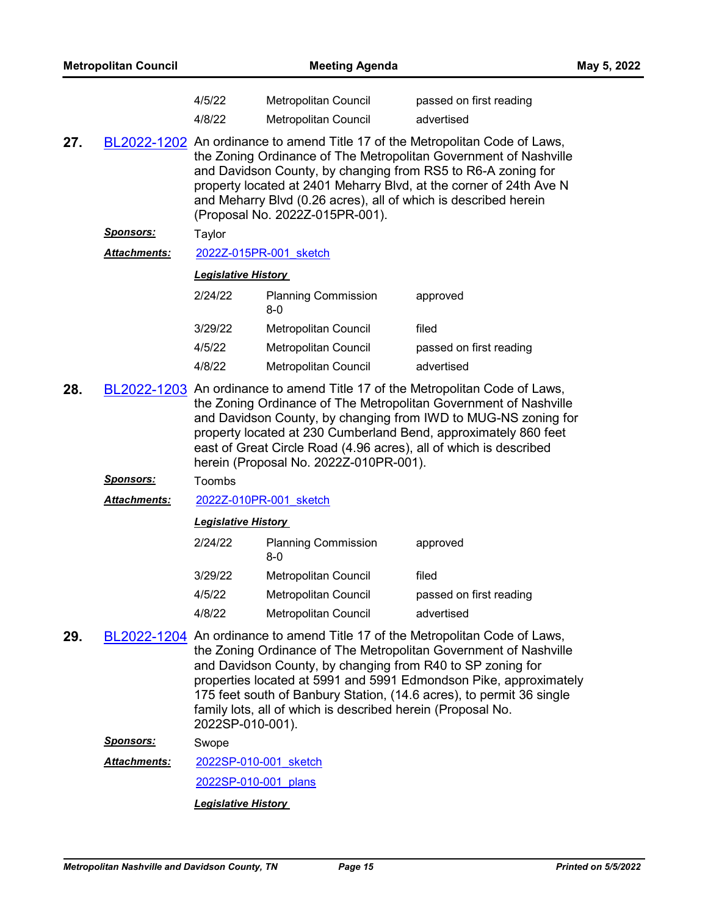|     | <b>Metropolitan Council</b> |                                                                                                                                                                                                                                                                                                                                                                                                      | <b>Meeting Agenda</b>                                                                                                                                                                                                                                                                                                                                                                        |                                                                                                                                                                                                                                                                                               | May 5, 2022 |  |  |
|-----|-----------------------------|------------------------------------------------------------------------------------------------------------------------------------------------------------------------------------------------------------------------------------------------------------------------------------------------------------------------------------------------------------------------------------------------------|----------------------------------------------------------------------------------------------------------------------------------------------------------------------------------------------------------------------------------------------------------------------------------------------------------------------------------------------------------------------------------------------|-----------------------------------------------------------------------------------------------------------------------------------------------------------------------------------------------------------------------------------------------------------------------------------------------|-------------|--|--|
|     |                             | 4/5/22<br>4/8/22                                                                                                                                                                                                                                                                                                                                                                                     | Metropolitan Council<br><b>Metropolitan Council</b>                                                                                                                                                                                                                                                                                                                                          | passed on first reading<br>advertised                                                                                                                                                                                                                                                         |             |  |  |
| 27. |                             |                                                                                                                                                                                                                                                                                                                                                                                                      | BL2022-1202 An ordinance to amend Title 17 of the Metropolitan Code of Laws,<br>the Zoning Ordinance of The Metropolitan Government of Nashville<br>and Davidson County, by changing from RS5 to R6-A zoning for<br>property located at 2401 Meharry Blvd, at the corner of 24th Ave N<br>and Meharry Blvd (0.26 acres), all of which is described herein<br>(Proposal No. 2022Z-015PR-001). |                                                                                                                                                                                                                                                                                               |             |  |  |
|     | <u>Sponsors:</u>            | Taylor                                                                                                                                                                                                                                                                                                                                                                                               |                                                                                                                                                                                                                                                                                                                                                                                              |                                                                                                                                                                                                                                                                                               |             |  |  |
|     | <b>Attachments:</b>         |                                                                                                                                                                                                                                                                                                                                                                                                      | 2022Z-015PR-001 sketch                                                                                                                                                                                                                                                                                                                                                                       |                                                                                                                                                                                                                                                                                               |             |  |  |
|     |                             | <b>Legislative History</b>                                                                                                                                                                                                                                                                                                                                                                           |                                                                                                                                                                                                                                                                                                                                                                                              |                                                                                                                                                                                                                                                                                               |             |  |  |
|     |                             | 2/24/22                                                                                                                                                                                                                                                                                                                                                                                              | <b>Planning Commission</b><br>$8-0$                                                                                                                                                                                                                                                                                                                                                          | approved                                                                                                                                                                                                                                                                                      |             |  |  |
|     |                             | 3/29/22                                                                                                                                                                                                                                                                                                                                                                                              | Metropolitan Council                                                                                                                                                                                                                                                                                                                                                                         | filed                                                                                                                                                                                                                                                                                         |             |  |  |
|     |                             | 4/5/22                                                                                                                                                                                                                                                                                                                                                                                               | Metropolitan Council                                                                                                                                                                                                                                                                                                                                                                         | passed on first reading                                                                                                                                                                                                                                                                       |             |  |  |
|     |                             | 4/8/22                                                                                                                                                                                                                                                                                                                                                                                               | Metropolitan Council                                                                                                                                                                                                                                                                                                                                                                         | advertised                                                                                                                                                                                                                                                                                    |             |  |  |
| 28. |                             | BL2022-1203 An ordinance to amend Title 17 of the Metropolitan Code of Laws,<br>the Zoning Ordinance of The Metropolitan Government of Nashville<br>and Davidson County, by changing from IWD to MUG-NS zoning for<br>property located at 230 Cumberland Bend, approximately 860 feet<br>east of Great Circle Road (4.96 acres), all of which is described<br>herein (Proposal No. 2022Z-010PR-001). |                                                                                                                                                                                                                                                                                                                                                                                              |                                                                                                                                                                                                                                                                                               |             |  |  |
|     | <b>Sponsors:</b>            | Toombs                                                                                                                                                                                                                                                                                                                                                                                               |                                                                                                                                                                                                                                                                                                                                                                                              |                                                                                                                                                                                                                                                                                               |             |  |  |
|     | <b>Attachments:</b>         |                                                                                                                                                                                                                                                                                                                                                                                                      | 2022Z-010PR-001 sketch                                                                                                                                                                                                                                                                                                                                                                       |                                                                                                                                                                                                                                                                                               |             |  |  |
|     |                             |                                                                                                                                                                                                                                                                                                                                                                                                      | <b>Legislative History</b>                                                                                                                                                                                                                                                                                                                                                                   |                                                                                                                                                                                                                                                                                               |             |  |  |
|     |                             | 2/24/22                                                                                                                                                                                                                                                                                                                                                                                              | <b>Planning Commission</b><br>$8-0$                                                                                                                                                                                                                                                                                                                                                          | approved                                                                                                                                                                                                                                                                                      |             |  |  |
|     |                             | 3/29/22                                                                                                                                                                                                                                                                                                                                                                                              | Metropolitan Council                                                                                                                                                                                                                                                                                                                                                                         | filed                                                                                                                                                                                                                                                                                         |             |  |  |
|     |                             | 4/5/22                                                                                                                                                                                                                                                                                                                                                                                               | <b>Metropolitan Council</b>                                                                                                                                                                                                                                                                                                                                                                  | passed on first reading                                                                                                                                                                                                                                                                       |             |  |  |
|     |                             | 4/8/22                                                                                                                                                                                                                                                                                                                                                                                               | <b>Metropolitan Council</b>                                                                                                                                                                                                                                                                                                                                                                  | advertised                                                                                                                                                                                                                                                                                    |             |  |  |
| 29. |                             | 2022SP-010-001).                                                                                                                                                                                                                                                                                                                                                                                     | and Davidson County, by changing from R40 to SP zoning for<br>family lots, all of which is described herein (Proposal No.                                                                                                                                                                                                                                                                    | BL2022-1204 An ordinance to amend Title 17 of the Metropolitan Code of Laws,<br>the Zoning Ordinance of The Metropolitan Government of Nashville<br>properties located at 5991 and 5991 Edmondson Pike, approximately<br>175 feet south of Banbury Station, (14.6 acres), to permit 36 single |             |  |  |
|     | <b>Sponsors:</b>            | Swope                                                                                                                                                                                                                                                                                                                                                                                                |                                                                                                                                                                                                                                                                                                                                                                                              |                                                                                                                                                                                                                                                                                               |             |  |  |
|     | <b>Attachments:</b>         |                                                                                                                                                                                                                                                                                                                                                                                                      | 2022SP-010-001 sketch                                                                                                                                                                                                                                                                                                                                                                        |                                                                                                                                                                                                                                                                                               |             |  |  |
|     |                             | 2022SP-010-001 plans                                                                                                                                                                                                                                                                                                                                                                                 |                                                                                                                                                                                                                                                                                                                                                                                              |                                                                                                                                                                                                                                                                                               |             |  |  |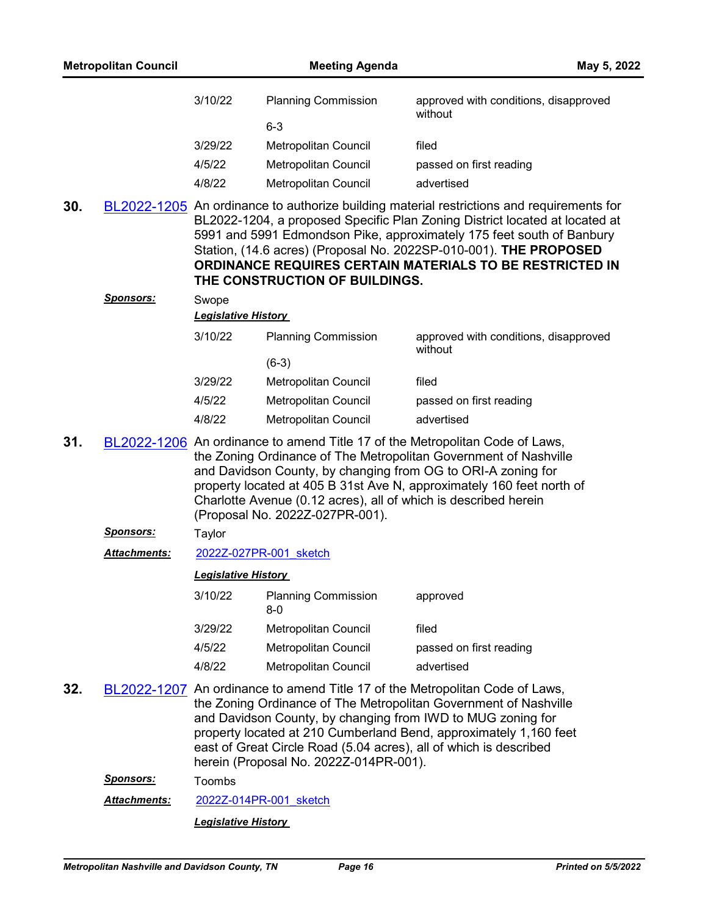| 3/10/22 | <b>Planning Commission</b> | approved with conditions, disapproved<br>without |
|---------|----------------------------|--------------------------------------------------|
|         | 6-3                        |                                                  |
| 3/29/22 | Metropolitan Council       | filed                                            |
| 4/5/22  | Metropolitan Council       | passed on first reading                          |
| 4/8/22  | Metropolitan Council       | advertised                                       |

**30.** [BL2022-1205](http://nashville.legistar.com/gateway.aspx?m=l&id=/matter.aspx?key=14307) An ordinance to authorize building material restrictions and requirements for BL2022-1204, a proposed Specific Plan Zoning District located at located at 5991 and 5991 Edmondson Pike, approximately 175 feet south of Banbury Station, (14.6 acres) (Proposal No. 2022SP-010-001). **THE PROPOSED ORDINANCE REQUIRES CERTAIN MATERIALS TO BE RESTRICTED IN THE CONSTRUCTION OF BUILDINGS.**

| <b>Sponsors:</b> | Swope   | <b>Legislative History</b>  |                                                  |  |  |
|------------------|---------|-----------------------------|--------------------------------------------------|--|--|
|                  | 3/10/22 | <b>Planning Commission</b>  | approved with conditions, disapproved<br>without |  |  |
|                  |         | $(6-3)$                     |                                                  |  |  |
|                  | 3/29/22 | Metropolitan Council        | filed                                            |  |  |
|                  | 4/5/22  | Metropolitan Council        | passed on first reading                          |  |  |
|                  | 4/8/22  | <b>Metropolitan Council</b> | advertised                                       |  |  |

- **31.** [BL2022-1206](http://nashville.legistar.com/gateway.aspx?m=l&id=/matter.aspx?key=14287) An ordinance to amend Title 17 of the Metropolitan Code of Laws, the Zoning Ordinance of The Metropolitan Government of Nashville and Davidson County, by changing from OG to ORI-A zoning for property located at 405 B 31st Ave N, approximately 160 feet north of Charlotte Avenue (0.12 acres), all of which is described herein (Proposal No. 2022Z-027PR-001).
	- *Sponsors:* Taylor
	- *Attachments:* [2022Z-027PR-001\\_sketch](http://nashville.legistar.com/gateway.aspx?M=F&ID=fe3e40ae-854d-4e5e-81ca-202a7f66420d.docx)

#### *Legislative History*

| 3/10/22 | <b>Planning Commission</b><br>8-0 | approved                |
|---------|-----------------------------------|-------------------------|
| 3/29/22 | <b>Metropolitan Council</b>       | filed                   |
| 4/5/22  | <b>Metropolitan Council</b>       | passed on first reading |
| 4/8/22  | Metropolitan Council              | advertised              |

**32.** [BL2022-1207](http://nashville.legistar.com/gateway.aspx?m=l&id=/matter.aspx?key=14293) An ordinance to amend Title 17 of the Metropolitan Code of Laws, the Zoning Ordinance of The Metropolitan Government of Nashville and Davidson County, by changing from IWD to MUG zoning for property located at 210 Cumberland Bend, approximately 1,160 feet east of Great Circle Road (5.04 acres), all of which is described herein (Proposal No. 2022Z-014PR-001).

*Sponsors:* Toombs

Attachments: [2022Z-014PR-001\\_sketch](http://nashville.legistar.com/gateway.aspx?M=F&ID=4f4d9a23-13d5-4567-8b5d-aa72b5559359.docx)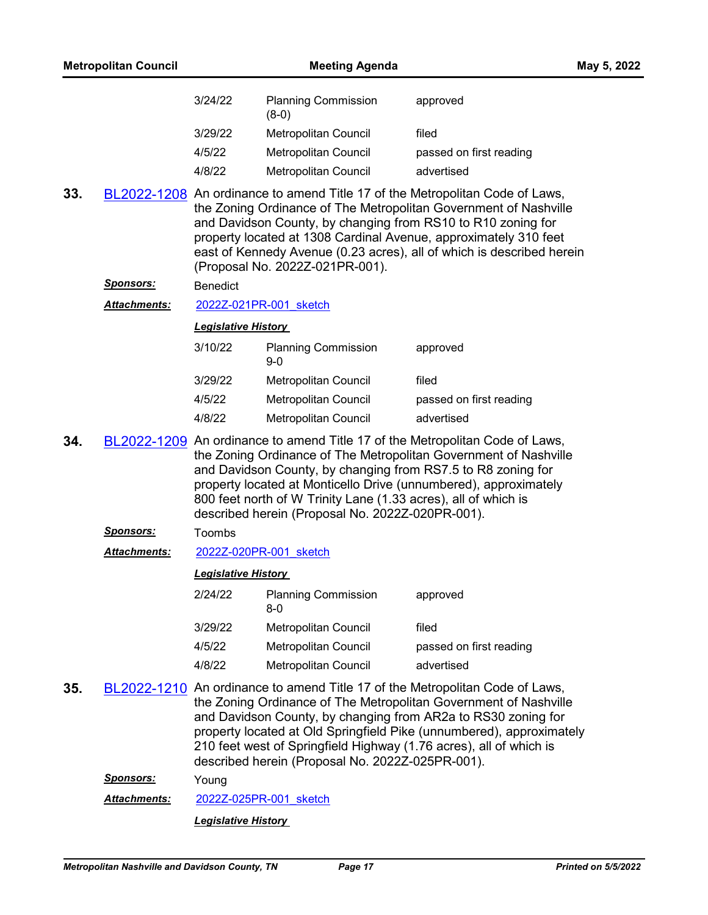| 3/24/22 | <b>Planning Commission</b><br>(8-0) | approved                |
|---------|-------------------------------------|-------------------------|
| 3/29/22 | Metropolitan Council                | filed                   |
| 4/5/22  | Metropolitan Council                | passed on first reading |
| 4/8/22  | <b>Metropolitan Council</b>         | advertised              |

**33.** [BL2022-1208](http://nashville.legistar.com/gateway.aspx?m=l&id=/matter.aspx?key=14289) An ordinance to amend Title 17 of the Metropolitan Code of Laws, the Zoning Ordinance of The Metropolitan Government of Nashville and Davidson County, by changing from RS10 to R10 zoning for property located at 1308 Cardinal Avenue, approximately 310 feet east of Kennedy Avenue (0.23 acres), all of which is described herein (Proposal No. 2022Z-021PR-001).

#### *Sponsors:* Benedict

*Attachments:* [2022Z-021PR-001\\_sketch](http://nashville.legistar.com/gateway.aspx?M=F&ID=26f9f7f8-1c9f-4dd0-9dc6-c8602d6d5fec.docx)

#### *Legislative History*

| 3/10/22 | <b>Planning Commission</b><br>$9-0$ | approved                |
|---------|-------------------------------------|-------------------------|
| 3/29/22 | <b>Metropolitan Council</b>         | filed                   |
| 4/5/22  | <b>Metropolitan Council</b>         | passed on first reading |
| 4/8/22  | <b>Metropolitan Council</b>         | advertised              |

- **34.** [BL2022-1209](http://nashville.legistar.com/gateway.aspx?m=l&id=/matter.aspx?key=14290) An ordinance to amend Title 17 of the Metropolitan Code of Laws, the Zoning Ordinance of The Metropolitan Government of Nashville and Davidson County, by changing from RS7.5 to R8 zoning for property located at Monticello Drive (unnumbered), approximately 800 feet north of W Trinity Lane (1.33 acres), all of which is described herein (Proposal No. 2022Z-020PR-001).
	- *Sponsors:* Toombs
	- *Attachments:* [2022Z-020PR-001\\_sketch](http://nashville.legistar.com/gateway.aspx?M=F&ID=dd001182-ca44-4a92-aaec-a6d344a15687.docx)

#### *Legislative History*

| 2/24/22 | <b>Planning Commission</b><br>8-0 | approved                |
|---------|-----------------------------------|-------------------------|
| 3/29/22 | Metropolitan Council              | filed                   |
| 4/5/22  | Metropolitan Council              | passed on first reading |
| 4/8/22  | Metropolitan Council              | advertised              |

**35.** [BL2022-1210](http://nashville.legistar.com/gateway.aspx?m=l&id=/matter.aspx?key=14288) An ordinance to amend Title 17 of the Metropolitan Code of Laws, the Zoning Ordinance of The Metropolitan Government of Nashville and Davidson County, by changing from AR2a to RS30 zoning for property located at Old Springfield Pike (unnumbered), approximately 210 feet west of Springfield Highway (1.76 acres), all of which is described herein (Proposal No. 2022Z-025PR-001).

*Sponsors:* Young

*Attachments:* [2022Z-025PR-001\\_sketch](http://nashville.legistar.com/gateway.aspx?M=F&ID=3da2d872-4a8b-4cc9-bb56-95ec5bb2265e.docx)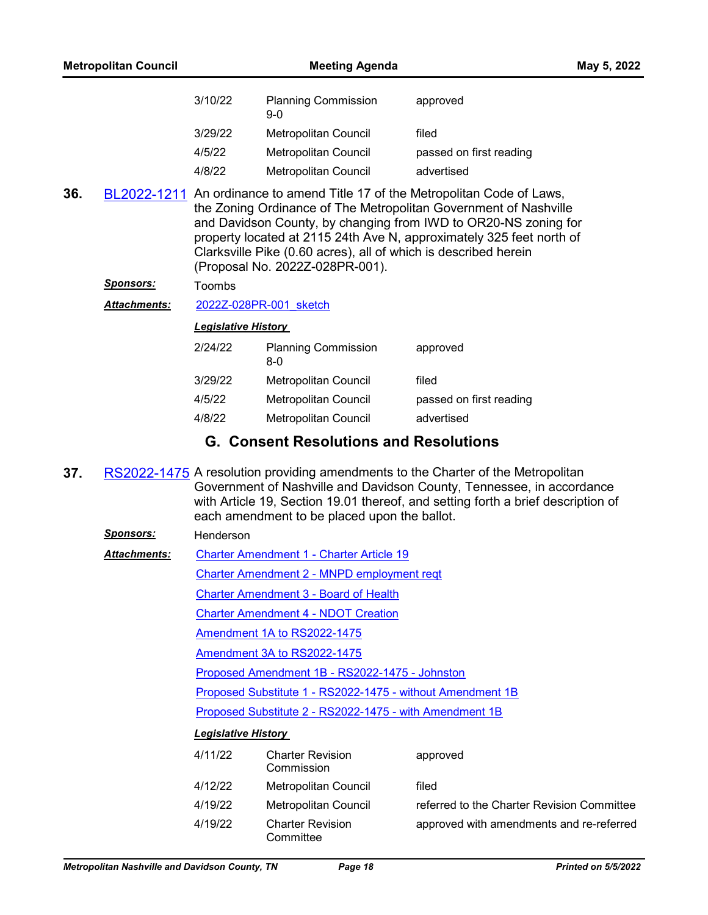| 3/10/22 | <b>Planning Commission</b><br>$9-0$ | approved                |
|---------|-------------------------------------|-------------------------|
| 3/29/22 | Metropolitan Council                | filed                   |
| 4/5/22  | Metropolitan Council                | passed on first reading |
| 4/8/22  | <b>Metropolitan Council</b>         | advertised              |

**36.** [BL2022-1211](http://nashville.legistar.com/gateway.aspx?m=l&id=/matter.aspx?key=14286) An ordinance to amend Title 17 of the Metropolitan Code of Laws, the Zoning Ordinance of The Metropolitan Government of Nashville and Davidson County, by changing from IWD to OR20-NS zoning for property located at 2115 24th Ave N, approximately 325 feet north of Clarksville Pike (0.60 acres), all of which is described herein (Proposal No. 2022Z-028PR-001).

#### *Sponsors:* Toombs

*Attachments:* [2022Z-028PR-001\\_sketch](http://nashville.legistar.com/gateway.aspx?M=F&ID=e98410ea-966c-4a6e-bf13-148be7adfd3e.docx)

#### *Legislative History*

| 2/24/22 | <b>Planning Commission</b><br>8-0 | approved                |
|---------|-----------------------------------|-------------------------|
| 3/29/22 | Metropolitan Council              | filed                   |
| 4/5/22  | <b>Metropolitan Council</b>       | passed on first reading |
| 4/8/22  | <b>Metropolitan Council</b>       | advertised              |
|         |                                   |                         |

# **G. Consent Resolutions and Resolutions**

**37.** [RS2022-1475](http://nashville.legistar.com/gateway.aspx?m=l&id=/matter.aspx?key=14399) A resolution providing amendments to the Charter of the Metropolitan Government of Nashville and Davidson County, Tennessee, in accordance with Article 19, Section 19.01 thereof, and setting forth a brief description of each amendment to be placed upon the ballot.

[Charter Amendment 1 - Charter Article 19](http://nashville.legistar.com/gateway.aspx?M=F&ID=846dad19-79a7-4bb8-ab2a-a9a709bd32ac.docx) *Attachments:*

[Charter Amendment 2 - MNPD employment reqt](http://nashville.legistar.com/gateway.aspx?M=F&ID=dff555d6-77c5-434d-8d0d-adb8fc111310.docx)

[Charter Amendment 3 - Board of Health](http://nashville.legistar.com/gateway.aspx?M=F&ID=476b18d3-c3b4-427f-8558-08c6800e715c.docx)

[Charter Amendment 4 - NDOT Creation](http://nashville.legistar.com/gateway.aspx?M=F&ID=be253938-fe33-4248-b107-80494840d070.docx)

[Amendment 1A to RS2022-1475](http://nashville.legistar.com/gateway.aspx?M=F&ID=72434621-badb-45a9-96d2-8b6acd0a4240.docx)

[Amendment 3A to RS2022-1475](http://nashville.legistar.com/gateway.aspx?M=F&ID=46f42d67-79f2-48de-84e7-c67b32bc639e.docx)

[Proposed Amendment 1B - RS2022-1475 - Johnston](http://nashville.legistar.com/gateway.aspx?M=F&ID=1ae00506-e58f-4c12-a25f-e45a75cfea82.docx)

[Proposed Substitute 1 - RS2022-1475 - without Amendment 1B](http://nashville.legistar.com/gateway.aspx?M=F&ID=c24e3557-9dc9-43b3-b9a7-3f2d8b2cb15b.pdf)

[Proposed Substitute 2 - RS2022-1475 - with Amendment 1B](http://nashville.legistar.com/gateway.aspx?M=F&ID=3fd21864-526e-4126-a5b7-47988cc11fc0.pdf)

| 4/11/22 | <b>Charter Revision</b><br>Commission | approved                                   |
|---------|---------------------------------------|--------------------------------------------|
| 4/12/22 | Metropolitan Council                  | filed                                      |
| 4/19/22 | Metropolitan Council                  | referred to the Charter Revision Committee |
| 4/19/22 | <b>Charter Revision</b><br>Committee  | approved with amendments and re-referred   |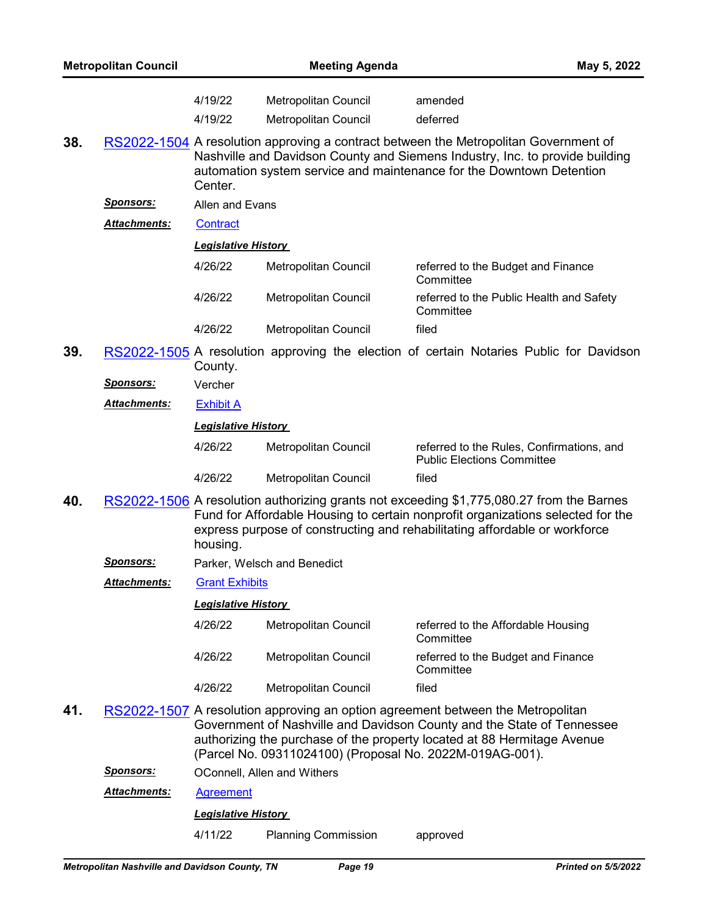| <b>Metropolitan Council</b> |                     | <b>Meeting Agenda</b>      |                                                          | May 5, 2022                                                                                                                                                                                                                                               |
|-----------------------------|---------------------|----------------------------|----------------------------------------------------------|-----------------------------------------------------------------------------------------------------------------------------------------------------------------------------------------------------------------------------------------------------------|
|                             |                     | 4/19/22<br>4/19/22         | Metropolitan Council<br>Metropolitan Council             | amended<br>deferred                                                                                                                                                                                                                                       |
| 38.                         |                     | Center.                    |                                                          | RS2022-1504 A resolution approving a contract between the Metropolitan Government of<br>Nashville and Davidson County and Siemens Industry, Inc. to provide building<br>automation system service and maintenance for the Downtown Detention              |
|                             | <u>Sponsors:</u>    | Allen and Evans            |                                                          |                                                                                                                                                                                                                                                           |
|                             | <b>Attachments:</b> | Contract                   |                                                          |                                                                                                                                                                                                                                                           |
|                             |                     | <b>Legislative History</b> |                                                          |                                                                                                                                                                                                                                                           |
|                             |                     | 4/26/22                    | Metropolitan Council                                     | referred to the Budget and Finance<br>Committee                                                                                                                                                                                                           |
|                             |                     | 4/26/22                    | Metropolitan Council                                     | referred to the Public Health and Safety<br>Committee                                                                                                                                                                                                     |
|                             |                     | 4/26/22                    | Metropolitan Council                                     | filed                                                                                                                                                                                                                                                     |
| 39.                         |                     | County.                    |                                                          | RS2022-1505 A resolution approving the election of certain Notaries Public for Davidson                                                                                                                                                                   |
|                             | <u>Sponsors:</u>    | Vercher                    |                                                          |                                                                                                                                                                                                                                                           |
|                             | <b>Attachments:</b> | <b>Exhibit A</b>           |                                                          |                                                                                                                                                                                                                                                           |
|                             |                     | <b>Legislative History</b> |                                                          |                                                                                                                                                                                                                                                           |
|                             |                     | 4/26/22                    | Metropolitan Council                                     | referred to the Rules, Confirmations, and<br><b>Public Elections Committee</b>                                                                                                                                                                            |
|                             |                     | 4/26/22                    | Metropolitan Council                                     | filed                                                                                                                                                                                                                                                     |
| 40.                         |                     | housing.                   |                                                          | RS2022-1506 A resolution authorizing grants not exceeding \$1,775,080.27 from the Barnes<br>Fund for Affordable Housing to certain nonprofit organizations selected for the<br>express purpose of constructing and rehabilitating affordable or workforce |
|                             | Sponsors:           |                            | Parker, Welsch and Benedict                              |                                                                                                                                                                                                                                                           |
|                             | <b>Attachments:</b> | <b>Grant Exhibits</b>      |                                                          |                                                                                                                                                                                                                                                           |
|                             |                     | <b>Legislative History</b> |                                                          |                                                                                                                                                                                                                                                           |
|                             |                     | 4/26/22                    | Metropolitan Council                                     | referred to the Affordable Housing<br>Committee                                                                                                                                                                                                           |
|                             |                     | 4/26/22                    | Metropolitan Council                                     | referred to the Budget and Finance<br>Committee                                                                                                                                                                                                           |
|                             |                     | 4/26/22                    | Metropolitan Council                                     | filed                                                                                                                                                                                                                                                     |
| 41.                         |                     |                            | (Parcel No. 09311024100) (Proposal No. 2022M-019AG-001). | RS2022-1507 A resolution approving an option agreement between the Metropolitan<br>Government of Nashville and Davidson County and the State of Tennessee<br>authorizing the purchase of the property located at 88 Hermitage Avenue                      |
|                             | <u>Sponsors:</u>    |                            | OConnell, Allen and Withers                              |                                                                                                                                                                                                                                                           |
|                             | <b>Attachments:</b> | <b>Agreement</b>           |                                                          |                                                                                                                                                                                                                                                           |

# *Legislative History*

4/11/22 Planning Commission approved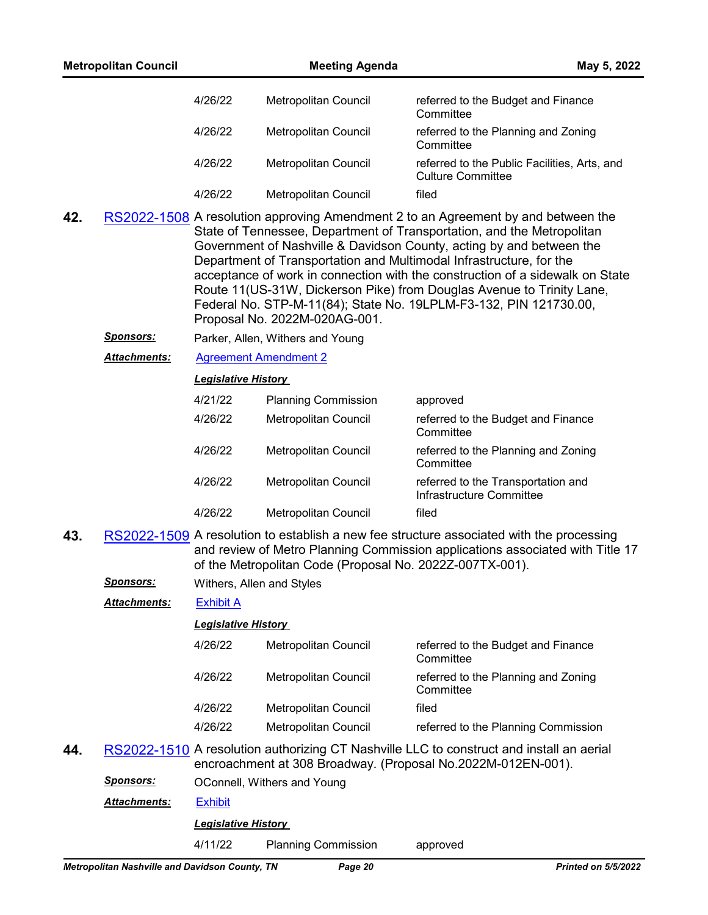|     | <b>Metropolitan Council</b>                    |                             | <b>Meeting Agenda</b>                                    | May 5, 2022                                                                                                                                                                                                                                                                                                                                                                                                                                                                                                                               |
|-----|------------------------------------------------|-----------------------------|----------------------------------------------------------|-------------------------------------------------------------------------------------------------------------------------------------------------------------------------------------------------------------------------------------------------------------------------------------------------------------------------------------------------------------------------------------------------------------------------------------------------------------------------------------------------------------------------------------------|
|     |                                                | 4/26/22                     | Metropolitan Council                                     | referred to the Budget and Finance<br>Committee                                                                                                                                                                                                                                                                                                                                                                                                                                                                                           |
|     |                                                | 4/26/22                     | Metropolitan Council                                     | referred to the Planning and Zoning<br>Committee                                                                                                                                                                                                                                                                                                                                                                                                                                                                                          |
|     |                                                | 4/26/22                     | Metropolitan Council                                     | referred to the Public Facilities, Arts, and<br><b>Culture Committee</b>                                                                                                                                                                                                                                                                                                                                                                                                                                                                  |
|     |                                                | 4/26/22                     | Metropolitan Council                                     | filed                                                                                                                                                                                                                                                                                                                                                                                                                                                                                                                                     |
| 42. |                                                |                             | Proposal No. 2022M-020AG-001.                            | RS2022-1508 A resolution approving Amendment 2 to an Agreement by and between the<br>State of Tennessee, Department of Transportation, and the Metropolitan<br>Government of Nashville & Davidson County, acting by and between the<br>Department of Transportation and Multimodal Infrastructure, for the<br>acceptance of work in connection with the construction of a sidewalk on State<br>Route 11(US-31W, Dickerson Pike) from Douglas Avenue to Trinity Lane,<br>Federal No. STP-M-11(84); State No. 19LPLM-F3-132, PIN 121730.00, |
|     | <u>Sponsors:</u>                               |                             | Parker, Allen, Withers and Young                         |                                                                                                                                                                                                                                                                                                                                                                                                                                                                                                                                           |
|     | <b>Attachments:</b>                            |                             | <b>Agreement Amendment 2</b>                             |                                                                                                                                                                                                                                                                                                                                                                                                                                                                                                                                           |
|     |                                                | <b>Legislative History</b>  |                                                          |                                                                                                                                                                                                                                                                                                                                                                                                                                                                                                                                           |
|     |                                                | 4/21/22                     | <b>Planning Commission</b>                               | approved                                                                                                                                                                                                                                                                                                                                                                                                                                                                                                                                  |
|     |                                                | 4/26/22                     | Metropolitan Council                                     | referred to the Budget and Finance<br>Committee                                                                                                                                                                                                                                                                                                                                                                                                                                                                                           |
|     |                                                | 4/26/22                     | Metropolitan Council                                     | referred to the Planning and Zoning<br>Committee                                                                                                                                                                                                                                                                                                                                                                                                                                                                                          |
|     |                                                | 4/26/22                     | Metropolitan Council                                     | referred to the Transportation and<br>Infrastructure Committee                                                                                                                                                                                                                                                                                                                                                                                                                                                                            |
|     |                                                | 4/26/22                     | Metropolitan Council                                     | filed                                                                                                                                                                                                                                                                                                                                                                                                                                                                                                                                     |
| 43. |                                                |                             | of the Metropolitan Code (Proposal No. 2022Z-007TX-001). | RS2022-1509 A resolution to establish a new fee structure associated with the processing<br>and review of Metro Planning Commission applications associated with Title 17                                                                                                                                                                                                                                                                                                                                                                 |
|     | <u>Sponsors:</u>                               |                             | Withers, Allen and Styles                                |                                                                                                                                                                                                                                                                                                                                                                                                                                                                                                                                           |
|     | <b>Attachments:</b>                            | <b>Exhibit A</b>            |                                                          |                                                                                                                                                                                                                                                                                                                                                                                                                                                                                                                                           |
|     |                                                | <u> Legislative History</u> |                                                          |                                                                                                                                                                                                                                                                                                                                                                                                                                                                                                                                           |
|     |                                                | 4/26/22                     | Metropolitan Council                                     | referred to the Budget and Finance<br>Committee                                                                                                                                                                                                                                                                                                                                                                                                                                                                                           |
|     |                                                | 4/26/22                     | Metropolitan Council                                     | referred to the Planning and Zoning<br>Committee                                                                                                                                                                                                                                                                                                                                                                                                                                                                                          |
|     |                                                | 4/26/22                     | Metropolitan Council                                     | filed                                                                                                                                                                                                                                                                                                                                                                                                                                                                                                                                     |
|     |                                                | 4/26/22                     | <b>Metropolitan Council</b>                              | referred to the Planning Commission                                                                                                                                                                                                                                                                                                                                                                                                                                                                                                       |
| 44. |                                                |                             |                                                          | RS2022-1510 A resolution authorizing CT Nashville LLC to construct and install an aerial<br>encroachment at 308 Broadway. (Proposal No.2022M-012EN-001).                                                                                                                                                                                                                                                                                                                                                                                  |
|     | <b>Sponsors:</b>                               |                             | OConnell, Withers and Young                              |                                                                                                                                                                                                                                                                                                                                                                                                                                                                                                                                           |
|     | <b>Attachments:</b>                            | <b>Exhibit</b>              |                                                          |                                                                                                                                                                                                                                                                                                                                                                                                                                                                                                                                           |
|     |                                                | <b>Legislative History</b>  |                                                          |                                                                                                                                                                                                                                                                                                                                                                                                                                                                                                                                           |
|     |                                                | 4/11/22                     | <b>Planning Commission</b>                               | approved                                                                                                                                                                                                                                                                                                                                                                                                                                                                                                                                  |
|     | Metropolitan Nashville and Davidson County, TN |                             | Page 20                                                  | <b>Printed on 5/5/2022</b>                                                                                                                                                                                                                                                                                                                                                                                                                                                                                                                |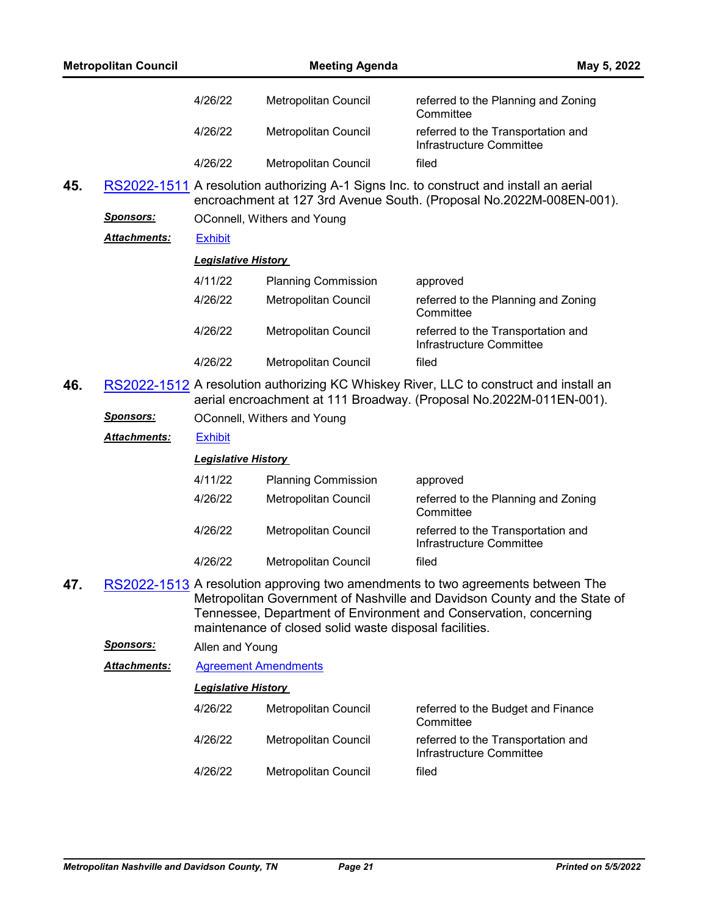|     | <b>Metropolitan Council</b> |                             | <b>Meeting Agenda</b>                                  |                                                                                                                                                                                                                                   | May 5, 2022 |
|-----|-----------------------------|-----------------------------|--------------------------------------------------------|-----------------------------------------------------------------------------------------------------------------------------------------------------------------------------------------------------------------------------------|-------------|
|     |                             | 4/26/22                     | Metropolitan Council                                   | referred to the Planning and Zoning<br>Committee                                                                                                                                                                                  |             |
|     |                             | 4/26/22                     | Metropolitan Council                                   | referred to the Transportation and<br>Infrastructure Committee                                                                                                                                                                    |             |
|     |                             | 4/26/22                     | Metropolitan Council                                   | filed                                                                                                                                                                                                                             |             |
| 45. |                             |                             |                                                        | RS2022-1511 A resolution authorizing A-1 Signs Inc. to construct and install an aerial<br>encroachment at 127 3rd Avenue South. (Proposal No.2022M-008EN-001).                                                                    |             |
|     | <b>Sponsors:</b>            |                             | OConnell, Withers and Young                            |                                                                                                                                                                                                                                   |             |
|     | <b>Attachments:</b>         | <b>Exhibit</b>              |                                                        |                                                                                                                                                                                                                                   |             |
|     |                             | <b>Legislative History</b>  |                                                        |                                                                                                                                                                                                                                   |             |
|     |                             | 4/11/22                     | <b>Planning Commission</b>                             | approved                                                                                                                                                                                                                          |             |
|     |                             | 4/26/22                     | Metropolitan Council                                   | referred to the Planning and Zoning<br>Committee                                                                                                                                                                                  |             |
|     |                             | 4/26/22                     | Metropolitan Council                                   | referred to the Transportation and<br>Infrastructure Committee                                                                                                                                                                    |             |
|     |                             | 4/26/22                     | Metropolitan Council                                   | filed                                                                                                                                                                                                                             |             |
| 46. |                             |                             |                                                        | RS2022-1512 A resolution authorizing KC Whiskey River, LLC to construct and install an<br>aerial encroachment at 111 Broadway. (Proposal No.2022M-011EN-001).                                                                     |             |
|     | <u>Sponsors:</u>            |                             | OConnell, Withers and Young                            |                                                                                                                                                                                                                                   |             |
|     | Attachments:                | <b>Exhibit</b>              |                                                        |                                                                                                                                                                                                                                   |             |
|     |                             | <b>Legislative History</b>  |                                                        |                                                                                                                                                                                                                                   |             |
|     |                             | 4/11/22                     | <b>Planning Commission</b>                             | approved                                                                                                                                                                                                                          |             |
|     |                             | 4/26/22                     | Metropolitan Council                                   | referred to the Planning and Zoning<br>Committee                                                                                                                                                                                  |             |
|     |                             | 4/26/22                     | Metropolitan Council                                   | referred to the Transportation and<br>Infrastructure Committee                                                                                                                                                                    |             |
|     |                             | 4/26/22                     | Metropolitan Council                                   | filed                                                                                                                                                                                                                             |             |
| 47. |                             |                             | maintenance of closed solid waste disposal facilities. | RS2022-1513 A resolution approving two amendments to two agreements between The<br>Metropolitan Government of Nashville and Davidson County and the State of<br>Tennessee, Department of Environment and Conservation, concerning |             |
|     | <b>Sponsors:</b>            | Allen and Young             |                                                        |                                                                                                                                                                                                                                   |             |
|     | <b>Attachments:</b>         | <b>Agreement Amendments</b> |                                                        |                                                                                                                                                                                                                                   |             |
|     |                             | <b>Legislative History</b>  |                                                        |                                                                                                                                                                                                                                   |             |
|     |                             | 4/26/22                     | Metropolitan Council                                   | referred to the Budget and Finance<br>Committee                                                                                                                                                                                   |             |
|     |                             | 4/26/22                     | Metropolitan Council                                   | referred to the Transportation and<br>Infrastructure Committee                                                                                                                                                                    |             |
|     |                             | 4/26/22                     | Metropolitan Council                                   | filed                                                                                                                                                                                                                             |             |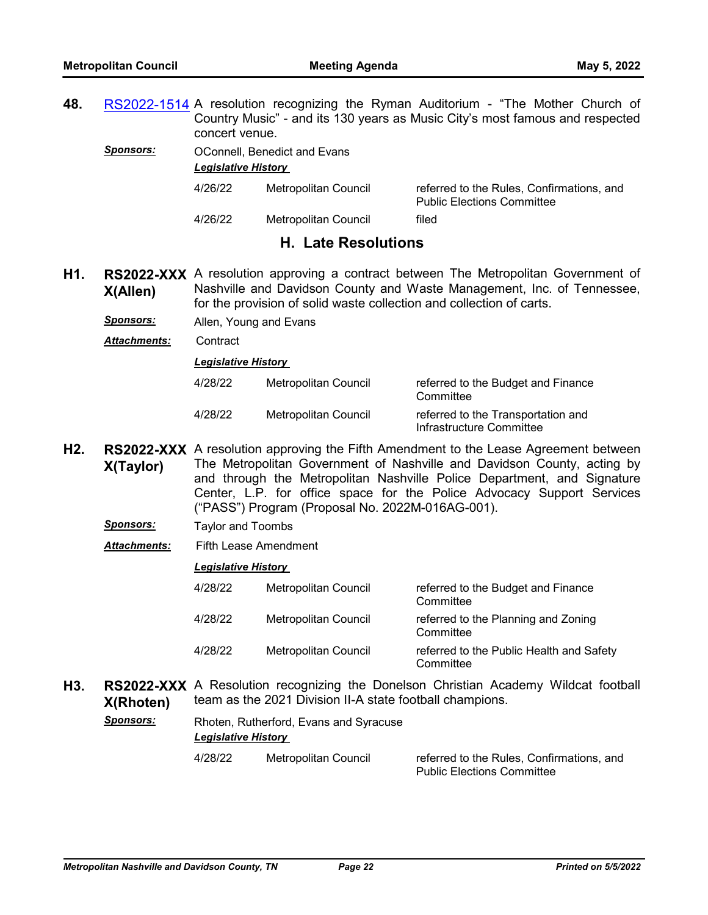**48.** [RS2022-1514](http://nashville.legistar.com/gateway.aspx?m=l&id=/matter.aspx?key=14425) A resolution recognizing the Ryman Auditorium - "The Mother Church of Country Music" - and its 130 years as Music City's most famous and respected concert venue.

*Sponsors:* OConnell, Benedict and Evans

*Legislative History* 

| 4/26/22 | Metropolitan Council | referred to the Rules, Confirmations, and<br><b>Public Elections Committee</b> |  |  |
|---------|----------------------|--------------------------------------------------------------------------------|--|--|
| 4/26/22 | Metropolitan Council | filed                                                                          |  |  |

# **H. Late Resolutions**

- H1. **RS2022-XXX** A resolution approving a contract between The Metropolitan Government of **X(Allen)** Nashville and Davidson County and Waste Management, Inc. of Tennessee, for the provision of solid waste collection and collection of carts.
	- *Sponsors:* Allen, Young and Evans
	- *Attachments:* Contract

*Legislative History* 

| 4/28/22 | Metropolitan Council | referred to the Budget and Finance<br>Committee                |
|---------|----------------------|----------------------------------------------------------------|
| 4/28/22 | Metropolitan Council | referred to the Transportation and<br>Infrastructure Committee |

- H2. **RS2022-XXX** A resolution approving the Fifth Amendment to the Lease Agreement between **X(Taylor)** The Metropolitan Government of Nashville and Davidson County, acting by and through the Metropolitan Nashville Police Department, and Signature Center, L.P. for office space for the Police Advocacy Support Services ("PASS") Program (Proposal No. 2022M-016AG-001).
	- *Sponsors:* Taylor and Toombs
	- *Attachments:* Fifth Lease Amendment

# *Legislative History*

| 4/28/22 | Metropolitan Council | referred to the Budget and Finance<br>Committee       |
|---------|----------------------|-------------------------------------------------------|
| 4/28/22 | Metropolitan Council | referred to the Planning and Zoning<br>Committee      |
| 4/28/22 | Metropolitan Council | referred to the Public Health and Safety<br>Committee |

H3. RS2022-XXX A Resolution recognizing the Donelson Christian Academy Wildcat football **X(Rhoten)** team as the 2021 Division II-A state football champions.

| Sponsors: | Rhoten, Rutherford, Evans and Syracuse |                      |                                                                                |  |  |  |  |  |
|-----------|----------------------------------------|----------------------|--------------------------------------------------------------------------------|--|--|--|--|--|
|           | <b>Legislative History</b>             |                      |                                                                                |  |  |  |  |  |
|           | 4/28/22                                | Metropolitan Council | referred to the Rules. Confirmations, and<br><b>Public Elections Committee</b> |  |  |  |  |  |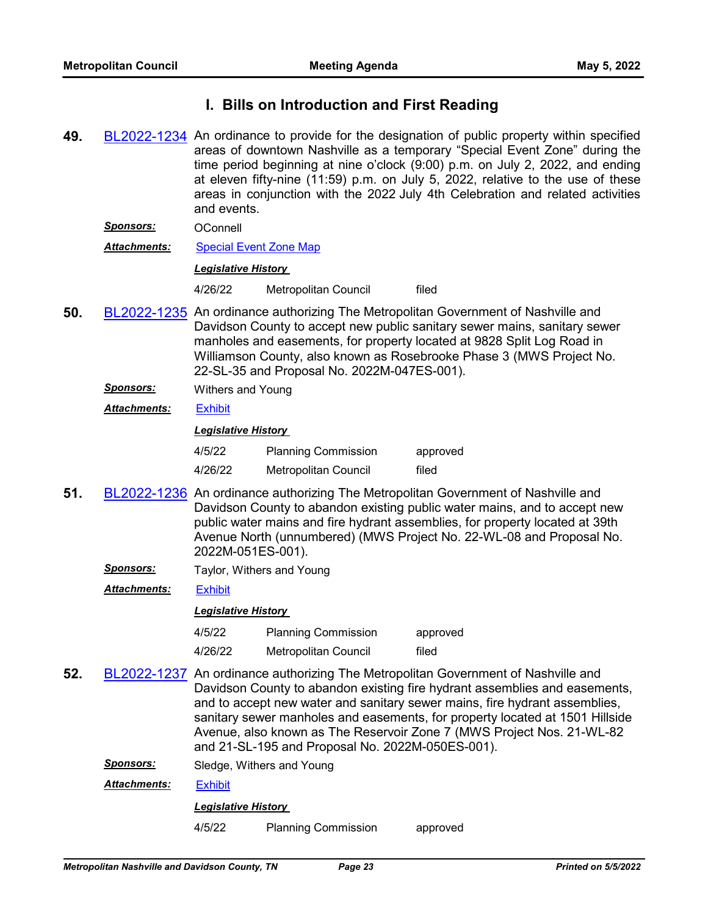# **I. Bills on Introduction and First Reading**

- **49.** [BL2022-1234](http://nashville.legistar.com/gateway.aspx?m=l&id=/matter.aspx?key=14433) An ordinance to provide for the designation of public property within specified areas of downtown Nashville as a temporary "Special Event Zone" during the time period beginning at nine o'clock (9:00) p.m. on July 2, 2022, and ending at eleven fifty-nine (11:59) p.m. on July 5, 2022, relative to the use of these areas in conjunction with the 2022 July 4th Celebration and related activities and events.
	- *Sponsors:* OConnell
	- *Attachments:* [Special Event Zone Map](http://nashville.legistar.com/gateway.aspx?M=F&ID=8101b1c5-296b-45bf-86a0-30fea2c4a76d.pdf)

### *Legislative History*

4/26/22 Metropolitan Council filed

- **50.** [BL2022-1235](http://nashville.legistar.com/gateway.aspx?m=l&id=/matter.aspx?key=14406) An ordinance authorizing The Metropolitan Government of Nashville and Davidson County to accept new public sanitary sewer mains, sanitary sewer manholes and easements, for property located at 9828 Split Log Road in Williamson County, also known as Rosebrooke Phase 3 (MWS Project No. 22-SL-35 and Proposal No. 2022M-047ES-001).
	- *Sponsors:* Withers and Young
	- *Attachments:* [Exhibit](http://nashville.legistar.com/gateway.aspx?M=F&ID=85ced0df-c692-4839-b5fd-9780f92c2138.pdf)

# *Legislative History*

| 4/5/22  | <b>Planning Commission</b> | approved |
|---------|----------------------------|----------|
| 4/26/22 | Metropolitan Council       | filed    |

- **51.** [BL2022-1236](http://nashville.legistar.com/gateway.aspx?m=l&id=/matter.aspx?key=14407) An ordinance authorizing The Metropolitan Government of Nashville and Davidson County to abandon existing public water mains, and to accept new public water mains and fire hydrant assemblies, for property located at 39th Avenue North (unnumbered) (MWS Project No. 22-WL-08 and Proposal No. 2022M-051ES-001).
	- **Sponsors:** Taylor, Withers and Young

*Attachments:* [Exhibit](http://nashville.legistar.com/gateway.aspx?M=F&ID=de4e3b51-bcfe-4383-9fc3-f1af7ed55e68.pdf)

# *Legislative History*

- 4/5/22 Planning Commission approved
- 4/26/22 Metropolitan Council filed
- **52.** [BL2022-1237](http://nashville.legistar.com/gateway.aspx?m=l&id=/matter.aspx?key=14408) An ordinance authorizing The Metropolitan Government of Nashville and Davidson County to abandon existing fire hydrant assemblies and easements, and to accept new water and sanitary sewer mains, fire hydrant assemblies, sanitary sewer manholes and easements, for property located at 1501 Hillside Avenue, also known as The Reservoir Zone 7 (MWS Project Nos. 21-WL-82 and 21-SL-195 and Proposal No. 2022M-050ES-001).
	- *Sponsors:* Sledge, Withers and Young

*Attachments:* [Exhibit](http://nashville.legistar.com/gateway.aspx?M=F&ID=8c531bdc-c87d-4f09-a30b-187fcddd361f.pdf)

# *Legislative History*

4/5/22 Planning Commission approved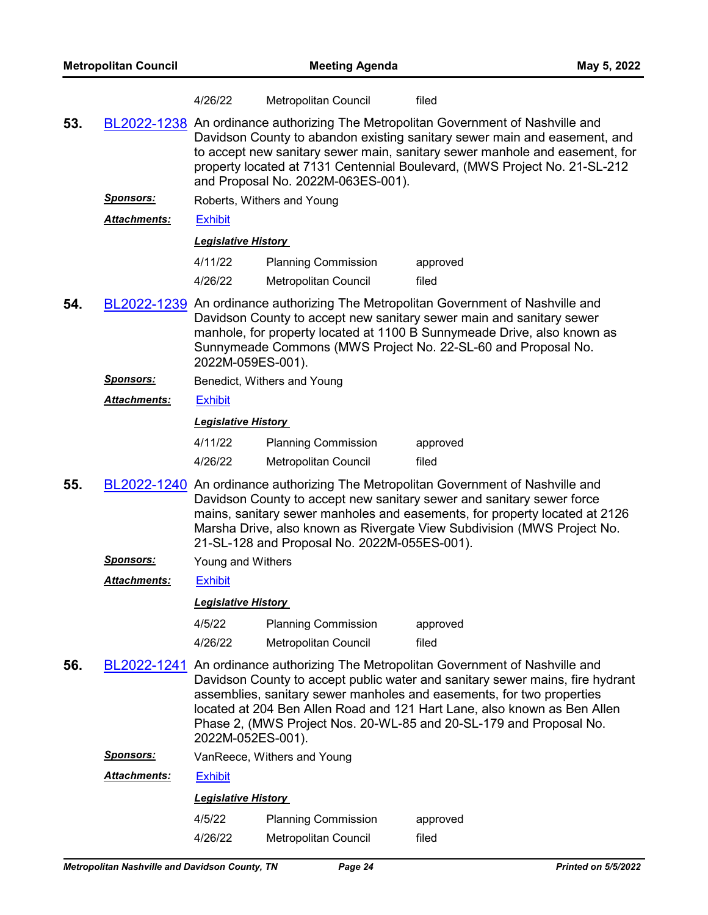|     |                     | 4/26/22                    | Metropolitan Council                                                                                                                                                                                                                                                                                                                                             | filed                                                                                                                                                                                                                                                                                                                                                                                         |  |  |
|-----|---------------------|----------------------------|------------------------------------------------------------------------------------------------------------------------------------------------------------------------------------------------------------------------------------------------------------------------------------------------------------------------------------------------------------------|-----------------------------------------------------------------------------------------------------------------------------------------------------------------------------------------------------------------------------------------------------------------------------------------------------------------------------------------------------------------------------------------------|--|--|
| 53. |                     |                            | BL2022-1238 An ordinance authorizing The Metropolitan Government of Nashville and<br>Davidson County to abandon existing sanitary sewer main and easement, and<br>to accept new sanitary sewer main, sanitary sewer manhole and easement, for<br>property located at 7131 Centennial Boulevard, (MWS Project No. 21-SL-212<br>and Proposal No. 2022M-063ES-001). |                                                                                                                                                                                                                                                                                                                                                                                               |  |  |
|     | <u>Sponsors:</u>    |                            | Roberts, Withers and Young                                                                                                                                                                                                                                                                                                                                       |                                                                                                                                                                                                                                                                                                                                                                                               |  |  |
|     | <b>Attachments:</b> | <b>Exhibit</b>             |                                                                                                                                                                                                                                                                                                                                                                  |                                                                                                                                                                                                                                                                                                                                                                                               |  |  |
|     |                     | <b>Legislative History</b> |                                                                                                                                                                                                                                                                                                                                                                  |                                                                                                                                                                                                                                                                                                                                                                                               |  |  |
|     |                     | 4/11/22                    | <b>Planning Commission</b>                                                                                                                                                                                                                                                                                                                                       | approved                                                                                                                                                                                                                                                                                                                                                                                      |  |  |
|     |                     | 4/26/22                    | Metropolitan Council                                                                                                                                                                                                                                                                                                                                             | filed                                                                                                                                                                                                                                                                                                                                                                                         |  |  |
| 54. |                     | 2022M-059ES-001).          |                                                                                                                                                                                                                                                                                                                                                                  | BL2022-1239 An ordinance authorizing The Metropolitan Government of Nashville and<br>Davidson County to accept new sanitary sewer main and sanitary sewer<br>manhole, for property located at 1100 B Sunnymeade Drive, also known as<br>Sunnymeade Commons (MWS Project No. 22-SL-60 and Proposal No.                                                                                         |  |  |
|     | <u>Sponsors:</u>    |                            | Benedict, Withers and Young                                                                                                                                                                                                                                                                                                                                      |                                                                                                                                                                                                                                                                                                                                                                                               |  |  |
|     | Attachments:        | <b>Exhibit</b>             |                                                                                                                                                                                                                                                                                                                                                                  |                                                                                                                                                                                                                                                                                                                                                                                               |  |  |
|     |                     | <b>Legislative History</b> |                                                                                                                                                                                                                                                                                                                                                                  |                                                                                                                                                                                                                                                                                                                                                                                               |  |  |
|     |                     | 4/11/22                    | <b>Planning Commission</b>                                                                                                                                                                                                                                                                                                                                       | approved                                                                                                                                                                                                                                                                                                                                                                                      |  |  |
|     |                     | 4/26/22                    | Metropolitan Council                                                                                                                                                                                                                                                                                                                                             | filed                                                                                                                                                                                                                                                                                                                                                                                         |  |  |
| 55. |                     |                            | 21-SL-128 and Proposal No. 2022M-055ES-001).                                                                                                                                                                                                                                                                                                                     | BL2022-1240 An ordinance authorizing The Metropolitan Government of Nashville and<br>Davidson County to accept new sanitary sewer and sanitary sewer force<br>mains, sanitary sewer manholes and easements, for property located at 2126<br>Marsha Drive, also known as Rivergate View Subdivision (MWS Project No.                                                                           |  |  |
|     | <u>Sponsors:</u>    | Young and Withers          |                                                                                                                                                                                                                                                                                                                                                                  |                                                                                                                                                                                                                                                                                                                                                                                               |  |  |
|     | <b>Attachments:</b> | <b>Exhibit</b>             |                                                                                                                                                                                                                                                                                                                                                                  |                                                                                                                                                                                                                                                                                                                                                                                               |  |  |
|     |                     | <b>Legislative History</b> |                                                                                                                                                                                                                                                                                                                                                                  |                                                                                                                                                                                                                                                                                                                                                                                               |  |  |
|     |                     | 4/5/22                     | <b>Planning Commission</b>                                                                                                                                                                                                                                                                                                                                       | approved                                                                                                                                                                                                                                                                                                                                                                                      |  |  |
|     |                     | 4/26/22                    | Metropolitan Council                                                                                                                                                                                                                                                                                                                                             | filed                                                                                                                                                                                                                                                                                                                                                                                         |  |  |
| 56. |                     | 2022M-052ES-001).          |                                                                                                                                                                                                                                                                                                                                                                  | BL2022-1241 An ordinance authorizing The Metropolitan Government of Nashville and<br>Davidson County to accept public water and sanitary sewer mains, fire hydrant<br>assemblies, sanitary sewer manholes and easements, for two properties<br>located at 204 Ben Allen Road and 121 Hart Lane, also known as Ben Allen<br>Phase 2, (MWS Project Nos. 20-WL-85 and 20-SL-179 and Proposal No. |  |  |
|     | <u>Sponsors:</u>    |                            | VanReece, Withers and Young                                                                                                                                                                                                                                                                                                                                      |                                                                                                                                                                                                                                                                                                                                                                                               |  |  |
|     | <b>Attachments:</b> | <b>Exhibit</b>             |                                                                                                                                                                                                                                                                                                                                                                  |                                                                                                                                                                                                                                                                                                                                                                                               |  |  |
|     |                     | <b>Legislative History</b> |                                                                                                                                                                                                                                                                                                                                                                  |                                                                                                                                                                                                                                                                                                                                                                                               |  |  |
|     |                     | 4/5/22                     | <b>Planning Commission</b>                                                                                                                                                                                                                                                                                                                                       | approved                                                                                                                                                                                                                                                                                                                                                                                      |  |  |
|     |                     | 4/26/22                    | Metropolitan Council                                                                                                                                                                                                                                                                                                                                             | filed                                                                                                                                                                                                                                                                                                                                                                                         |  |  |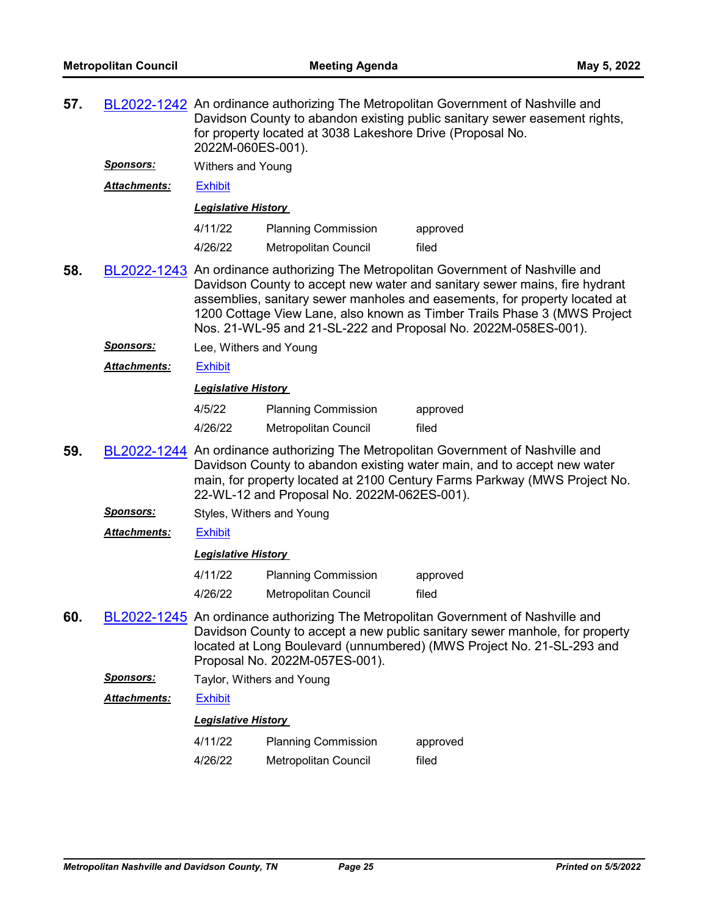| 57. |                     | BL2022-1242 An ordinance authorizing The Metropolitan Government of Nashville and<br>Davidson County to abandon existing public sanitary sewer easement rights,<br>for property located at 3038 Lakeshore Drive (Proposal No.<br>2022M-060ES-001).                          |                                             |                                                                                                                                                                                                                                                                                                                                                                                             |  |  |  |  |
|-----|---------------------|-----------------------------------------------------------------------------------------------------------------------------------------------------------------------------------------------------------------------------------------------------------------------------|---------------------------------------------|---------------------------------------------------------------------------------------------------------------------------------------------------------------------------------------------------------------------------------------------------------------------------------------------------------------------------------------------------------------------------------------------|--|--|--|--|
|     | <u>Sponsors:</u>    |                                                                                                                                                                                                                                                                             | Withers and Young                           |                                                                                                                                                                                                                                                                                                                                                                                             |  |  |  |  |
|     | <b>Attachments:</b> | <b>Exhibit</b>                                                                                                                                                                                                                                                              |                                             |                                                                                                                                                                                                                                                                                                                                                                                             |  |  |  |  |
|     |                     | <b>Legislative History</b>                                                                                                                                                                                                                                                  |                                             |                                                                                                                                                                                                                                                                                                                                                                                             |  |  |  |  |
|     |                     | 4/11/22                                                                                                                                                                                                                                                                     | <b>Planning Commission</b>                  | approved                                                                                                                                                                                                                                                                                                                                                                                    |  |  |  |  |
|     |                     | 4/26/22                                                                                                                                                                                                                                                                     | <b>Metropolitan Council</b>                 | filed                                                                                                                                                                                                                                                                                                                                                                                       |  |  |  |  |
| 58. |                     |                                                                                                                                                                                                                                                                             |                                             | BL2022-1243 An ordinance authorizing The Metropolitan Government of Nashville and<br>Davidson County to accept new water and sanitary sewer mains, fire hydrant<br>assemblies, sanitary sewer manholes and easements, for property located at<br>1200 Cottage View Lane, also known as Timber Trails Phase 3 (MWS Project<br>Nos. 21-WL-95 and 21-SL-222 and Proposal No. 2022M-058ES-001). |  |  |  |  |
|     | <u>Sponsors:</u>    | Lee, Withers and Young                                                                                                                                                                                                                                                      |                                             |                                                                                                                                                                                                                                                                                                                                                                                             |  |  |  |  |
|     | <b>Attachments:</b> | <b>Exhibit</b>                                                                                                                                                                                                                                                              |                                             |                                                                                                                                                                                                                                                                                                                                                                                             |  |  |  |  |
|     |                     | <b>Legislative History</b>                                                                                                                                                                                                                                                  |                                             |                                                                                                                                                                                                                                                                                                                                                                                             |  |  |  |  |
|     |                     | 4/5/22                                                                                                                                                                                                                                                                      | <b>Planning Commission</b>                  | approved                                                                                                                                                                                                                                                                                                                                                                                    |  |  |  |  |
|     |                     | 4/26/22                                                                                                                                                                                                                                                                     | Metropolitan Council                        | filed                                                                                                                                                                                                                                                                                                                                                                                       |  |  |  |  |
| 59. |                     |                                                                                                                                                                                                                                                                             | 22-WL-12 and Proposal No. 2022M-062ES-001). | BL2022-1244 An ordinance authorizing The Metropolitan Government of Nashville and<br>Davidson County to abandon existing water main, and to accept new water<br>main, for property located at 2100 Century Farms Parkway (MWS Project No.                                                                                                                                                   |  |  |  |  |
|     | <u>Sponsors:</u>    | Styles, Withers and Young                                                                                                                                                                                                                                                   |                                             |                                                                                                                                                                                                                                                                                                                                                                                             |  |  |  |  |
|     | <b>Attachments:</b> | <b>Exhibit</b>                                                                                                                                                                                                                                                              |                                             |                                                                                                                                                                                                                                                                                                                                                                                             |  |  |  |  |
|     |                     | <b>Legislative History</b>                                                                                                                                                                                                                                                  |                                             |                                                                                                                                                                                                                                                                                                                                                                                             |  |  |  |  |
|     |                     | 4/11/22                                                                                                                                                                                                                                                                     | <b>Planning Commission</b>                  | approved                                                                                                                                                                                                                                                                                                                                                                                    |  |  |  |  |
|     |                     | 4/26/22                                                                                                                                                                                                                                                                     | Metropolitan Council                        | filed                                                                                                                                                                                                                                                                                                                                                                                       |  |  |  |  |
| 60. |                     | BL2022-1245 An ordinance authorizing The Metropolitan Government of Nashville and<br>Davidson County to accept a new public sanitary sewer manhole, for property<br>located at Long Boulevard (unnumbered) (MWS Project No. 21-SL-293 and<br>Proposal No. 2022M-057ES-001). |                                             |                                                                                                                                                                                                                                                                                                                                                                                             |  |  |  |  |
|     | <b>Sponsors:</b>    | Taylor, Withers and Young                                                                                                                                                                                                                                                   |                                             |                                                                                                                                                                                                                                                                                                                                                                                             |  |  |  |  |
|     | <b>Attachments:</b> | <b>Exhibit</b>                                                                                                                                                                                                                                                              |                                             |                                                                                                                                                                                                                                                                                                                                                                                             |  |  |  |  |
|     |                     | <b>Legislative History</b>                                                                                                                                                                                                                                                  |                                             |                                                                                                                                                                                                                                                                                                                                                                                             |  |  |  |  |
|     |                     | 4/11/22                                                                                                                                                                                                                                                                     | <b>Planning Commission</b>                  | approved                                                                                                                                                                                                                                                                                                                                                                                    |  |  |  |  |
|     |                     | 4/26/22<br>Metropolitan Council<br>filed                                                                                                                                                                                                                                    |                                             |                                                                                                                                                                                                                                                                                                                                                                                             |  |  |  |  |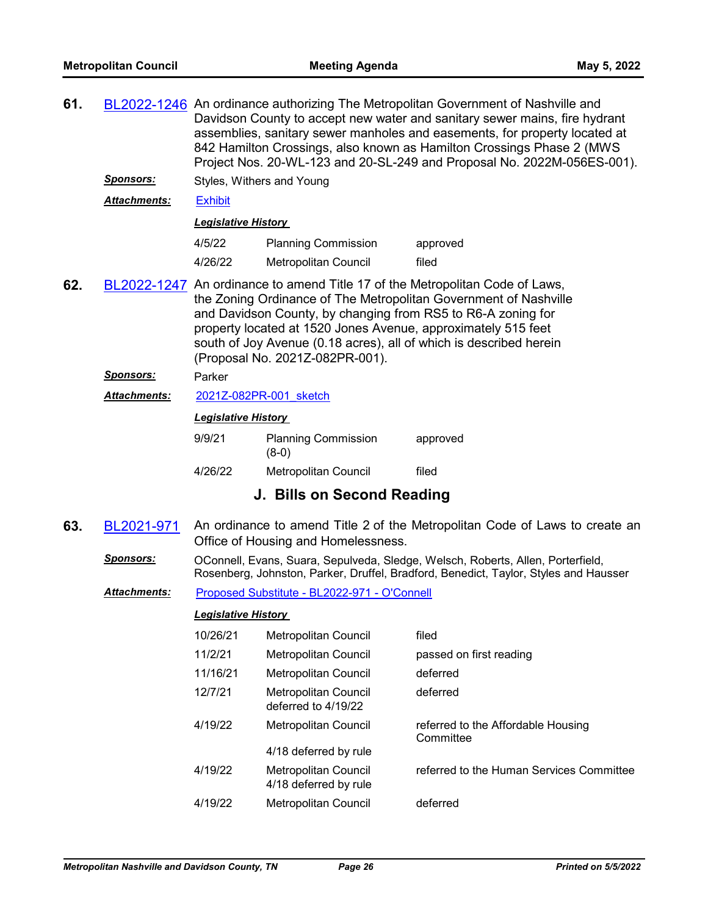| 61. |                     |                            |                                                                                                                                                                                                                                                                                                                                                                                            | BL2022-1246 An ordinance authorizing The Metropolitan Government of Nashville and<br>Davidson County to accept new water and sanitary sewer mains, fire hydrant<br>assemblies, sanitary sewer manholes and easements, for property located at<br>842 Hamilton Crossings, also known as Hamilton Crossings Phase 2 (MWS<br>Project Nos. 20-WL-123 and 20-SL-249 and Proposal No. 2022M-056ES-001). |  |  |  |  |  |
|-----|---------------------|----------------------------|--------------------------------------------------------------------------------------------------------------------------------------------------------------------------------------------------------------------------------------------------------------------------------------------------------------------------------------------------------------------------------------------|---------------------------------------------------------------------------------------------------------------------------------------------------------------------------------------------------------------------------------------------------------------------------------------------------------------------------------------------------------------------------------------------------|--|--|--|--|--|
|     | <u>Sponsors:</u>    | Styles, Withers and Young  |                                                                                                                                                                                                                                                                                                                                                                                            |                                                                                                                                                                                                                                                                                                                                                                                                   |  |  |  |  |  |
|     | Attachments:        | <b>Exhibit</b>             |                                                                                                                                                                                                                                                                                                                                                                                            |                                                                                                                                                                                                                                                                                                                                                                                                   |  |  |  |  |  |
|     |                     | <b>Legislative History</b> |                                                                                                                                                                                                                                                                                                                                                                                            |                                                                                                                                                                                                                                                                                                                                                                                                   |  |  |  |  |  |
|     |                     | 4/5/22                     | <b>Planning Commission</b>                                                                                                                                                                                                                                                                                                                                                                 | approved                                                                                                                                                                                                                                                                                                                                                                                          |  |  |  |  |  |
|     |                     | 4/26/22                    | <b>Metropolitan Council</b>                                                                                                                                                                                                                                                                                                                                                                | filed                                                                                                                                                                                                                                                                                                                                                                                             |  |  |  |  |  |
| 62. |                     |                            | BL2022-1247 An ordinance to amend Title 17 of the Metropolitan Code of Laws,<br>the Zoning Ordinance of The Metropolitan Government of Nashville<br>and Davidson County, by changing from RS5 to R6-A zoning for<br>property located at 1520 Jones Avenue, approximately 515 feet<br>south of Joy Avenue (0.18 acres), all of which is described herein<br>(Proposal No. 2021Z-082PR-001). |                                                                                                                                                                                                                                                                                                                                                                                                   |  |  |  |  |  |
|     | <b>Sponsors:</b>    | Parker                     |                                                                                                                                                                                                                                                                                                                                                                                            |                                                                                                                                                                                                                                                                                                                                                                                                   |  |  |  |  |  |
|     | Attachments:        |                            | 2021Z-082PR-001 sketch                                                                                                                                                                                                                                                                                                                                                                     |                                                                                                                                                                                                                                                                                                                                                                                                   |  |  |  |  |  |
|     |                     | <b>Legislative History</b> |                                                                                                                                                                                                                                                                                                                                                                                            |                                                                                                                                                                                                                                                                                                                                                                                                   |  |  |  |  |  |
|     |                     | 9/9/21                     | <b>Planning Commission</b><br>$(8-0)$                                                                                                                                                                                                                                                                                                                                                      | approved                                                                                                                                                                                                                                                                                                                                                                                          |  |  |  |  |  |
|     |                     | 4/26/22                    | Metropolitan Council                                                                                                                                                                                                                                                                                                                                                                       | filed                                                                                                                                                                                                                                                                                                                                                                                             |  |  |  |  |  |
|     |                     |                            | J. Bills on Second Reading                                                                                                                                                                                                                                                                                                                                                                 |                                                                                                                                                                                                                                                                                                                                                                                                   |  |  |  |  |  |
| 63. | BL2021-971          |                            | Office of Housing and Homelessness.                                                                                                                                                                                                                                                                                                                                                        | An ordinance to amend Title 2 of the Metropolitan Code of Laws to create an                                                                                                                                                                                                                                                                                                                       |  |  |  |  |  |
|     | <b>Sponsors:</b>    |                            |                                                                                                                                                                                                                                                                                                                                                                                            | OConnell, Evans, Suara, Sepulveda, Sledge, Welsch, Roberts, Allen, Porterfield,<br>Rosenberg, Johnston, Parker, Druffel, Bradford, Benedict, Taylor, Styles and Hausser                                                                                                                                                                                                                           |  |  |  |  |  |
|     | <b>Attachments:</b> |                            | Proposed Substitute - BL2022-971 - O'Connell                                                                                                                                                                                                                                                                                                                                               |                                                                                                                                                                                                                                                                                                                                                                                                   |  |  |  |  |  |
|     |                     | <b>Legislative History</b> |                                                                                                                                                                                                                                                                                                                                                                                            |                                                                                                                                                                                                                                                                                                                                                                                                   |  |  |  |  |  |
|     |                     | 10/26/21                   | Metropolitan Council                                                                                                                                                                                                                                                                                                                                                                       | filed                                                                                                                                                                                                                                                                                                                                                                                             |  |  |  |  |  |
|     |                     | 11/2/21                    | Metropolitan Council                                                                                                                                                                                                                                                                                                                                                                       | passed on first reading                                                                                                                                                                                                                                                                                                                                                                           |  |  |  |  |  |
|     |                     | 11/16/21                   | Metropolitan Council                                                                                                                                                                                                                                                                                                                                                                       | deferred                                                                                                                                                                                                                                                                                                                                                                                          |  |  |  |  |  |
|     |                     | 12/7/21                    | Metropolitan Council<br>deferred to 4/19/22                                                                                                                                                                                                                                                                                                                                                | deferred                                                                                                                                                                                                                                                                                                                                                                                          |  |  |  |  |  |
|     |                     | 4/19/22                    | Metropolitan Council                                                                                                                                                                                                                                                                                                                                                                       | referred to the Affordable Housing<br>Committee                                                                                                                                                                                                                                                                                                                                                   |  |  |  |  |  |
|     |                     |                            | 4/18 deferred by rule                                                                                                                                                                                                                                                                                                                                                                      |                                                                                                                                                                                                                                                                                                                                                                                                   |  |  |  |  |  |
|     |                     | 4/19/22                    | Metropolitan Council<br>4/18 deferred by rule                                                                                                                                                                                                                                                                                                                                              | referred to the Human Services Committee                                                                                                                                                                                                                                                                                                                                                          |  |  |  |  |  |
|     |                     | 4/19/22                    | Metropolitan Council                                                                                                                                                                                                                                                                                                                                                                       | deferred                                                                                                                                                                                                                                                                                                                                                                                          |  |  |  |  |  |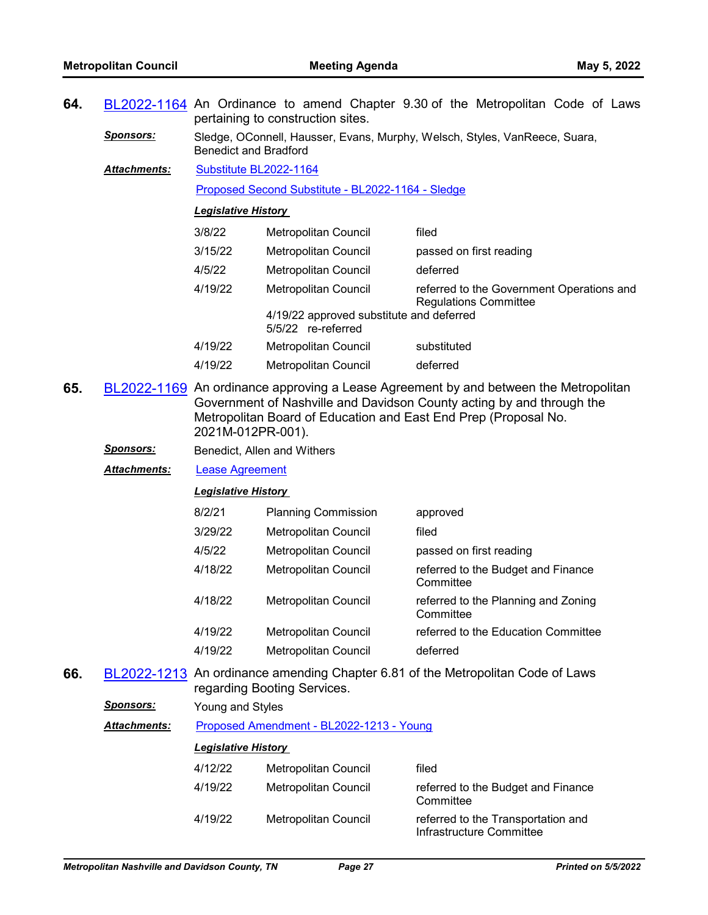|                                   | 64. BL2022-1164 An Ordinance to amend Chapter 9.30 of the Metropolitan Code of Laws |  |  |  |  |  |  |  |  |  |  |  |
|-----------------------------------|-------------------------------------------------------------------------------------|--|--|--|--|--|--|--|--|--|--|--|
| pertaining to construction sites. |                                                                                     |  |  |  |  |  |  |  |  |  |  |  |

*Sponsors:* Sledge, OConnell, Hausser, Evans, Murphy, Welsch, Styles, VanReece, Suara, Benedict and Bradford

[Substitute BL2022-1164](http://nashville.legistar.com/gateway.aspx?M=F&ID=8f1e17aa-6245-4913-9728-87830341d48d.docx) [Proposed Second Substitute - BL2022-1164 - Sledge](http://nashville.legistar.com/gateway.aspx?M=F&ID=1689ff8f-0fe0-4f0b-b8e5-0f0e859aedf3.docx) *Attachments:*

#### *Legislative History*

| 3/8/22  | <b>Metropolitan Council</b>                                    | filed                                                                     |
|---------|----------------------------------------------------------------|---------------------------------------------------------------------------|
| 3/15/22 | <b>Metropolitan Council</b>                                    | passed on first reading                                                   |
| 4/5/22  | <b>Metropolitan Council</b>                                    | deferred                                                                  |
| 4/19/22 | Metropolitan Council                                           | referred to the Government Operations and<br><b>Regulations Committee</b> |
|         | 4/19/22 approved substitute and deferred<br>5/5/22 re-referred |                                                                           |
| 4/19/22 | Metropolitan Council                                           | substituted                                                               |
| 4/19/22 | Metropolitan Council                                           | deferred                                                                  |

- **65.** [BL2022-1169](http://nashville.legistar.com/gateway.aspx?m=l&id=/matter.aspx?key=14261) An ordinance approving a Lease Agreement by and between the Metropolitan Government of Nashville and Davidson County acting by and through the Metropolitan Board of Education and East End Prep (Proposal No. 2021M-012PR-001).
	- **Sponsors:** Benedict, Allen and Withers
	- *Attachments:* [Lease Agreement](http://nashville.legistar.com/gateway.aspx?M=F&ID=e7deaabc-865e-4072-9df7-486593ad76a6.pdf)

#### *Legislative History*

| 8/2/21  | <b>Planning Commission</b>  | approved                                         |
|---------|-----------------------------|--------------------------------------------------|
| 3/29/22 | <b>Metropolitan Council</b> | filed                                            |
| 4/5/22  | Metropolitan Council        | passed on first reading                          |
| 4/18/22 | <b>Metropolitan Council</b> | referred to the Budget and Finance<br>Committee  |
| 4/18/22 | Metropolitan Council        | referred to the Planning and Zoning<br>Committee |
| 4/19/22 | Metropolitan Council        | referred to the Education Committee              |
| 4/19/22 | Metropolitan Council        | deferred                                         |

**66.** [BL2022-1213](http://nashville.legistar.com/gateway.aspx?m=l&id=/matter.aspx?key=14393) An ordinance amending Chapter 6.81 of the Metropolitan Code of Laws regarding Booting Services.

*Sponsors:* Young and Styles

*Attachments:* [Proposed Amendment - BL2022-1213 - Young](http://nashville.legistar.com/gateway.aspx?M=F&ID=f9cc380c-1f14-4837-8f25-016b323dfe08.docx)

| 4/12/22 | Metropolitan Council | filed                                                          |
|---------|----------------------|----------------------------------------------------------------|
| 4/19/22 | Metropolitan Council | referred to the Budget and Finance<br>Committee                |
| 4/19/22 | Metropolitan Council | referred to the Transportation and<br>Infrastructure Committee |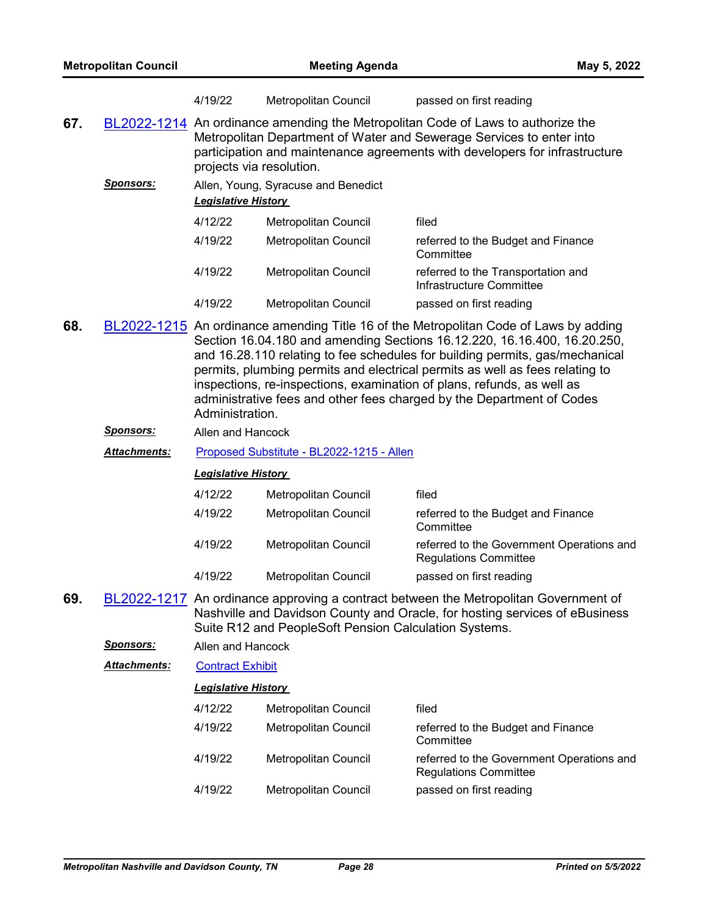|                                                                                                                                                                                                                                                                                                                                                                                                                                                                                                                |                     | 4/19/22                                   | <b>Metropolitan Council</b>                           | passed on first reading                                                                                                                                                                                                                 |
|----------------------------------------------------------------------------------------------------------------------------------------------------------------------------------------------------------------------------------------------------------------------------------------------------------------------------------------------------------------------------------------------------------------------------------------------------------------------------------------------------------------|---------------------|-------------------------------------------|-------------------------------------------------------|-----------------------------------------------------------------------------------------------------------------------------------------------------------------------------------------------------------------------------------------|
| 67.                                                                                                                                                                                                                                                                                                                                                                                                                                                                                                            |                     | projects via resolution.                  |                                                       | BL2022-1214 An ordinance amending the Metropolitan Code of Laws to authorize the<br>Metropolitan Department of Water and Sewerage Services to enter into<br>participation and maintenance agreements with developers for infrastructure |
|                                                                                                                                                                                                                                                                                                                                                                                                                                                                                                                | <b>Sponsors:</b>    | <b>Legislative History</b>                | Allen, Young, Syracuse and Benedict                   |                                                                                                                                                                                                                                         |
|                                                                                                                                                                                                                                                                                                                                                                                                                                                                                                                |                     | 4/12/22                                   | Metropolitan Council                                  | filed                                                                                                                                                                                                                                   |
|                                                                                                                                                                                                                                                                                                                                                                                                                                                                                                                |                     | 4/19/22                                   | Metropolitan Council                                  | referred to the Budget and Finance<br>Committee                                                                                                                                                                                         |
|                                                                                                                                                                                                                                                                                                                                                                                                                                                                                                                |                     | 4/19/22                                   | Metropolitan Council                                  | referred to the Transportation and<br>Infrastructure Committee                                                                                                                                                                          |
|                                                                                                                                                                                                                                                                                                                                                                                                                                                                                                                |                     | 4/19/22                                   | <b>Metropolitan Council</b>                           | passed on first reading                                                                                                                                                                                                                 |
| 68.<br>BL2022-1215 An ordinance amending Title 16 of the Metropolitan Code of Laws by adding<br>Section 16.04.180 and amending Sections 16.12.220, 16.16.400, 16.20.250,<br>and 16.28.110 relating to fee schedules for building permits, gas/mechanical<br>permits, plumbing permits and electrical permits as well as fees relating to<br>inspections, re-inspections, examination of plans, refunds, as well as<br>administrative fees and other fees charged by the Department of Codes<br>Administration. |                     |                                           |                                                       |                                                                                                                                                                                                                                         |
|                                                                                                                                                                                                                                                                                                                                                                                                                                                                                                                | <b>Sponsors:</b>    | Allen and Hancock                         |                                                       |                                                                                                                                                                                                                                         |
|                                                                                                                                                                                                                                                                                                                                                                                                                                                                                                                | <b>Attachments:</b> | Proposed Substitute - BL2022-1215 - Allen |                                                       |                                                                                                                                                                                                                                         |
|                                                                                                                                                                                                                                                                                                                                                                                                                                                                                                                |                     | <b>Legislative History</b>                |                                                       |                                                                                                                                                                                                                                         |
|                                                                                                                                                                                                                                                                                                                                                                                                                                                                                                                |                     | 4/12/22                                   | Metropolitan Council                                  | filed                                                                                                                                                                                                                                   |
|                                                                                                                                                                                                                                                                                                                                                                                                                                                                                                                |                     | 4/19/22                                   | Metropolitan Council                                  | referred to the Budget and Finance<br>Committee                                                                                                                                                                                         |
|                                                                                                                                                                                                                                                                                                                                                                                                                                                                                                                |                     | 4/19/22                                   | Metropolitan Council                                  | referred to the Government Operations and<br><b>Regulations Committee</b>                                                                                                                                                               |
|                                                                                                                                                                                                                                                                                                                                                                                                                                                                                                                |                     | 4/19/22                                   | <b>Metropolitan Council</b>                           | passed on first reading                                                                                                                                                                                                                 |
| 69.                                                                                                                                                                                                                                                                                                                                                                                                                                                                                                            |                     |                                           | Suite R12 and PeopleSoft Pension Calculation Systems. | BL2022-1217 An ordinance approving a contract between the Metropolitan Government of<br>Nashville and Davidson County and Oracle, for hosting services of eBusiness                                                                     |
|                                                                                                                                                                                                                                                                                                                                                                                                                                                                                                                | <b>Sponsors:</b>    | Allen and Hancock                         |                                                       |                                                                                                                                                                                                                                         |
|                                                                                                                                                                                                                                                                                                                                                                                                                                                                                                                |                     |                                           |                                                       |                                                                                                                                                                                                                                         |

Attachments: [Contract Exhibit](http://nashville.legistar.com/gateway.aspx?M=F&ID=dcf2ceca-eb4d-42a6-a3e9-ab80ee1e5495.pdf)

| 4/12/22 | Metropolitan Council | filed                                                                     |
|---------|----------------------|---------------------------------------------------------------------------|
| 4/19/22 | Metropolitan Council | referred to the Budget and Finance<br>Committee                           |
| 4/19/22 | Metropolitan Council | referred to the Government Operations and<br><b>Regulations Committee</b> |
| 4/19/22 | Metropolitan Council | passed on first reading                                                   |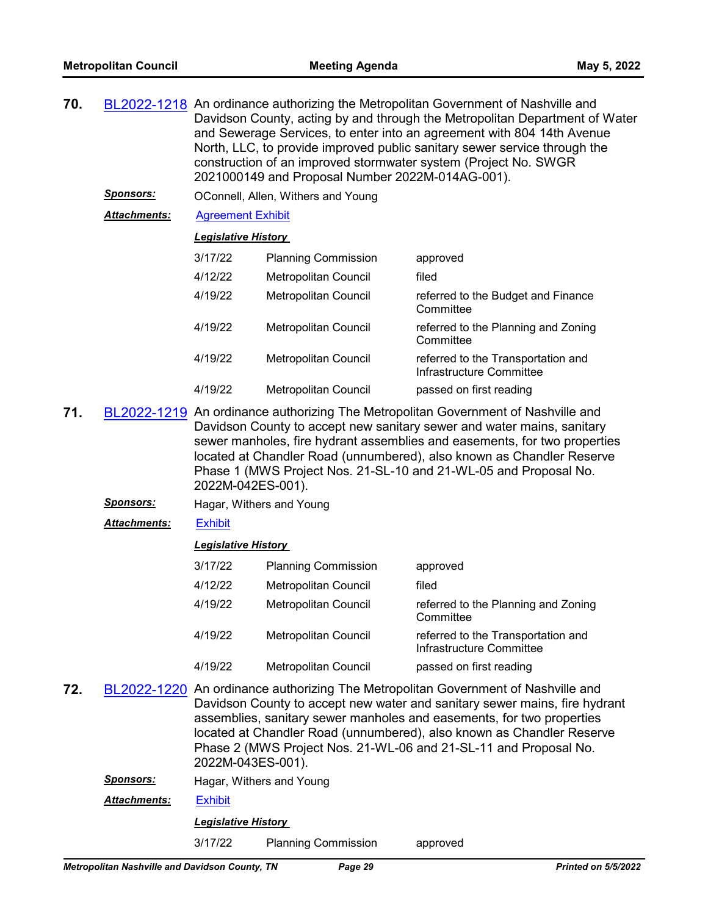| 70. | BL2022-1218 An ordinance authorizing the Metropolitan Government of Nashville and |
|-----|-----------------------------------------------------------------------------------|
|     | Davidson County, acting by and through the Metropolitan Department of Water       |
|     | and Sewerage Services, to enter into an agreement with 804 14th Avenue            |
|     | North, LLC, to provide improved public sanitary sewer service through the         |
|     | construction of an improved stormwater system (Project No. SWGR                   |
|     | 2021000149 and Proposal Number 2022M-014AG-001).                                  |
|     |                                                                                   |

*Sponsors:* OConnell, Allen, Withers and Young

*Attachments:* [Agreement Exhibit](http://nashville.legistar.com/gateway.aspx?M=F&ID=27a57169-e6c7-4e62-a5b0-e0b8f5435feb.pdf)

### *Legislative History*

| 3/17/22 | <b>Planning Commission</b>  | approved                                                       |
|---------|-----------------------------|----------------------------------------------------------------|
| 4/12/22 | <b>Metropolitan Council</b> | filed                                                          |
| 4/19/22 | Metropolitan Council        | referred to the Budget and Finance<br>Committee                |
| 4/19/22 | Metropolitan Council        | referred to the Planning and Zoning<br>Committee               |
| 4/19/22 | <b>Metropolitan Council</b> | referred to the Transportation and<br>Infrastructure Committee |
| 4/19/22 | Metropolitan Council        | passed on first reading                                        |

- **71.** [BL2022-1219](http://nashville.legistar.com/gateway.aspx?m=l&id=/matter.aspx?key=14347) An ordinance authorizing The Metropolitan Government of Nashville and Davidson County to accept new sanitary sewer and water mains, sanitary sewer manholes, fire hydrant assemblies and easements, for two properties located at Chandler Road (unnumbered), also known as Chandler Reserve Phase 1 (MWS Project Nos. 21-SL-10 and 21-WL-05 and Proposal No. 2022M-042ES-001).
	- *Sponsors:* Hagar, Withers and Young
	- *Attachments:* [Exhibit](http://nashville.legistar.com/gateway.aspx?M=F&ID=65d50f91-c484-4ac8-9550-7e15c84167c1.pdf)

#### *Legislative History*

| 3/17/22 | <b>Planning Commission</b> | approved                                                       |
|---------|----------------------------|----------------------------------------------------------------|
| 4/12/22 | Metropolitan Council       | filed                                                          |
| 4/19/22 | Metropolitan Council       | referred to the Planning and Zoning<br>Committee               |
| 4/19/22 | Metropolitan Council       | referred to the Transportation and<br>Infrastructure Committee |
| 4/19/22 | Metropolitan Council       | passed on first reading                                        |

- **72.** [BL2022-1220](http://nashville.legistar.com/gateway.aspx?m=l&id=/matter.aspx?key=14349) An ordinance authorizing The Metropolitan Government of Nashville and Davidson County to accept new water and sanitary sewer mains, fire hydrant assemblies, sanitary sewer manholes and easements, for two properties located at Chandler Road (unnumbered), also known as Chandler Reserve Phase 2 (MWS Project Nos. 21-WL-06 and 21-SL-11 and Proposal No. 2022M-043ES-001).
	- **Sponsors:** Hagar, Withers and Young
	- *Attachments:* [Exhibit](http://nashville.legistar.com/gateway.aspx?M=F&ID=240c8d34-9099-4db3-a2db-b4602d7cb391.pdf)

# *Legislative History*

3/17/22 Planning Commission approved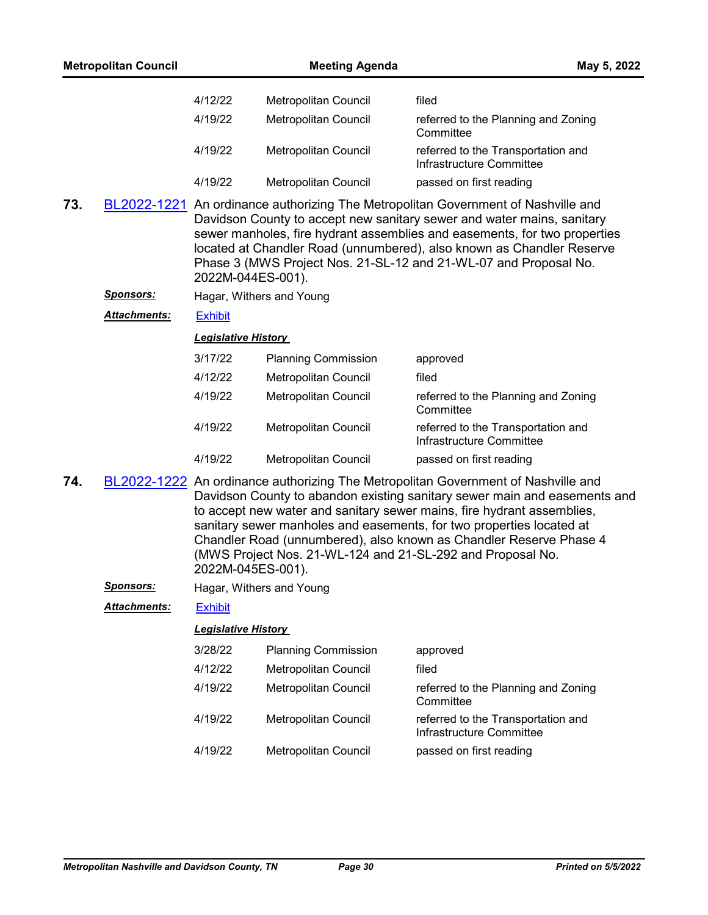| <b>Metropolitan Council</b> |         | <b>Meeting Agenda</b>       | May 5, 2022                                                                                                                                                                                                                                                                                                                                                                           |
|-----------------------------|---------|-----------------------------|---------------------------------------------------------------------------------------------------------------------------------------------------------------------------------------------------------------------------------------------------------------------------------------------------------------------------------------------------------------------------------------|
|                             | 4/12/22 | <b>Metropolitan Council</b> | filed                                                                                                                                                                                                                                                                                                                                                                                 |
|                             | 4/19/22 | <b>Metropolitan Council</b> | referred to the Planning and Zoning<br>Committee                                                                                                                                                                                                                                                                                                                                      |
|                             | 4/19/22 | Metropolitan Council        | referred to the Transportation and<br>Infrastructure Committee                                                                                                                                                                                                                                                                                                                        |
|                             | 4/19/22 | Metropolitan Council        | passed on first reading                                                                                                                                                                                                                                                                                                                                                               |
| 73.                         |         | 2022M-044ES-001).           | BL2022-1221 An ordinance authorizing The Metropolitan Government of Nashville and<br>Davidson County to accept new sanitary sewer and water mains, sanitary<br>sewer manholes, fire hydrant assemblies and easements, for two properties<br>located at Chandler Road (unnumbered), also known as Chandler Reserve<br>Phase 3 (MWS Project Nos. 21-SL-12 and 21-WL-07 and Proposal No. |
| Snoneore:                   |         |                             |                                                                                                                                                                                                                                                                                                                                                                                       |

- *Sponsors:* Hagar, Withers and Young
- *Attachments:* [Exhibit](http://nashville.legistar.com/gateway.aspx?M=F&ID=f1f6fe6b-77bb-47ed-879d-5b18537bb3a0.pdf)

# *Legislative History*

| 3/17/22 | <b>Planning Commission</b>  | approved                                                       |
|---------|-----------------------------|----------------------------------------------------------------|
| 4/12/22 | Metropolitan Council        | filed                                                          |
| 4/19/22 | Metropolitan Council        | referred to the Planning and Zoning<br>Committee               |
| 4/19/22 | <b>Metropolitan Council</b> | referred to the Transportation and<br>Infrastructure Committee |
| 4/19/22 | <b>Metropolitan Council</b> | passed on first reading                                        |

- **74.** [BL2022-1222](http://nashville.legistar.com/gateway.aspx?m=l&id=/matter.aspx?key=14359) An ordinance authorizing The Metropolitan Government of Nashville and Davidson County to abandon existing sanitary sewer main and easements and to accept new water and sanitary sewer mains, fire hydrant assemblies, sanitary sewer manholes and easements, for two properties located at Chandler Road (unnumbered), also known as Chandler Reserve Phase 4 (MWS Project Nos. 21-WL-124 and 21-SL-292 and Proposal No. 2022M-045ES-001).
	- *Sponsors:* Hagar, Withers and Young

### *Attachments:* [Exhibit](http://nashville.legistar.com/gateway.aspx?M=F&ID=8c2cb7af-aded-4b0c-9c5c-422c5b33de17.pdf)

| 3/28/22 | <b>Planning Commission</b>  | approved                                                       |
|---------|-----------------------------|----------------------------------------------------------------|
| 4/12/22 | Metropolitan Council        | filed                                                          |
| 4/19/22 | Metropolitan Council        | referred to the Planning and Zoning<br>Committee               |
| 4/19/22 | <b>Metropolitan Council</b> | referred to the Transportation and<br>Infrastructure Committee |
| 4/19/22 | <b>Metropolitan Council</b> | passed on first reading                                        |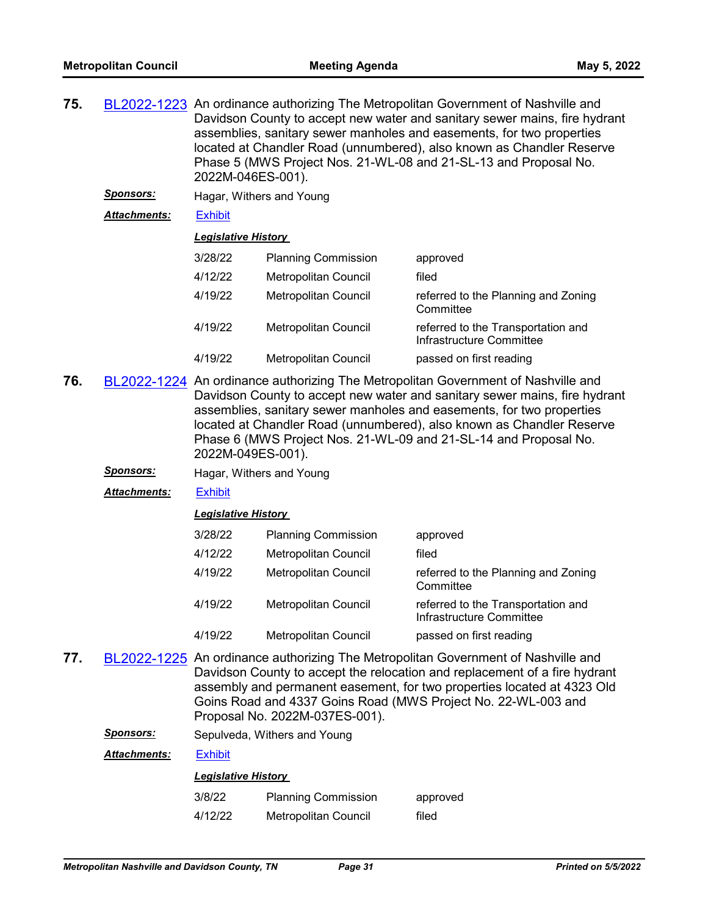| 75.<br>BL2022-1223 An ordinance authorizing The Metropolitan Government of Nashville and<br>2022M-046ES-001). |                  |                            | Davidson County to accept new water and sanitary sewer mains, fire hydrant<br>assemblies, sanitary sewer manholes and easements, for two properties<br>located at Chandler Road (unnumbered), also known as Chandler Reserve<br>Phase 5 (MWS Project Nos. 21-WL-08 and 21-SL-13 and Proposal No. |                                     |
|---------------------------------------------------------------------------------------------------------------|------------------|----------------------------|--------------------------------------------------------------------------------------------------------------------------------------------------------------------------------------------------------------------------------------------------------------------------------------------------|-------------------------------------|
|                                                                                                               | <b>Sponsors:</b> | Hagar, Withers and Young   |                                                                                                                                                                                                                                                                                                  |                                     |
| <b>Attachments:</b><br><b>Exhibit</b>                                                                         |                  |                            |                                                                                                                                                                                                                                                                                                  |                                     |
|                                                                                                               |                  | <b>Legislative History</b> |                                                                                                                                                                                                                                                                                                  |                                     |
|                                                                                                               |                  | 3/28/22                    | <b>Planning Commission</b>                                                                                                                                                                                                                                                                       | approved                            |
|                                                                                                               |                  | 4/12/22                    | Metropolitan Council                                                                                                                                                                                                                                                                             | filed                               |
|                                                                                                               |                  | 4/19/22                    | <b>Metropolitan Council</b>                                                                                                                                                                                                                                                                      | referred to the Planning and Zoning |

|         |                      | Committee                                                      |
|---------|----------------------|----------------------------------------------------------------|
| 4/19/22 | Metropolitan Council | referred to the Transportation and<br>Infrastructure Committee |
| 4/19/22 | Metropolitan Council | passed on first reading                                        |

- **76.** [BL2022-1224](http://nashville.legistar.com/gateway.aspx?m=l&id=/matter.aspx?key=14357) An ordinance authorizing The Metropolitan Government of Nashville and Davidson County to accept new water and sanitary sewer mains, fire hydrant assemblies, sanitary sewer manholes and easements, for two properties located at Chandler Road (unnumbered), also known as Chandler Reserve Phase 6 (MWS Project Nos. 21-WL-09 and 21-SL-14 and Proposal No. 2022M-049ES-001).
	- *Sponsors:* Hagar, Withers and Young

*Attachments:* [Exhibit](http://nashville.legistar.com/gateway.aspx?M=F&ID=28e6234f-462c-411f-9c25-0b3b04254c07.pdf)

#### *Legislative History*

| 3/28/22 | <b>Planning Commission</b>  | approved                                                       |
|---------|-----------------------------|----------------------------------------------------------------|
| 4/12/22 | Metropolitan Council        | filed                                                          |
| 4/19/22 | <b>Metropolitan Council</b> | referred to the Planning and Zoning<br>Committee               |
| 4/19/22 | <b>Metropolitan Council</b> | referred to the Transportation and<br>Infrastructure Committee |
| 4/19/22 | Metropolitan Council        | passed on first reading                                        |

**77.** [BL2022-1225](http://nashville.legistar.com/gateway.aspx?m=l&id=/matter.aspx?key=14370) An ordinance authorizing The Metropolitan Government of Nashville and Davidson County to accept the relocation and replacement of a fire hydrant assembly and permanent easement, for two properties located at 4323 Old Goins Road and 4337 Goins Road (MWS Project No. 22-WL-003 and Proposal No. 2022M-037ES-001).

**Sponsors:** Sepulveda, Withers and Young

*Attachments:* [Exhibit](http://nashville.legistar.com/gateway.aspx?M=F&ID=9406d6b2-37ea-438b-b2c7-283c03d29250.pdf)

| 3/8/22  | <b>Planning Commission</b> | approved |
|---------|----------------------------|----------|
| 4/12/22 | Metropolitan Council       | filed    |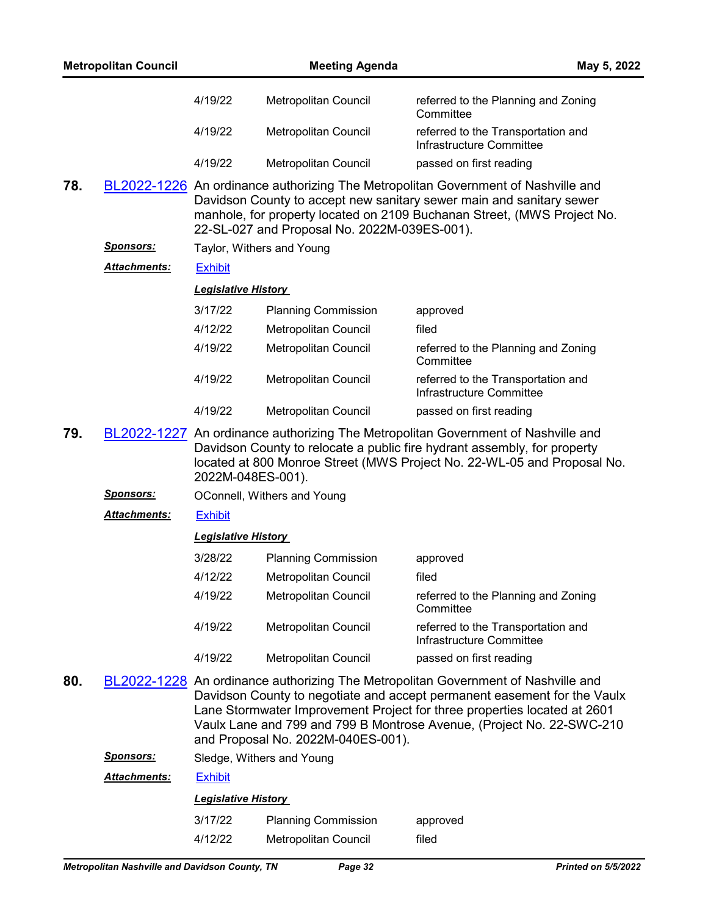|     | <b>Metropolitan Council</b> |                            | <b>Meeting Agenda</b>                        | May 5, 2022                                                                                                                                                                                                                                                                                                        |
|-----|-----------------------------|----------------------------|----------------------------------------------|--------------------------------------------------------------------------------------------------------------------------------------------------------------------------------------------------------------------------------------------------------------------------------------------------------------------|
|     |                             | 4/19/22                    | Metropolitan Council                         | referred to the Planning and Zoning<br>Committee                                                                                                                                                                                                                                                                   |
|     |                             | 4/19/22                    | Metropolitan Council                         | referred to the Transportation and<br>Infrastructure Committee                                                                                                                                                                                                                                                     |
|     |                             | 4/19/22                    | Metropolitan Council                         | passed on first reading                                                                                                                                                                                                                                                                                            |
| 78. |                             |                            | 22-SL-027 and Proposal No. 2022M-039ES-001). | BL2022-1226 An ordinance authorizing The Metropolitan Government of Nashville and<br>Davidson County to accept new sanitary sewer main and sanitary sewer<br>manhole, for property located on 2109 Buchanan Street, (MWS Project No.                                                                               |
|     | <u>Sponsors:</u>            |                            | Taylor, Withers and Young                    |                                                                                                                                                                                                                                                                                                                    |
|     | <b>Attachments:</b>         | <b>Exhibit</b>             |                                              |                                                                                                                                                                                                                                                                                                                    |
|     |                             | <b>Legislative History</b> |                                              |                                                                                                                                                                                                                                                                                                                    |
|     |                             | 3/17/22                    | <b>Planning Commission</b>                   | approved                                                                                                                                                                                                                                                                                                           |
|     |                             | 4/12/22                    | Metropolitan Council                         | filed                                                                                                                                                                                                                                                                                                              |
|     |                             | 4/19/22                    | Metropolitan Council                         | referred to the Planning and Zoning<br>Committee                                                                                                                                                                                                                                                                   |
|     |                             | 4/19/22                    | Metropolitan Council                         | referred to the Transportation and<br>Infrastructure Committee                                                                                                                                                                                                                                                     |
|     |                             | 4/19/22                    | Metropolitan Council                         | passed on first reading                                                                                                                                                                                                                                                                                            |
| 79. |                             | 2022M-048ES-001).          |                                              | BL2022-1227 An ordinance authorizing The Metropolitan Government of Nashville and<br>Davidson County to relocate a public fire hydrant assembly, for property<br>located at 800 Monroe Street (MWS Project No. 22-WL-05 and Proposal No.                                                                           |
|     | <u>Sponsors:</u>            |                            | OConnell, Withers and Young                  |                                                                                                                                                                                                                                                                                                                    |
|     | <b>Attachments:</b>         | <b>Exhibit</b>             |                                              |                                                                                                                                                                                                                                                                                                                    |
|     |                             | <b>Legislative History</b> |                                              |                                                                                                                                                                                                                                                                                                                    |
|     |                             | 3/28/22                    | <b>Planning Commission</b>                   | approved                                                                                                                                                                                                                                                                                                           |
|     |                             | 4/12/22                    | Metropolitan Council                         | filed                                                                                                                                                                                                                                                                                                              |
|     |                             | 4/19/22                    | Metropolitan Council                         | referred to the Planning and Zoning<br>Committee                                                                                                                                                                                                                                                                   |
|     |                             | 4/19/22                    | Metropolitan Council                         | referred to the Transportation and<br>Infrastructure Committee                                                                                                                                                                                                                                                     |
|     |                             | 4/19/22                    | Metropolitan Council                         | passed on first reading                                                                                                                                                                                                                                                                                            |
| 80. |                             |                            | and Proposal No. 2022M-040ES-001).           | BL2022-1228 An ordinance authorizing The Metropolitan Government of Nashville and<br>Davidson County to negotiate and accept permanent easement for the Vaulx<br>Lane Stormwater Improvement Project for three properties located at 2601<br>Vaulx Lane and 799 and 799 B Montrose Avenue, (Project No. 22-SWC-210 |
|     | <b>Sponsors:</b>            |                            | Sledge, Withers and Young                    |                                                                                                                                                                                                                                                                                                                    |
|     | <b>Attachments:</b>         | <b>Exhibit</b>             |                                              |                                                                                                                                                                                                                                                                                                                    |
|     |                             | <b>Legislative History</b> |                                              |                                                                                                                                                                                                                                                                                                                    |
|     |                             | 3/17/22                    | <b>Planning Commission</b>                   | approved                                                                                                                                                                                                                                                                                                           |
|     |                             | 4/12/22                    | Metropolitan Council                         | filed                                                                                                                                                                                                                                                                                                              |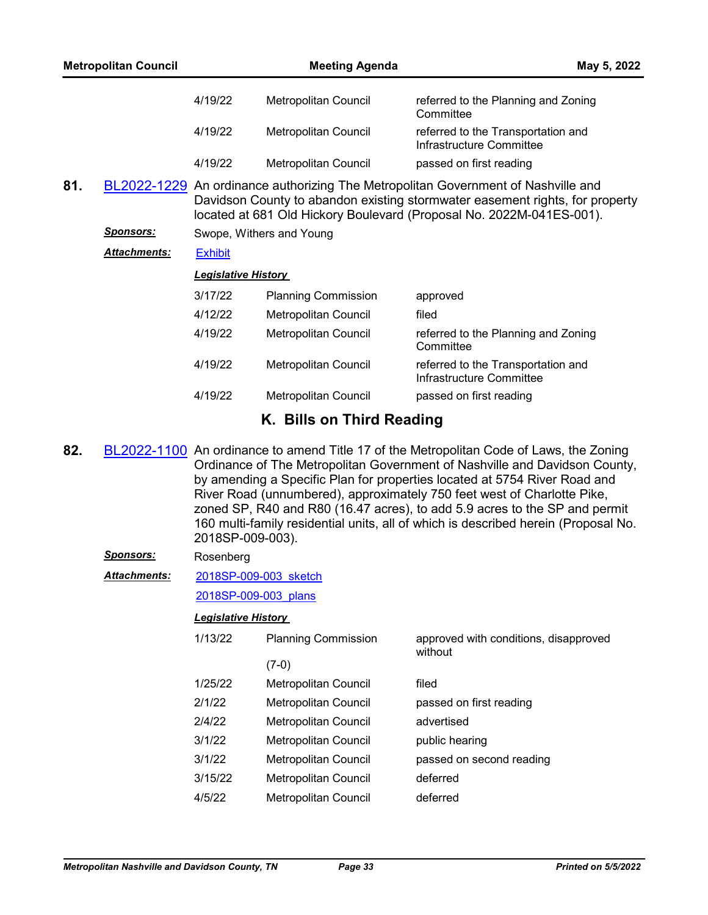|     | <b>Metropolitan Council</b> |                            | <b>Meeting Agenda</b>       | May 5, 2022                                                                                                                                                                                                                               |
|-----|-----------------------------|----------------------------|-----------------------------|-------------------------------------------------------------------------------------------------------------------------------------------------------------------------------------------------------------------------------------------|
|     |                             | 4/19/22                    | <b>Metropolitan Council</b> | referred to the Planning and Zoning<br>Committee                                                                                                                                                                                          |
|     |                             | 4/19/22                    | Metropolitan Council        | referred to the Transportation and<br>Infrastructure Committee                                                                                                                                                                            |
|     |                             | 4/19/22                    | Metropolitan Council        | passed on first reading                                                                                                                                                                                                                   |
| 81. |                             |                            |                             | BL2022-1229 An ordinance authorizing The Metropolitan Government of Nashville and<br>Davidson County to abandon existing stormwater easement rights, for property<br>located at 681 Old Hickory Boulevard (Proposal No. 2022M-041ES-001). |
|     | <b>Sponsors:</b>            |                            | Swope, Withers and Young    |                                                                                                                                                                                                                                           |
|     | <b>Attachments:</b>         | <b>Exhibit</b>             |                             |                                                                                                                                                                                                                                           |
|     |                             | <b>Legislative History</b> |                             |                                                                                                                                                                                                                                           |
|     |                             | 3/17/22                    | <b>Planning Commission</b>  | approved                                                                                                                                                                                                                                  |
|     |                             | 4/12/22                    | Metropolitan Council        | filed                                                                                                                                                                                                                                     |
|     |                             | 4/19/22                    | Metropolitan Council        | referred to the Planning and Zoning<br>Committee                                                                                                                                                                                          |
|     |                             | 4/19/22                    | Metropolitan Council        | referred to the Transportation and<br>Infrastructure Committee                                                                                                                                                                            |
|     |                             | 4/19/22                    | Metropolitan Council        | passed on first reading                                                                                                                                                                                                                   |
|     |                             |                            | K. Bills on Third Reading   |                                                                                                                                                                                                                                           |

**82.** [BL2022-1100](http://nashville.legistar.com/gateway.aspx?m=l&id=/matter.aspx?key=14083) An ordinance to amend Title 17 of the Metropolitan Code of Laws, the Zoning Ordinance of The Metropolitan Government of Nashville and Davidson County, by amending a Specific Plan for properties located at 5754 River Road and River Road (unnumbered), approximately 750 feet west of Charlotte Pike, zoned SP, R40 and R80 (16.47 acres), to add 5.9 acres to the SP and permit 160 multi-family residential units, all of which is described herein (Proposal No. 2018SP-009-003).

#### *Sponsors:* Rosenberg

[2018SP-009-003\\_sketch](http://nashville.legistar.com/gateway.aspx?M=F&ID=25e8329a-7e69-4e8b-983e-e036e2bfca26.docx) *Attachments:*

# [2018SP-009-003\\_plans](http://nashville.legistar.com/gateway.aspx?M=F&ID=f608f31c-8988-4c63-9a46-b6e75e1aea66.pdf)

| 1/13/22 | <b>Planning Commission</b>  | approved with conditions, disapproved<br>without |
|---------|-----------------------------|--------------------------------------------------|
|         | $(7-0)$                     |                                                  |
| 1/25/22 | <b>Metropolitan Council</b> | filed                                            |
| 2/1/22  | Metropolitan Council        | passed on first reading                          |
| 2/4/22  | <b>Metropolitan Council</b> | advertised                                       |
| 3/1/22  | Metropolitan Council        | public hearing                                   |
| 3/1/22  | Metropolitan Council        | passed on second reading                         |
| 3/15/22 | Metropolitan Council        | deferred                                         |
| 4/5/22  | Metropolitan Council        | deferred                                         |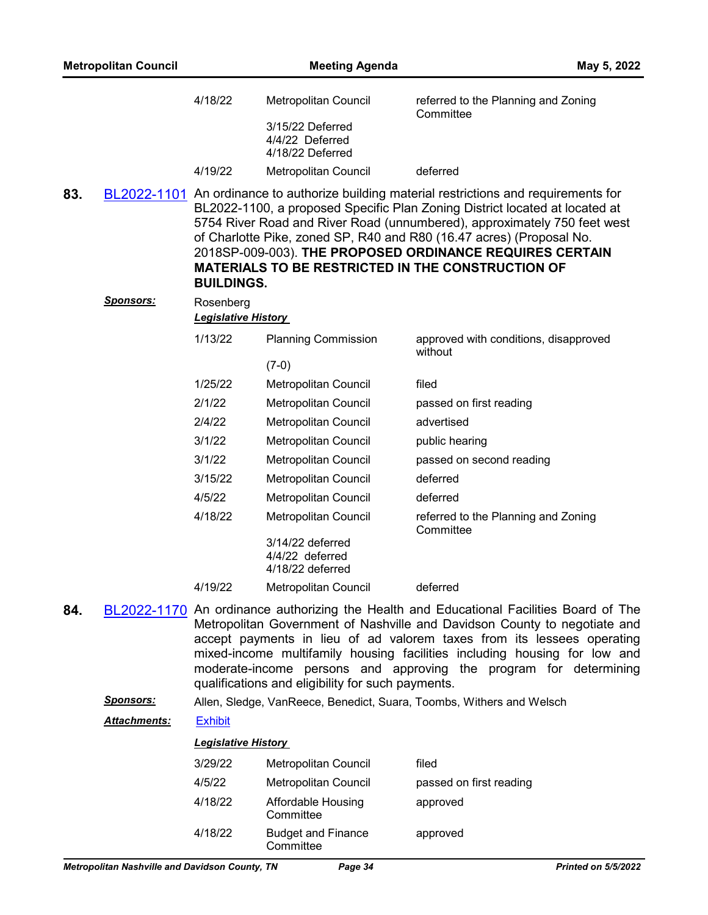|     | <b>Metropolitan Council</b> |                            | <b>Meeting Agenda</b>                                   | May 5, 2022                                                                                                                                                                                                                                                                                                                                                                                                                                          |
|-----|-----------------------------|----------------------------|---------------------------------------------------------|------------------------------------------------------------------------------------------------------------------------------------------------------------------------------------------------------------------------------------------------------------------------------------------------------------------------------------------------------------------------------------------------------------------------------------------------------|
|     |                             | 4/18/22                    | Metropolitan Council                                    | referred to the Planning and Zoning<br>Committee                                                                                                                                                                                                                                                                                                                                                                                                     |
|     |                             |                            | 3/15/22 Deferred<br>4/4/22 Deferred<br>4/18/22 Deferred |                                                                                                                                                                                                                                                                                                                                                                                                                                                      |
|     |                             | 4/19/22                    | Metropolitan Council                                    | deferred                                                                                                                                                                                                                                                                                                                                                                                                                                             |
| 83. |                             | <b>BUILDINGS.</b>          |                                                         | BL2022-1101 An ordinance to authorize building material restrictions and requirements for<br>BL2022-1100, a proposed Specific Plan Zoning District located at located at<br>5754 River Road and River Road (unnumbered), approximately 750 feet west<br>of Charlotte Pike, zoned SP, R40 and R80 (16.47 acres) (Proposal No.<br>2018SP-009-003). THE PROPOSED ORDINANCE REQUIRES CERTAIN<br><b>MATERIALS TO BE RESTRICTED IN THE CONSTRUCTION OF</b> |
|     | <u>Sponsors:</u>            | Rosenberg                  |                                                         |                                                                                                                                                                                                                                                                                                                                                                                                                                                      |
|     |                             | <b>Legislative History</b> |                                                         |                                                                                                                                                                                                                                                                                                                                                                                                                                                      |
|     |                             | 1/13/22                    | <b>Planning Commission</b>                              | approved with conditions, disapproved<br>without                                                                                                                                                                                                                                                                                                                                                                                                     |
|     |                             |                            | $(7-0)$                                                 |                                                                                                                                                                                                                                                                                                                                                                                                                                                      |
|     |                             | 1/25/22                    | Metropolitan Council                                    | filed                                                                                                                                                                                                                                                                                                                                                                                                                                                |
|     |                             | 2/1/22                     | Metropolitan Council                                    | passed on first reading                                                                                                                                                                                                                                                                                                                                                                                                                              |
|     |                             | 2/4/22                     | Metropolitan Council                                    | advertised                                                                                                                                                                                                                                                                                                                                                                                                                                           |
|     |                             | 3/1/22                     | Metropolitan Council                                    | public hearing                                                                                                                                                                                                                                                                                                                                                                                                                                       |
|     |                             | 3/1/22                     | Metropolitan Council                                    | passed on second reading                                                                                                                                                                                                                                                                                                                                                                                                                             |
|     |                             | 3/15/22                    | Metropolitan Council                                    | deferred                                                                                                                                                                                                                                                                                                                                                                                                                                             |
|     |                             | 4/5/22                     | Metropolitan Council                                    | deferred                                                                                                                                                                                                                                                                                                                                                                                                                                             |
|     |                             | 4/18/22                    | Metropolitan Council                                    | referred to the Planning and Zoning<br>Committee                                                                                                                                                                                                                                                                                                                                                                                                     |
|     |                             |                            | 3/14/22 deferred<br>4/4/22 deferred<br>4/18/22 deferred |                                                                                                                                                                                                                                                                                                                                                                                                                                                      |
|     |                             | 4/19/22                    | <b>Metropolitan Council</b>                             | deferred                                                                                                                                                                                                                                                                                                                                                                                                                                             |
| 84. |                             |                            | qualifications and eligibility for such payments.       | BL2022-1170 An ordinance authorizing the Health and Educational Facilities Board of The<br>Metropolitan Government of Nashville and Davidson County to negotiate and<br>accept payments in lieu of ad valorem taxes from its lessees operating<br>mixed-income multifamily housing facilities including housing for low and<br>moderate-income persons and approving the program for determining                                                     |
|     | <u>Sponsors:</u>            |                            |                                                         | Allen, Sledge, VanReece, Benedict, Suara, Toombs, Withers and Welsch                                                                                                                                                                                                                                                                                                                                                                                 |
|     | <u> Attachments:</u>        | <b>Exhibit</b>             |                                                         |                                                                                                                                                                                                                                                                                                                                                                                                                                                      |
|     |                             | <b>Legislative History</b> |                                                         |                                                                                                                                                                                                                                                                                                                                                                                                                                                      |
|     |                             | 3/29/22                    | Metropolitan Council                                    | filed                                                                                                                                                                                                                                                                                                                                                                                                                                                |
|     |                             | 4/5/22                     | <b>Metropolitan Council</b>                             | passed on first reading                                                                                                                                                                                                                                                                                                                                                                                                                              |
|     |                             | 4/18/22                    | Affordable Housing<br>Committee                         | approved                                                                                                                                                                                                                                                                                                                                                                                                                                             |
|     |                             | 4/18/22                    | <b>Budget and Finance</b><br>Committee                  | approved                                                                                                                                                                                                                                                                                                                                                                                                                                             |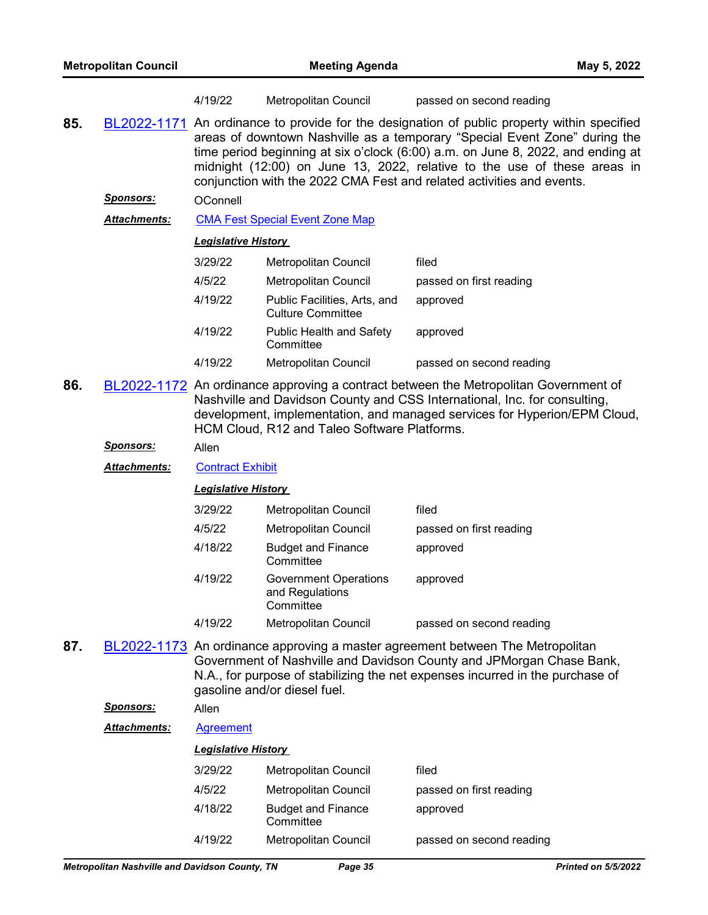|     |                     | 4/19/22                    | Metropolitan Council                                         | passed on second reading                                                                                                                                                                                                                                                                                                                                                                                          |
|-----|---------------------|----------------------------|--------------------------------------------------------------|-------------------------------------------------------------------------------------------------------------------------------------------------------------------------------------------------------------------------------------------------------------------------------------------------------------------------------------------------------------------------------------------------------------------|
| 85. |                     |                            |                                                              | BL2022-1171 An ordinance to provide for the designation of public property within specified<br>areas of downtown Nashville as a temporary "Special Event Zone" during the<br>time period beginning at six o'clock (6:00) a.m. on June 8, 2022, and ending at<br>midnight (12:00) on June 13, 2022, relative to the use of these areas in<br>conjunction with the 2022 CMA Fest and related activities and events. |
|     | <u>Sponsors:</u>    | OConnell                   |                                                              |                                                                                                                                                                                                                                                                                                                                                                                                                   |
|     | <b>Attachments:</b> |                            | <b>CMA Fest Special Event Zone Map</b>                       |                                                                                                                                                                                                                                                                                                                                                                                                                   |
|     |                     | <b>Legislative History</b> |                                                              |                                                                                                                                                                                                                                                                                                                                                                                                                   |
|     |                     | 3/29/22                    | Metropolitan Council                                         | filed                                                                                                                                                                                                                                                                                                                                                                                                             |
|     |                     | 4/5/22                     | Metropolitan Council                                         | passed on first reading                                                                                                                                                                                                                                                                                                                                                                                           |
|     |                     | 4/19/22                    | Public Facilities, Arts, and<br><b>Culture Committee</b>     | approved                                                                                                                                                                                                                                                                                                                                                                                                          |
|     |                     | 4/19/22                    | <b>Public Health and Safety</b><br>Committee                 | approved                                                                                                                                                                                                                                                                                                                                                                                                          |
|     |                     | 4/19/22                    | Metropolitan Council                                         | passed on second reading                                                                                                                                                                                                                                                                                                                                                                                          |
| 86. |                     |                            | HCM Cloud, R12 and Taleo Software Platforms.                 | BL2022-1172 An ordinance approving a contract between the Metropolitan Government of<br>Nashville and Davidson County and CSS International, Inc. for consulting,<br>development, implementation, and managed services for Hyperion/EPM Cloud,                                                                                                                                                                    |
|     | <u>Sponsors:</u>    | Allen                      |                                                              |                                                                                                                                                                                                                                                                                                                                                                                                                   |
|     | <b>Attachments:</b> | <b>Contract Exhibit</b>    |                                                              |                                                                                                                                                                                                                                                                                                                                                                                                                   |
|     |                     | <b>Legislative History</b> |                                                              |                                                                                                                                                                                                                                                                                                                                                                                                                   |
|     |                     | 3/29/22                    | Metropolitan Council                                         | filed                                                                                                                                                                                                                                                                                                                                                                                                             |
|     |                     | 4/5/22                     | Metropolitan Council                                         | passed on first reading                                                                                                                                                                                                                                                                                                                                                                                           |
|     |                     | 4/18/22                    | <b>Budget and Finance</b><br>Committee                       | approved                                                                                                                                                                                                                                                                                                                                                                                                          |
|     |                     | 4/19/22                    | <b>Government Operations</b><br>and Regulations<br>Committee | approved                                                                                                                                                                                                                                                                                                                                                                                                          |
|     |                     | 4/19/22                    | Metropolitan Council                                         | passed on second reading                                                                                                                                                                                                                                                                                                                                                                                          |
| 87. |                     |                            | gasoline and/or diesel fuel.                                 | <b>BL2022-1173</b> An ordinance approving a master agreement between The Metropolitan<br>Government of Nashville and Davidson County and JPMorgan Chase Bank,<br>N.A., for purpose of stabilizing the net expenses incurred in the purchase of                                                                                                                                                                    |
|     | <u>Sponsors:</u>    | Allen                      |                                                              |                                                                                                                                                                                                                                                                                                                                                                                                                   |
|     | <b>Attachments:</b> | Agreement                  |                                                              |                                                                                                                                                                                                                                                                                                                                                                                                                   |
|     |                     | <b>Legislative History</b> |                                                              |                                                                                                                                                                                                                                                                                                                                                                                                                   |
|     |                     | 3/29/22                    | Metropolitan Council                                         | filed                                                                                                                                                                                                                                                                                                                                                                                                             |
|     |                     | 4/5/22                     | <b>Metropolitan Council</b>                                  | passed on first reading                                                                                                                                                                                                                                                                                                                                                                                           |
|     |                     | 4/18/22                    | <b>Budget and Finance</b>                                    | approved                                                                                                                                                                                                                                                                                                                                                                                                          |

4/19/22 Metropolitan Council passed on second reading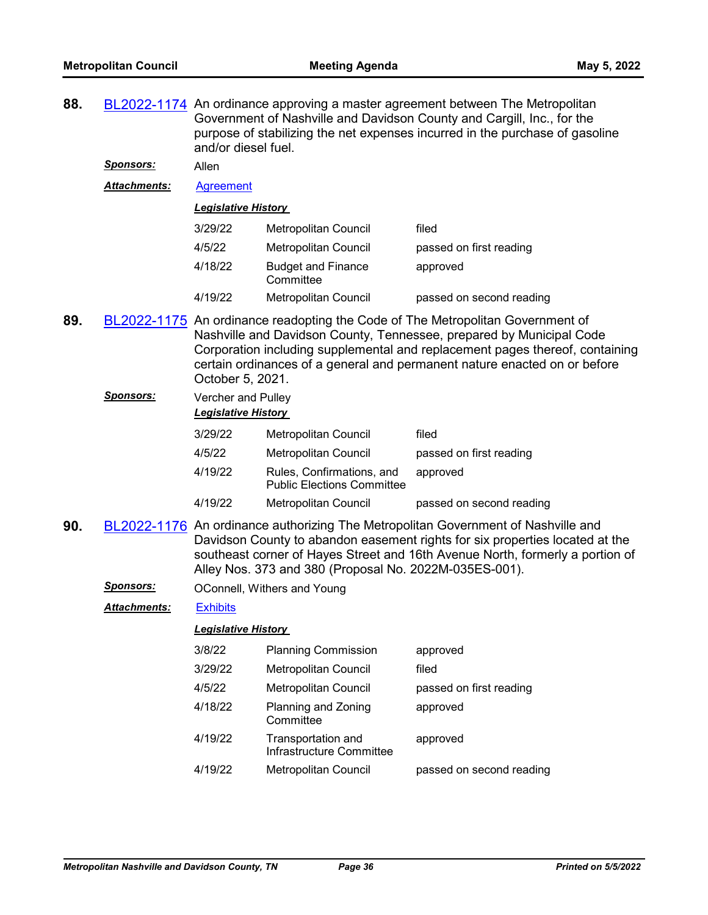**88.** [BL2022-1174](http://nashville.legistar.com/gateway.aspx?m=l&id=/matter.aspx?key=14322) An ordinance approving a master agreement between The Metropolitan Government of Nashville and Davidson County and Cargill, Inc., for the purpose of stabilizing the net expenses incurred in the purchase of gasoline and/or diesel fuel.

*Sponsors:* Allen

*Attachments:* [Agreement](http://nashville.legistar.com/gateway.aspx?M=F&ID=5f8c9a18-1bcf-491c-89b1-c9edd7ce237a.pdf)

*Legislative History* 

| 3/29/22 | <b>Metropolitan Council</b>            | filed                    |
|---------|----------------------------------------|--------------------------|
| 4/5/22  | Metropolitan Council                   | passed on first reading  |
| 4/18/22 | <b>Budget and Finance</b><br>Committee | approved                 |
| 4/19/22 | <b>Metropolitan Council</b>            | passed on second reading |

- **89.** [BL2022-1175](http://nashville.legistar.com/gateway.aspx?m=l&id=/matter.aspx?key=14269) An ordinance readopting the Code of The Metropolitan Government of Nashville and Davidson County, Tennessee, prepared by Municipal Code Corporation including supplemental and replacement pages thereof, containing certain ordinances of a general and permanent nature enacted on or before October 5, 2021.
	- *Sponsors:* Vercher and Pulley *Legislative History*  3/29/22 Metropolitan Council filed 4/5/22 Metropolitan Council passed on first reading 4/19/22 Rules, Confirmations, and
		- Public Elections Committee 4/19/22 Metropolitan Council passed on second reading

approved

- **90.** [BL2022-1176](http://nashville.legistar.com/gateway.aspx?m=l&id=/matter.aspx?key=14311) An ordinance authorizing The Metropolitan Government of Nashville and Davidson County to abandon easement rights for six properties located at the southeast corner of Hayes Street and 16th Avenue North, formerly a portion of Alley Nos. 373 and 380 (Proposal No. 2022M-035ES-001).
	- **Sponsors: OConnell, Withers and Young**

*Attachments:* [Exhibits](http://nashville.legistar.com/gateway.aspx?M=F&ID=0af4a204-679d-45d7-9f6c-aed5e4fda558.pdf)

| 3/8/22  | <b>Planning Commission</b>                     | approved                 |
|---------|------------------------------------------------|--------------------------|
| 3/29/22 | <b>Metropolitan Council</b>                    | filed                    |
| 4/5/22  | <b>Metropolitan Council</b>                    | passed on first reading  |
| 4/18/22 | Planning and Zoning<br>Committee               | approved                 |
| 4/19/22 | Transportation and<br>Infrastructure Committee | approved                 |
| 4/19/22 | <b>Metropolitan Council</b>                    | passed on second reading |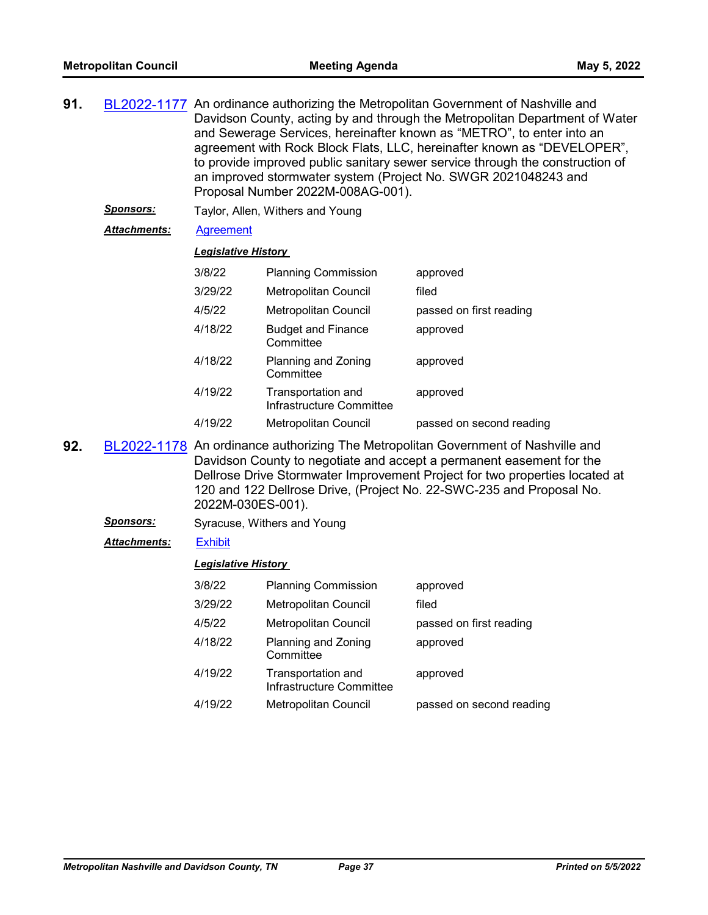| BL2022-1177 An ordinance authorizing the Metropolitan Government of Nashville and |
|-----------------------------------------------------------------------------------|
| Davidson County, acting by and through the Metropolitan Department of Water       |
| and Sewerage Services, hereinafter known as "METRO", to enter into an             |
| agreement with Rock Block Flats, LLC, hereinafter known as "DEVELOPER",           |
| to provide improved public sanitary sewer service through the construction of     |
| an improved stormwater system (Project No. SWGR 2021048243 and                    |
| Proposal Number 2022M-008AG-001).                                                 |
|                                                                                   |

*Sponsors:* Taylor, Allen, Withers and Young

# *Attachments:* [Agreement](http://nashville.legistar.com/gateway.aspx?M=F&ID=69422251-96ce-496c-9e89-c7d5517c4547.pdf)

#### *Legislative History*

| 3/8/22  | <b>Planning Commission</b>                     | approved                 |
|---------|------------------------------------------------|--------------------------|
| 3/29/22 | Metropolitan Council                           | filed                    |
| 4/5/22  | Metropolitan Council                           | passed on first reading  |
| 4/18/22 | <b>Budget and Finance</b><br>Committee         | approved                 |
| 4/18/22 | Planning and Zoning<br>Committee               | approved                 |
| 4/19/22 | Transportation and<br>Infrastructure Committee | approved                 |
| 4/19/22 | Metropolitan Council                           | passed on second reading |

- **92.** [BL2022-1178](http://nashville.legistar.com/gateway.aspx?m=l&id=/matter.aspx?key=14273) An ordinance authorizing The Metropolitan Government of Nashville and Davidson County to negotiate and accept a permanent easement for the Dellrose Drive Stormwater Improvement Project for two properties located at 120 and 122 Dellrose Drive, (Project No. 22-SWC-235 and Proposal No. 2022M-030ES-001).
	- **Sponsors:** Syracuse, Withers and Young
	- *Attachments:* [Exhibit](http://nashville.legistar.com/gateway.aspx?M=F&ID=97502d9d-b85c-4c18-888d-3b5355ce1da1.pdf)

| 3/8/22  | <b>Planning Commission</b>                     | approved                 |
|---------|------------------------------------------------|--------------------------|
| 3/29/22 | <b>Metropolitan Council</b>                    | filed                    |
| 4/5/22  | <b>Metropolitan Council</b>                    | passed on first reading  |
| 4/18/22 | Planning and Zoning<br>Committee               | approved                 |
| 4/19/22 | Transportation and<br>Infrastructure Committee | approved                 |
| 4/19/22 | Metropolitan Council                           | passed on second reading |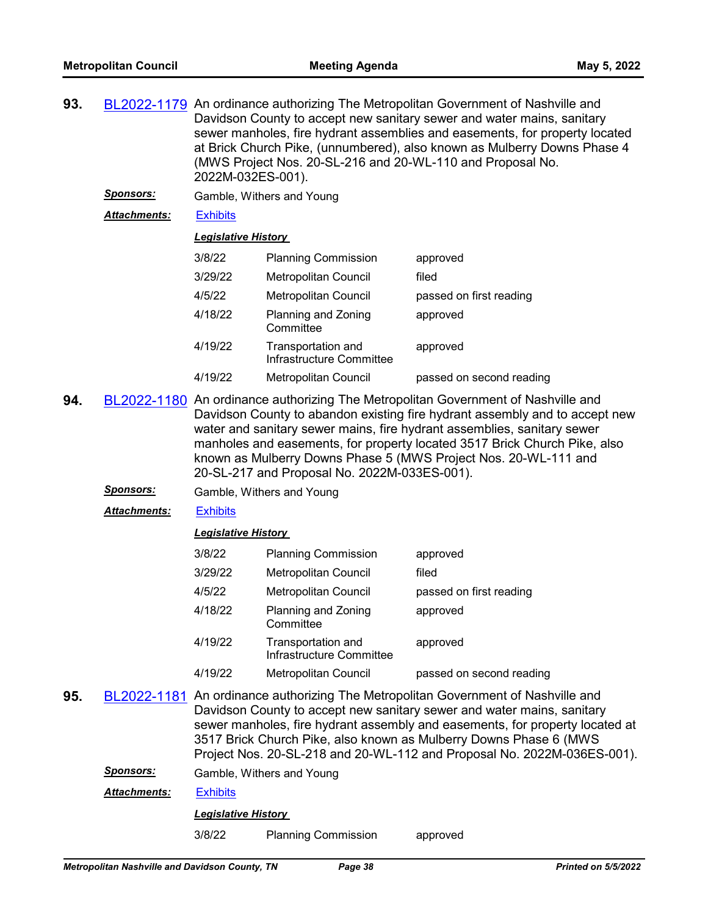| 93. |                     | BL2022-1179 An ordinance authorizing The Metropolitan Government of Nashville and<br>Davidson County to accept new sanitary sewer and water mains, sanitary<br>sewer manholes, fire hydrant assemblies and easements, for property located<br>at Brick Church Pike, (unnumbered), also known as Mulberry Downs Phase 4<br>(MWS Project Nos. 20-SL-216 and 20-WL-110 and Proposal No.<br>2022M-032ES-001). |                                                |                          |
|-----|---------------------|-----------------------------------------------------------------------------------------------------------------------------------------------------------------------------------------------------------------------------------------------------------------------------------------------------------------------------------------------------------------------------------------------------------|------------------------------------------------|--------------------------|
|     | <b>Sponsors:</b>    |                                                                                                                                                                                                                                                                                                                                                                                                           | Gamble, Withers and Young                      |                          |
|     | <b>Attachments:</b> | <b>Exhibits</b>                                                                                                                                                                                                                                                                                                                                                                                           |                                                |                          |
|     |                     | <b>Legislative History</b>                                                                                                                                                                                                                                                                                                                                                                                |                                                |                          |
|     |                     | 3/8/22                                                                                                                                                                                                                                                                                                                                                                                                    | <b>Planning Commission</b>                     | approved                 |
|     |                     | 3/29/22                                                                                                                                                                                                                                                                                                                                                                                                   | Metropolitan Council                           | filed                    |
|     |                     | 4/5/22                                                                                                                                                                                                                                                                                                                                                                                                    | Metropolitan Council                           | passed on first reading  |
|     |                     | 4/18/22                                                                                                                                                                                                                                                                                                                                                                                                   | Planning and Zoning<br>Committee               | approved                 |
|     |                     | 4/19/22                                                                                                                                                                                                                                                                                                                                                                                                   | Transportation and<br>Infrastructure Committee | approved                 |
|     |                     | 4/19/22                                                                                                                                                                                                                                                                                                                                                                                                   | Metropolitan Council                           | passed on second reading |
|     |                     |                                                                                                                                                                                                                                                                                                                                                                                                           |                                                |                          |

- **94.** [BL2022-1180](http://nashville.legistar.com/gateway.aspx?m=l&id=/matter.aspx?key=14283) An ordinance authorizing The Metropolitan Government of Nashville and Davidson County to abandon existing fire hydrant assembly and to accept new water and sanitary sewer mains, fire hydrant assemblies, sanitary sewer manholes and easements, for property located 3517 Brick Church Pike, also known as Mulberry Downs Phase 5 (MWS Project Nos. 20-WL-111 and 20-SL-217 and Proposal No. 2022M-033ES-001).
	- *Sponsors:* Gamble, Withers and Young
	- *Attachments:* [Exhibits](http://nashville.legistar.com/gateway.aspx?M=F&ID=0a67d284-2197-4851-8603-b4c71693a35e.pdf)

# *Legislative History*

| 3/8/22  | <b>Planning Commission</b>                     | approved                 |
|---------|------------------------------------------------|--------------------------|
| 3/29/22 | <b>Metropolitan Council</b>                    | filed                    |
| 4/5/22  | Metropolitan Council                           | passed on first reading  |
| 4/18/22 | Planning and Zoning<br>Committee               | approved                 |
| 4/19/22 | Transportation and<br>Infrastructure Committee | approved                 |
| 4/19/22 | <b>Metropolitan Council</b>                    | passed on second reading |

**95.** [BL2022-1181](http://nashville.legistar.com/gateway.aspx?m=l&id=/matter.aspx?key=14281) An ordinance authorizing The Metropolitan Government of Nashville and Davidson County to accept new sanitary sewer and water mains, sanitary sewer manholes, fire hydrant assembly and easements, for property located at 3517 Brick Church Pike, also known as Mulberry Downs Phase 6 (MWS Project Nos. 20-SL-218 and 20-WL-112 and Proposal No. 2022M-036ES-001).

*Sponsors:* Gamble, Withers and Young

*Attachments:* [Exhibits](http://nashville.legistar.com/gateway.aspx?M=F&ID=2ef768e0-30c1-4aa5-a739-1d2afc8d9784.pdf)

*Legislative History* 

3/8/22 Planning Commission approved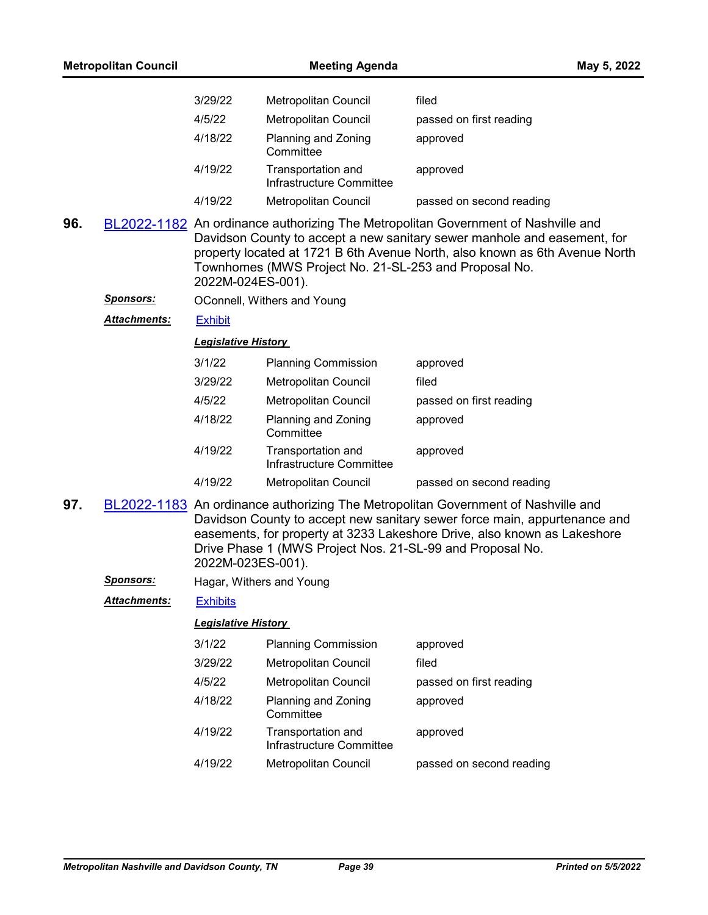| <b>Metropolitan Council</b> |                                              | <b>Meeting Agenda</b>                                                                                                                                                                                                                                                                                                        |                                                       | May 5, 2022                                                                                                                                                                                                                                  |
|-----------------------------|----------------------------------------------|------------------------------------------------------------------------------------------------------------------------------------------------------------------------------------------------------------------------------------------------------------------------------------------------------------------------------|-------------------------------------------------------|----------------------------------------------------------------------------------------------------------------------------------------------------------------------------------------------------------------------------------------------|
|                             |                                              | 3/29/22                                                                                                                                                                                                                                                                                                                      | Metropolitan Council                                  | filed                                                                                                                                                                                                                                        |
|                             |                                              | 4/5/22                                                                                                                                                                                                                                                                                                                       | Metropolitan Council                                  | passed on first reading                                                                                                                                                                                                                      |
|                             |                                              | 4/18/22                                                                                                                                                                                                                                                                                                                      | Planning and Zoning<br>Committee                      | approved                                                                                                                                                                                                                                     |
|                             |                                              | 4/19/22                                                                                                                                                                                                                                                                                                                      | Transportation and<br>Infrastructure Committee        | approved                                                                                                                                                                                                                                     |
|                             |                                              | 4/19/22                                                                                                                                                                                                                                                                                                                      | <b>Metropolitan Council</b>                           | passed on second reading                                                                                                                                                                                                                     |
| 96.                         |                                              | 2022M-024ES-001).                                                                                                                                                                                                                                                                                                            | Townhomes (MWS Project No. 21-SL-253 and Proposal No. | BL2022-1182 An ordinance authorizing The Metropolitan Government of Nashville and<br>Davidson County to accept a new sanitary sewer manhole and easement, for<br>property located at 1721 B 6th Avenue North, also known as 6th Avenue North |
|                             | <u>Sponsors:</u>                             |                                                                                                                                                                                                                                                                                                                              | OConnell, Withers and Young                           |                                                                                                                                                                                                                                              |
|                             | Attachments:                                 | <b>Exhibit</b>                                                                                                                                                                                                                                                                                                               |                                                       |                                                                                                                                                                                                                                              |
|                             |                                              | <b>Legislative History</b>                                                                                                                                                                                                                                                                                                   |                                                       |                                                                                                                                                                                                                                              |
|                             |                                              | 3/1/22                                                                                                                                                                                                                                                                                                                       | <b>Planning Commission</b>                            | approved                                                                                                                                                                                                                                     |
|                             |                                              | 3/29/22                                                                                                                                                                                                                                                                                                                      | Metropolitan Council                                  | filed                                                                                                                                                                                                                                        |
|                             |                                              | 4/5/22                                                                                                                                                                                                                                                                                                                       | Metropolitan Council                                  | passed on first reading                                                                                                                                                                                                                      |
|                             |                                              | 4/18/22                                                                                                                                                                                                                                                                                                                      | Planning and Zoning<br>Committee                      | approved                                                                                                                                                                                                                                     |
|                             |                                              | 4/19/22                                                                                                                                                                                                                                                                                                                      | Transportation and<br>Infrastructure Committee        | approved                                                                                                                                                                                                                                     |
|                             |                                              | 4/19/22                                                                                                                                                                                                                                                                                                                      | Metropolitan Council                                  | passed on second reading                                                                                                                                                                                                                     |
| 97.                         |                                              | BL2022-1183 An ordinance authorizing The Metropolitan Government of Nashville and<br>Davidson County to accept new sanitary sewer force main, appurtenance and<br>easements, for property at 3233 Lakeshore Drive, also known as Lakeshore<br>Drive Phase 1 (MWS Project Nos. 21-SL-99 and Proposal No.<br>2022M-023ES-001). |                                                       |                                                                                                                                                                                                                                              |
|                             | <u>Sponsors:</u><br>Hagar, Withers and Young |                                                                                                                                                                                                                                                                                                                              |                                                       |                                                                                                                                                                                                                                              |
|                             | <b>Attachments:</b>                          | <b>Exhibits</b>                                                                                                                                                                                                                                                                                                              |                                                       |                                                                                                                                                                                                                                              |
|                             |                                              | <b>Legislative History</b>                                                                                                                                                                                                                                                                                                   |                                                       |                                                                                                                                                                                                                                              |
|                             |                                              | 3/1/22                                                                                                                                                                                                                                                                                                                       | <b>Planning Commission</b>                            | approved                                                                                                                                                                                                                                     |
|                             |                                              | 3/29/22                                                                                                                                                                                                                                                                                                                      | <b>Metropolitan Council</b>                           | filed                                                                                                                                                                                                                                        |
|                             |                                              | 4/5/22                                                                                                                                                                                                                                                                                                                       | Metropolitan Council                                  | passed on first reading                                                                                                                                                                                                                      |
|                             |                                              | 4/18/22                                                                                                                                                                                                                                                                                                                      | Planning and Zoning<br>Committee                      | approved                                                                                                                                                                                                                                     |
|                             |                                              | 4/19/22                                                                                                                                                                                                                                                                                                                      | Transportation and<br>Infrastructure Committee        | approved                                                                                                                                                                                                                                     |
|                             |                                              | 4/19/22                                                                                                                                                                                                                                                                                                                      | Metropolitan Council                                  | passed on second reading                                                                                                                                                                                                                     |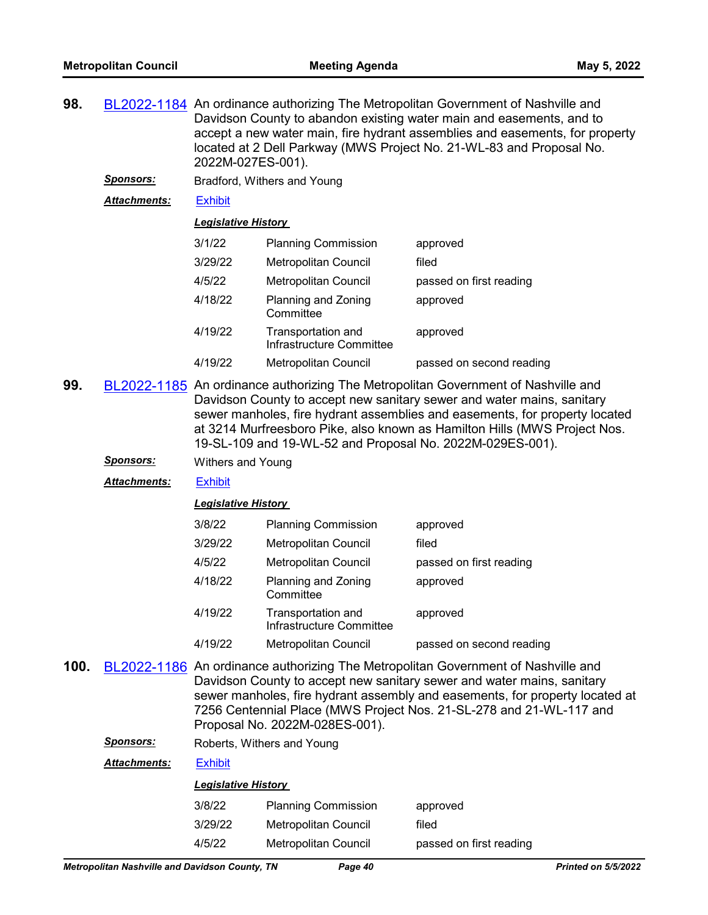- **98.** [BL2022-1184](http://nashville.legistar.com/gateway.aspx?m=l&id=/matter.aspx?key=14260) An ordinance authorizing The Metropolitan Government of Nashville and Davidson County to abandon existing water main and easements, and to accept a new water main, fire hydrant assemblies and easements, for property located at 2 Dell Parkway (MWS Project No. 21-WL-83 and Proposal No. 2022M-027ES-001).
	- *Sponsors:* Bradford, Withers and Young
	- *Attachments:* [Exhibit](http://nashville.legistar.com/gateway.aspx?M=F&ID=d6ec840b-6d69-4c1f-ae3d-cb6ad877b1d2.pdf)

# *Legislative History*

| 3/1/22  | <b>Planning Commission</b>                     | approved                 |
|---------|------------------------------------------------|--------------------------|
| 3/29/22 | Metropolitan Council                           | filed                    |
| 4/5/22  | <b>Metropolitan Council</b>                    | passed on first reading  |
| 4/18/22 | Planning and Zoning<br>Committee               | approved                 |
| 4/19/22 | Transportation and<br>Infrastructure Committee | approved                 |
| 4/19/22 | <b>Metropolitan Council</b>                    | passed on second reading |

- **99.** [BL2022-1185](http://nashville.legistar.com/gateway.aspx?m=l&id=/matter.aspx?key=14271) An ordinance authorizing The Metropolitan Government of Nashville and Davidson County to accept new sanitary sewer and water mains, sanitary sewer manholes, fire hydrant assemblies and easements, for property located at 3214 Murfreesboro Pike, also known as Hamilton Hills (MWS Project Nos. 19-SL-109 and 19-WL-52 and Proposal No. 2022M-029ES-001).
	- *Sponsors:* Withers and Young
	- *Attachments:* [Exhibit](http://nashville.legistar.com/gateway.aspx?M=F&ID=7c46e22c-2ae2-4ba5-ae88-47a542dcf7de.pdf)

#### *Legislative History*

| 3/8/22  | <b>Planning Commission</b>                     | approved                 |
|---------|------------------------------------------------|--------------------------|
| 3/29/22 | Metropolitan Council                           | filed                    |
| 4/5/22  | <b>Metropolitan Council</b>                    | passed on first reading  |
| 4/18/22 | Planning and Zoning<br>Committee               | approved                 |
| 4/19/22 | Transportation and<br>Infrastructure Committee | approved                 |
| 4/19/22 | <b>Metropolitan Council</b>                    | passed on second reading |

- **100.** [BL2022-1186](http://nashville.legistar.com/gateway.aspx?m=l&id=/matter.aspx?key=14272) An ordinance authorizing The Metropolitan Government of Nashville and Davidson County to accept new sanitary sewer and water mains, sanitary sewer manholes, fire hydrant assembly and easements, for property located at 7256 Centennial Place (MWS Project Nos. 21-SL-278 and 21-WL-117 and Proposal No. 2022M-028ES-001).
	- *Sponsors:* Roberts, Withers and Young

# *Attachments:* [Exhibit](http://nashville.legistar.com/gateway.aspx?M=F&ID=a3a44ce0-9020-4dfd-93a6-1c2c041a66bb.pdf)

| 3/8/22  | <b>Planning Commission</b>  | approved                |
|---------|-----------------------------|-------------------------|
| 3/29/22 | Metropolitan Council        | filed                   |
| 4/5/22  | <b>Metropolitan Council</b> | passed on first reading |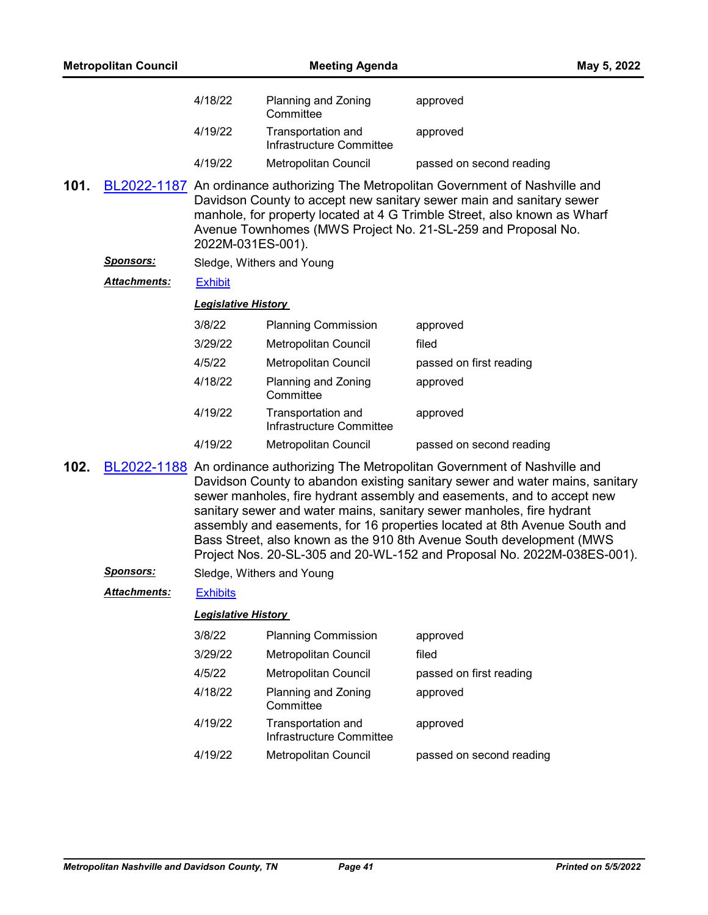|      | <b>Metropolitan Council</b> |                                                                                                                                                                                                                                                                                                                                                                                                                                                                                                                                                      | <b>Meeting Agenda</b>                          | May 5, 2022                                                                                                                                                                                                                                                                                           |
|------|-----------------------------|------------------------------------------------------------------------------------------------------------------------------------------------------------------------------------------------------------------------------------------------------------------------------------------------------------------------------------------------------------------------------------------------------------------------------------------------------------------------------------------------------------------------------------------------------|------------------------------------------------|-------------------------------------------------------------------------------------------------------------------------------------------------------------------------------------------------------------------------------------------------------------------------------------------------------|
|      |                             | 4/18/22                                                                                                                                                                                                                                                                                                                                                                                                                                                                                                                                              | Planning and Zoning<br>Committee               | approved                                                                                                                                                                                                                                                                                              |
|      |                             | 4/19/22                                                                                                                                                                                                                                                                                                                                                                                                                                                                                                                                              | Transportation and<br>Infrastructure Committee | approved                                                                                                                                                                                                                                                                                              |
|      |                             | 4/19/22                                                                                                                                                                                                                                                                                                                                                                                                                                                                                                                                              | Metropolitan Council                           | passed on second reading                                                                                                                                                                                                                                                                              |
| 101. |                             | 2022M-031ES-001).                                                                                                                                                                                                                                                                                                                                                                                                                                                                                                                                    |                                                | BL2022-1187 An ordinance authorizing The Metropolitan Government of Nashville and<br>Davidson County to accept new sanitary sewer main and sanitary sewer<br>manhole, for property located at 4 G Trimble Street, also known as Wharf<br>Avenue Townhomes (MWS Project No. 21-SL-259 and Proposal No. |
|      | <u>Sponsors:</u>            |                                                                                                                                                                                                                                                                                                                                                                                                                                                                                                                                                      | Sledge, Withers and Young                      |                                                                                                                                                                                                                                                                                                       |
|      | <b>Attachments:</b>         | <b>Exhibit</b>                                                                                                                                                                                                                                                                                                                                                                                                                                                                                                                                       |                                                |                                                                                                                                                                                                                                                                                                       |
|      |                             | <b>Legislative History</b>                                                                                                                                                                                                                                                                                                                                                                                                                                                                                                                           |                                                |                                                                                                                                                                                                                                                                                                       |
|      |                             | 3/8/22                                                                                                                                                                                                                                                                                                                                                                                                                                                                                                                                               | <b>Planning Commission</b>                     | approved                                                                                                                                                                                                                                                                                              |
|      |                             | 3/29/22                                                                                                                                                                                                                                                                                                                                                                                                                                                                                                                                              | Metropolitan Council                           | filed                                                                                                                                                                                                                                                                                                 |
|      |                             | 4/5/22                                                                                                                                                                                                                                                                                                                                                                                                                                                                                                                                               | Metropolitan Council                           | passed on first reading                                                                                                                                                                                                                                                                               |
|      |                             | 4/18/22                                                                                                                                                                                                                                                                                                                                                                                                                                                                                                                                              | Planning and Zoning<br>Committee               | approved                                                                                                                                                                                                                                                                                              |
|      |                             | 4/19/22                                                                                                                                                                                                                                                                                                                                                                                                                                                                                                                                              | Transportation and<br>Infrastructure Committee | approved                                                                                                                                                                                                                                                                                              |
|      |                             | 4/19/22                                                                                                                                                                                                                                                                                                                                                                                                                                                                                                                                              | Metropolitan Council                           | passed on second reading                                                                                                                                                                                                                                                                              |
| 102. |                             | BL2022-1188 An ordinance authorizing The Metropolitan Government of Nashville and<br>Davidson County to abandon existing sanitary sewer and water mains, sanitary<br>sewer manholes, fire hydrant assembly and easements, and to accept new<br>sanitary sewer and water mains, sanitary sewer manholes, fire hydrant<br>assembly and easements, for 16 properties located at 8th Avenue South and<br>Bass Street, also known as the 910 8th Avenue South development (MWS<br>Project Nos. 20-SL-305 and 20-WL-152 and Proposal No. 2022M-038ES-001). |                                                |                                                                                                                                                                                                                                                                                                       |
|      | Sponsors:                   |                                                                                                                                                                                                                                                                                                                                                                                                                                                                                                                                                      | Sledge, Withers and Young                      |                                                                                                                                                                                                                                                                                                       |
|      | Attachments:                | <b>Exhibits</b>                                                                                                                                                                                                                                                                                                                                                                                                                                                                                                                                      |                                                |                                                                                                                                                                                                                                                                                                       |
|      |                             | <b>Legislative History</b>                                                                                                                                                                                                                                                                                                                                                                                                                                                                                                                           |                                                |                                                                                                                                                                                                                                                                                                       |
|      |                             | 3/8/22                                                                                                                                                                                                                                                                                                                                                                                                                                                                                                                                               | <b>Planning Commission</b>                     | approved                                                                                                                                                                                                                                                                                              |
|      |                             | 3/29/22                                                                                                                                                                                                                                                                                                                                                                                                                                                                                                                                              | Metropolitan Council                           | filed                                                                                                                                                                                                                                                                                                 |
|      |                             | 4/5/22                                                                                                                                                                                                                                                                                                                                                                                                                                                                                                                                               | Metropolitan Council                           | passed on first reading                                                                                                                                                                                                                                                                               |
|      |                             | 4/18/22                                                                                                                                                                                                                                                                                                                                                                                                                                                                                                                                              | Planning and Zoning<br>Committee               | approved                                                                                                                                                                                                                                                                                              |
|      |                             | 4/19/22                                                                                                                                                                                                                                                                                                                                                                                                                                                                                                                                              | Transportation and<br>Infrastructure Committee | approved                                                                                                                                                                                                                                                                                              |
|      |                             | 4/19/22                                                                                                                                                                                                                                                                                                                                                                                                                                                                                                                                              | Metropolitan Council                           | passed on second reading                                                                                                                                                                                                                                                                              |